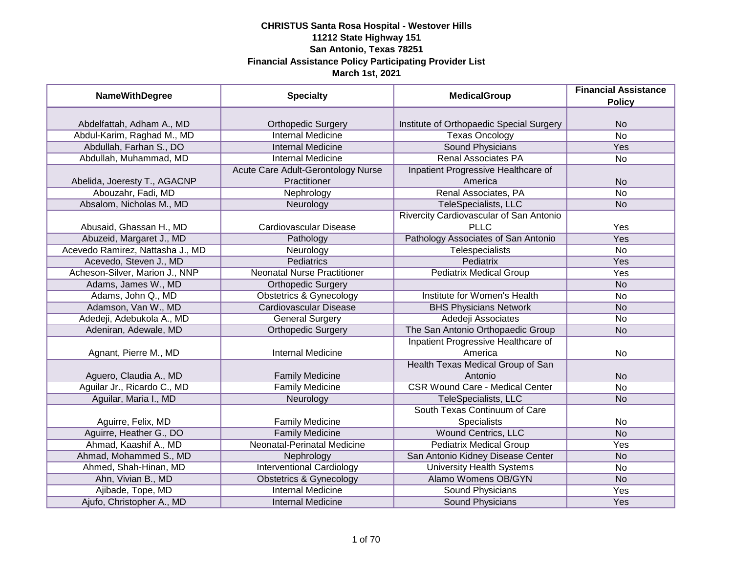| <b>NameWithDegree</b>            | <b>Specialty</b>                   | <b>MedicalGroup</b>                      | <b>Financial Assistance</b><br><b>Policy</b> |
|----------------------------------|------------------------------------|------------------------------------------|----------------------------------------------|
|                                  |                                    |                                          |                                              |
| Abdelfattah, Adham A., MD        | <b>Orthopedic Surgery</b>          | Institute of Orthopaedic Special Surgery | <b>No</b>                                    |
| Abdul-Karim, Raghad M., MD       | <b>Internal Medicine</b>           | <b>Texas Oncology</b>                    | $\overline{No}$                              |
| Abdullah, Farhan S., DO          | <b>Internal Medicine</b>           | <b>Sound Physicians</b>                  | <b>Yes</b>                                   |
| Abdullah, Muhammad, MD           | <b>Internal Medicine</b>           | <b>Renal Associates PA</b>               | No                                           |
|                                  | Acute Care Adult-Gerontology Nurse | Inpatient Progressive Healthcare of      |                                              |
| Abelida, Joeresty T., AGACNP     | Practitioner                       | America                                  | <b>No</b>                                    |
| Abouzahr, Fadi, MD               | Nephrology                         | Renal Associates, PA                     | <b>No</b>                                    |
| Absalom, Nicholas M., MD         | Neurology                          | TeleSpecialists, LLC                     | <b>No</b>                                    |
|                                  |                                    | Rivercity Cardiovascular of San Antonio  |                                              |
| Abusaid, Ghassan H., MD          | Cardiovascular Disease             | <b>PLLC</b>                              | Yes                                          |
| Abuzeid, Margaret J., MD         | Pathology                          | Pathology Associates of San Antonio      | Yes                                          |
| Acevedo Ramirez, Nattasha J., MD | Neurology                          | <b>Telespecialists</b>                   | <b>No</b>                                    |
| Acevedo, Steven J., MD           | Pediatrics                         | <b>Pediatrix</b>                         | Yes                                          |
| Acheson-Silver, Marion J., NNP   | <b>Neonatal Nurse Practitioner</b> | <b>Pediatrix Medical Group</b>           | Yes                                          |
| Adams, James W., MD              | <b>Orthopedic Surgery</b>          |                                          | <b>No</b>                                    |
| Adams, John Q., MD               | <b>Obstetrics &amp; Gynecology</b> | Institute for Women's Health             | No                                           |
| Adamson, Van W., MD              | <b>Cardiovascular Disease</b>      | <b>BHS Physicians Network</b>            | <b>No</b>                                    |
| Adedeji, Adebukola A., MD        | <b>General Surgery</b>             | Adedeji Associates                       | No                                           |
| Adeniran, Adewale, MD            | <b>Orthopedic Surgery</b>          | The San Antonio Orthopaedic Group        | <b>No</b>                                    |
|                                  |                                    | Inpatient Progressive Healthcare of      |                                              |
| Agnant, Pierre M., MD            | <b>Internal Medicine</b>           | America                                  | No                                           |
|                                  |                                    | Health Texas Medical Group of San        |                                              |
| Aguero, Claudia A., MD           | <b>Family Medicine</b>             | Antonio                                  | <b>No</b>                                    |
| Aguilar Jr., Ricardo C., MD      | <b>Family Medicine</b>             | <b>CSR Wound Care - Medical Center</b>   | No                                           |
| Aguilar, Maria I., MD            | Neurology                          | TeleSpecialists, LLC                     | <b>No</b>                                    |
|                                  |                                    | South Texas Continuum of Care            |                                              |
| Aguirre, Felix, MD               | <b>Family Medicine</b>             | <b>Specialists</b>                       | No                                           |
| Aguirre, Heather G., DO          | <b>Family Medicine</b>             | <b>Wound Centrics, LLC</b>               | <b>No</b>                                    |
| Ahmad, Kaashif A., MD            | Neonatal-Perinatal Medicine        | <b>Pediatrix Medical Group</b>           | Yes                                          |
| Ahmad, Mohammed S., MD           | Nephrology                         | San Antonio Kidney Disease Center        | <b>No</b>                                    |
| Ahmed, Shah-Hinan, MD            | <b>Interventional Cardiology</b>   | <b>University Health Systems</b>         | No                                           |
| Ahn, Vivian B., MD               | <b>Obstetrics &amp; Gynecology</b> | Alamo Womens OB/GYN                      | N <sub>o</sub>                               |
| Ajibade, Tope, MD                | <b>Internal Medicine</b>           | <b>Sound Physicians</b>                  | Yes                                          |
| Ajufo, Christopher A., MD        | <b>Internal Medicine</b>           | Sound Physicians                         | Yes                                          |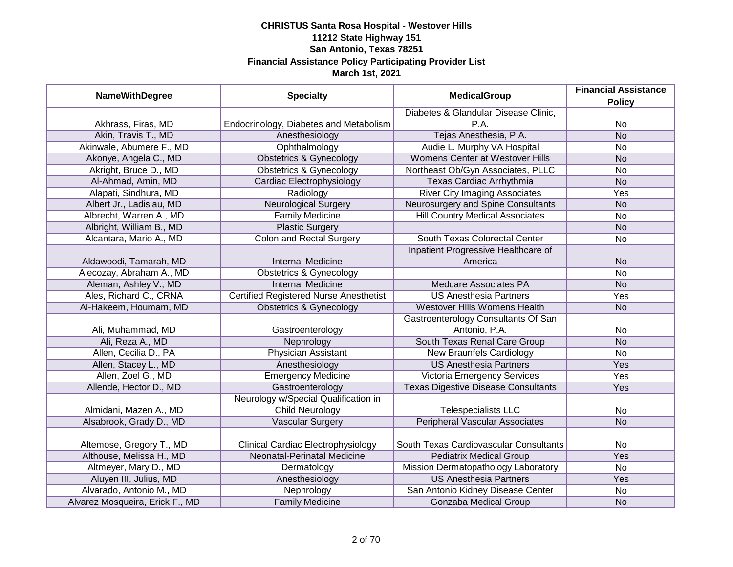| <b>NameWithDegree</b>           | <b>Specialty</b>                              | <b>MedicalGroup</b>                        | <b>Financial Assistance</b><br><b>Policy</b> |
|---------------------------------|-----------------------------------------------|--------------------------------------------|----------------------------------------------|
|                                 |                                               | Diabetes & Glandular Disease Clinic,       |                                              |
| Akhrass, Firas, MD              | Endocrinology, Diabetes and Metabolism        | P.A.                                       | No                                           |
| Akin, Travis T., MD             | Anesthesiology                                | Tejas Anesthesia, P.A.                     | N <sub>o</sub>                               |
| Akinwale, Abumere F., MD        | Ophthalmology                                 | Audie L. Murphy VA Hospital                | No                                           |
| Akonye, Angela C., MD           | <b>Obstetrics &amp; Gynecology</b>            | Womens Center at Westover Hills            | <b>No</b>                                    |
| Akright, Bruce D., MD           | <b>Obstetrics &amp; Gynecology</b>            | Northeast Ob/Gyn Associates, PLLC          | No                                           |
| Al-Ahmad, Amin, MD              | Cardiac Electrophysiology                     | Texas Cardiac Arrhythmia                   | <b>No</b>                                    |
| Alapati, Sindhura, MD           | Radiology                                     | <b>River City Imaging Associates</b>       | Yes                                          |
| Albert Jr., Ladislau, MD        | <b>Neurological Surgery</b>                   | Neurosurgery and Spine Consultants         | <b>No</b>                                    |
| Albrecht, Warren A., MD         | <b>Family Medicine</b>                        | <b>Hill Country Medical Associates</b>     | No                                           |
| Albright, William B., MD        | <b>Plastic Surgery</b>                        |                                            | <b>No</b>                                    |
| Alcantara, Mario A., MD         | <b>Colon and Rectal Surgery</b>               | <b>South Texas Colorectal Center</b>       | No                                           |
|                                 |                                               | Inpatient Progressive Healthcare of        |                                              |
| Aldawoodi, Tamarah, MD          | <b>Internal Medicine</b>                      | America                                    | <b>No</b>                                    |
| Alecozay, Abraham A., MD        | <b>Obstetrics &amp; Gynecology</b>            |                                            | <b>No</b>                                    |
| Aleman, Ashley V., MD           | <b>Internal Medicine</b>                      | Medcare Associates PA                      | <b>No</b>                                    |
| Ales, Richard C., CRNA          | <b>Certified Registered Nurse Anesthetist</b> | <b>US Anesthesia Partners</b>              | Yes                                          |
| Al-Hakeem, Houmam, MD           | <b>Obstetrics &amp; Gynecology</b>            | Westover Hills Womens Health               | <b>No</b>                                    |
|                                 |                                               | Gastroenterology Consultants Of San        |                                              |
| Ali, Muhammad, MD               | Gastroenterology                              | Antonio, P.A.                              | No                                           |
| Ali, Reza A., MD                | Nephrology                                    | South Texas Renal Care Group               | <b>No</b>                                    |
| Allen, Cecilia D., PA           | <b>Physician Assistant</b>                    | <b>New Braunfels Cardiology</b>            | No                                           |
| Allen, Stacey L., MD            | Anesthesiology                                | <b>US Anesthesia Partners</b>              | Yes                                          |
| Allen, Zoel G., MD              | <b>Emergency Medicine</b>                     | <b>Victoria Emergency Services</b>         | Yes                                          |
| Allende, Hector D., MD          | Gastroenterology                              | <b>Texas Digestive Disease Consultants</b> | Yes                                          |
|                                 | Neurology w/Special Qualification in          |                                            |                                              |
| Almidani, Mazen A., MD          | <b>Child Neurology</b>                        | <b>Telespecialists LLC</b>                 | No                                           |
| Alsabrook, Grady D., MD         | <b>Vascular Surgery</b>                       | <b>Peripheral Vascular Associates</b>      | <b>No</b>                                    |
|                                 |                                               |                                            |                                              |
| Altemose, Gregory T., MD        | <b>Clinical Cardiac Electrophysiology</b>     | South Texas Cardiovascular Consultants     | No                                           |
| Althouse, Melissa H., MD        | Neonatal-Perinatal Medicine                   | <b>Pediatrix Medical Group</b>             | Yes                                          |
| Altmeyer, Mary D., MD           | Dermatology                                   | Mission Dermatopathology Laboratory        | No                                           |
| Aluyen III, Julius, MD          | Anesthesiology                                | <b>US Anesthesia Partners</b>              | Yes                                          |
| Alvarado, Antonio M., MD        | Nephrology                                    | San Antonio Kidney Disease Center          | No                                           |
| Alvarez Mosqueira, Erick F., MD | <b>Family Medicine</b>                        | Gonzaba Medical Group                      | <b>No</b>                                    |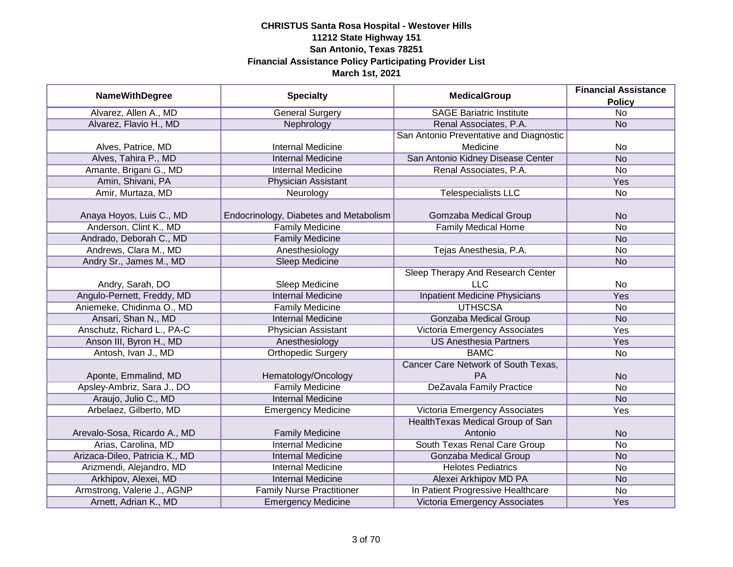| <b>NameWithDegree</b>          | <b>Specialty</b>                       | <b>MedicalGroup</b>                     | <b>Financial Assistance</b> |
|--------------------------------|----------------------------------------|-----------------------------------------|-----------------------------|
|                                |                                        |                                         | <b>Policy</b>               |
| Alvarez, Allen A., MD          | <b>General Surgery</b>                 | <b>SAGE Bariatric Institute</b>         | $\overline{No}$             |
| Alvarez, Flavio H., MD         | Nephrology                             | Renal Associates, P.A.                  | N <sub>o</sub>              |
|                                |                                        | San Antonio Preventative and Diagnostic |                             |
| Alves, Patrice, MD             | <b>Internal Medicine</b>               | Medicine                                | No                          |
| Alves, Tahira P., MD           | <b>Internal Medicine</b>               | San Antonio Kidney Disease Center       | N <sub>O</sub>              |
| Amante, Brigani G., MD         | <b>Internal Medicine</b>               | Renal Associates, P.A.                  | <b>No</b>                   |
| Amin, Shivani, PA              | Physician Assistant                    |                                         | Yes                         |
| Amir, Murtaza, MD              | Neurology                              | <b>Telespecialists LLC</b>              | No                          |
| Anaya Hoyos, Luis C., MD       | Endocrinology, Diabetes and Metabolism | Gomzaba Medical Group                   | <b>No</b>                   |
| Anderson, Clint K., MD         | <b>Family Medicine</b>                 | <b>Family Medical Home</b>              | <b>No</b>                   |
| Andrado, Deborah C., MD        | <b>Family Medicine</b>                 |                                         | <b>No</b>                   |
| Andrews, Clara M., MD          | Anesthesiology                         | Tejas Anesthesia, P.A.                  | No                          |
| Andry Sr., James M., MD        | Sleep Medicine                         |                                         | <b>No</b>                   |
|                                |                                        | Sleep Therapy And Research Center       |                             |
| Andry, Sarah, DO               | Sleep Medicine                         | <b>LLC</b>                              | No                          |
| Angulo-Pernett, Freddy, MD     | <b>Internal Medicine</b>               | <b>Inpatient Medicine Physicians</b>    | Yes                         |
| Aniemeke, Chidinma O., MD      | <b>Family Medicine</b>                 | <b>UTHSCSA</b>                          | No                          |
| Ansari, Shan N., MD            | <b>Internal Medicine</b>               | <b>Gonzaba Medical Group</b>            | <b>No</b>                   |
| Anschutz, Richard L., PA-C     | Physician Assistant                    | Victoria Emergency Associates           | Yes                         |
| Anson III, Byron H., MD        | Anesthesiology                         | <b>US Anesthesia Partners</b>           | Yes                         |
| Antosh, Ivan J., MD            | <b>Orthopedic Surgery</b>              | <b>BAMC</b>                             | <b>No</b>                   |
|                                |                                        | Cancer Care Network of South Texas,     |                             |
| Aponte, Emmalind, MD           | Hematology/Oncology                    | <b>PA</b>                               | <b>No</b>                   |
| Apsley-Ambriz, Sara J., DO     | <b>Family Medicine</b>                 | <b>DeZavala Family Practice</b>         | <b>No</b>                   |
| Araujo, Julio C., MD           | <b>Internal Medicine</b>               |                                         | <b>No</b>                   |
| Arbelaez, Gilberto, MD         | <b>Emergency Medicine</b>              | Victoria Emergency Associates           | Yes                         |
|                                |                                        | Health Texas Medical Group of San       |                             |
| Arevalo-Sosa, Ricardo A., MD   | <b>Family Medicine</b>                 | Antonio                                 | <b>No</b>                   |
| Arias, Carolina, MD            | <b>Internal Medicine</b>               | South Texas Renal Care Group            | No                          |
| Arizaca-Dileo, Patricia K., MD | <b>Internal Medicine</b>               | <b>Gonzaba Medical Group</b>            | <b>No</b>                   |
| Arizmendi, Alejandro, MD       | <b>Internal Medicine</b>               | <b>Helotes Pediatrics</b>               | No                          |
| Arkhipov, Alexei, MD           | <b>Internal Medicine</b>               | Alexei Arkhipov MD PA                   | <b>No</b>                   |
| Armstrong, Valerie J., AGNP    | <b>Family Nurse Practitioner</b>       | In Patient Progressive Healthcare       | No                          |
| Arnett, Adrian K., MD          | <b>Emergency Medicine</b>              | Victoria Emergency Associates           | Yes                         |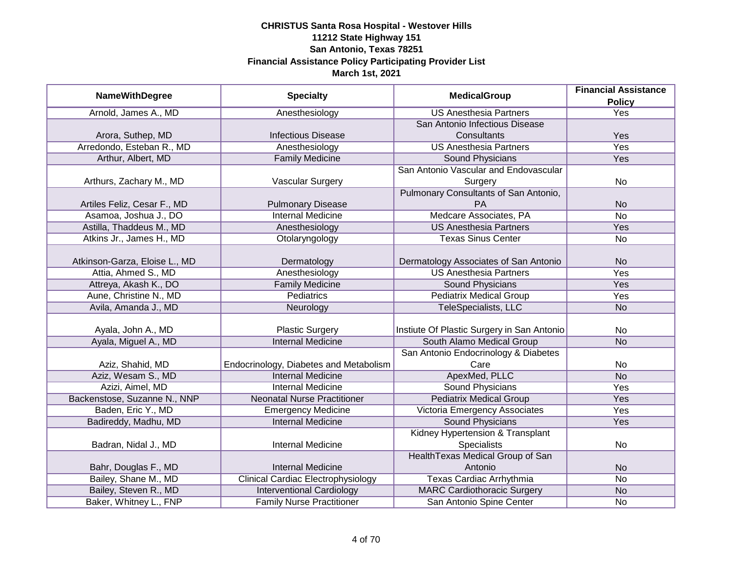|                               |                                           | <b>MedicalGroup</b>                        | <b>Financial Assistance</b> |
|-------------------------------|-------------------------------------------|--------------------------------------------|-----------------------------|
| <b>NameWithDegree</b>         | <b>Specialty</b>                          |                                            | <b>Policy</b>               |
| Arnold, James A., MD          | Anesthesiology                            | <b>US Anesthesia Partners</b>              | <b>Yes</b>                  |
|                               |                                           | San Antonio Infectious Disease             |                             |
| Arora, Suthep, MD             | <b>Infectious Disease</b>                 | Consultants                                | Yes                         |
| Arredondo, Esteban R., MD     | Anesthesiology                            | <b>US Anesthesia Partners</b>              | Yes                         |
| Arthur, Albert, MD            | <b>Family Medicine</b>                    | Sound Physicians                           | Yes                         |
|                               |                                           | San Antonio Vascular and Endovascular      |                             |
| Arthurs, Zachary M., MD       | Vascular Surgery                          | Surgery                                    | No                          |
|                               |                                           | Pulmonary Consultants of San Antonio,      |                             |
| Artiles Feliz, Cesar F., MD   | <b>Pulmonary Disease</b>                  | PA                                         | <b>No</b>                   |
| Asamoa, Joshua J., DO         | <b>Internal Medicine</b>                  | Medcare Associates, PA                     | <b>No</b>                   |
| Astilla, Thaddeus M., MD      | Anesthesiology                            | <b>US Anesthesia Partners</b>              | Yes                         |
| Atkins Jr., James H., MD      | Otolaryngology                            | <b>Texas Sinus Center</b>                  | <b>No</b>                   |
|                               |                                           |                                            |                             |
| Atkinson-Garza, Eloise L., MD | Dermatology                               | Dermatology Associates of San Antonio      | <b>No</b>                   |
| Attia, Ahmed S., MD           | Anesthesiology                            | <b>US Anesthesia Partners</b>              | <b>Yes</b>                  |
| Attreya, Akash K., DO         | <b>Family Medicine</b>                    | Sound Physicians                           | Yes                         |
| Aune, Christine N., MD        | <b>Pediatrics</b>                         | <b>Pediatrix Medical Group</b>             | Yes                         |
| Avila, Amanda J., MD          | Neurology                                 | TeleSpecialists, LLC                       | <b>No</b>                   |
|                               |                                           |                                            |                             |
| Ayala, John A., MD            | <b>Plastic Surgery</b>                    | Instiute Of Plastic Surgery in San Antonio | No                          |
| Ayala, Miguel A., MD          | <b>Internal Medicine</b>                  | South Alamo Medical Group                  | <b>No</b>                   |
|                               |                                           | San Antonio Endocrinology & Diabetes       |                             |
| Aziz, Shahid, MD              | Endocrinology, Diabetes and Metabolism    | Care                                       | No                          |
| Aziz, Wesam S., MD            | <b>Internal Medicine</b>                  | ApexMed, PLLC                              | <b>No</b>                   |
| Azizi, Aimel, MD              | <b>Internal Medicine</b>                  | <b>Sound Physicians</b>                    | Yes                         |
| Backenstose, Suzanne N., NNP  | <b>Neonatal Nurse Practitioner</b>        | <b>Pediatrix Medical Group</b>             | Yes                         |
| Baden, Eric Y., MD            | <b>Emergency Medicine</b>                 | Victoria Emergency Associates              | Yes                         |
| Badireddy, Madhu, MD          | <b>Internal Medicine</b>                  | <b>Sound Physicians</b>                    | Yes                         |
|                               |                                           | Kidney Hypertension & Transplant           |                             |
| Badran, Nidal J., MD          | Internal Medicine                         | <b>Specialists</b>                         | No                          |
|                               |                                           | Health Texas Medical Group of San          |                             |
| Bahr, Douglas F., MD          | <b>Internal Medicine</b>                  | Antonio                                    | <b>No</b>                   |
| Bailey, Shane M., MD          | <b>Clinical Cardiac Electrophysiology</b> | Texas Cardiac Arrhythmia                   | No                          |
| Bailey, Steven R., MD         | <b>Interventional Cardiology</b>          | <b>MARC Cardiothoracic Surgery</b>         | <b>No</b>                   |
| Baker, Whitney L., FNP        | <b>Family Nurse Practitioner</b>          | San Antonio Spine Center                   | No                          |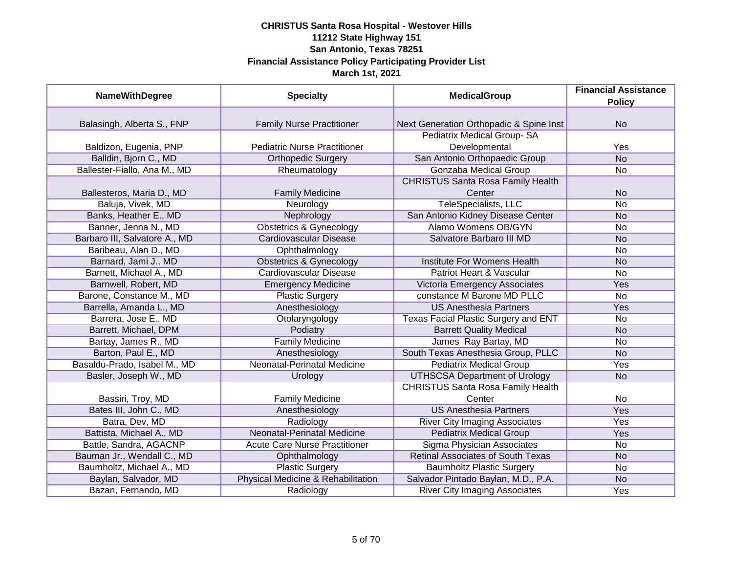| <b>NameWithDegree</b>         | <b>Specialty</b>                     | <b>MedicalGroup</b>                      | <b>Financial Assistance</b> |
|-------------------------------|--------------------------------------|------------------------------------------|-----------------------------|
|                               |                                      |                                          | <b>Policy</b>               |
|                               |                                      |                                          |                             |
| Balasingh, Alberta S., FNP    | <b>Family Nurse Practitioner</b>     | Next Generation Orthopadic & Spine Inst  | <b>No</b>                   |
|                               |                                      | Pediatrix Medical Group-SA               |                             |
| Baldizon, Eugenia, PNP        | <b>Pediatric Nurse Practitioner</b>  | Developmental                            | Yes                         |
| Balldin, Bjorn C., MD         | <b>Orthopedic Surgery</b>            | San Antonio Orthopaedic Group            | $\overline{No}$             |
| Ballester-Fiallo, Ana M., MD  | Rheumatology                         | Gonzaba Medical Group                    | <b>No</b>                   |
|                               |                                      | <b>CHRISTUS Santa Rosa Family Health</b> |                             |
| Ballesteros, Maria D., MD     | <b>Family Medicine</b>               | Center                                   | <b>No</b>                   |
| Baluja, Vivek, MD             | Neurology                            | <b>TeleSpecialists, LLC</b>              | <b>No</b>                   |
| Banks, Heather E., MD         | Nephrology                           | San Antonio Kidney Disease Center        | <b>No</b>                   |
| Banner, Jenna N., MD          | <b>Obstetrics &amp; Gynecology</b>   | <b>Alamo Womens OB/GYN</b>               | No                          |
| Barbaro III, Salvatore A., MD | <b>Cardiovascular Disease</b>        | Salvatore Barbaro III MD                 | <b>No</b>                   |
| Baribeau, Alan D., MD         | Ophthalmology                        |                                          | No                          |
| Barnard, Jami J., MD          | <b>Obstetrics &amp; Gynecology</b>   | Institute For Womens Health              | <b>No</b>                   |
| Barnett, Michael A., MD       | <b>Cardiovascular Disease</b>        | Patriot Heart & Vascular                 | <b>No</b>                   |
| Barnwell, Robert, MD          | <b>Emergency Medicine</b>            | Victoria Emergency Associates            | Yes                         |
| Barone, Constance M., MD      | <b>Plastic Surgery</b>               | constance M Barone MD PLLC               | No                          |
| Barrella, Amanda L., MD       | Anesthesiology                       | <b>US Anesthesia Partners</b>            | Yes                         |
| Barrera, Jose E., MD          | Otolaryngology                       | Texas Facial Plastic Surgery and ENT     | <b>No</b>                   |
| Barrett, Michael, DPM         | Podiatry                             | <b>Barrett Quality Medical</b>           | <b>No</b>                   |
| Bartay, James R., MD          | <b>Family Medicine</b>               | James Ray Bartay, MD                     | No                          |
| Barton, Paul E., MD           | Anesthesiology                       | South Texas Anesthesia Group, PLLC       | <b>No</b>                   |
| Basaldu-Prado, Isabel M., MD  | <b>Neonatal-Perinatal Medicine</b>   | <b>Pediatrix Medical Group</b>           | Yes                         |
| Basler, Joseph W., MD         | Urology                              | <b>UTHSCSA Department of Urology</b>     | <b>No</b>                   |
|                               |                                      | <b>CHRISTUS Santa Rosa Family Health</b> |                             |
| Bassiri, Troy, MD             | <b>Family Medicine</b>               | Center                                   | No                          |
| Bates III, John C., MD        | Anesthesiology                       | <b>US Anesthesia Partners</b>            | Yes                         |
| Batra, Dev, MD                | Radiology                            | <b>River City Imaging Associates</b>     | Yes                         |
| Battista, Michael A., MD      | <b>Neonatal-Perinatal Medicine</b>   | <b>Pediatrix Medical Group</b>           | Yes                         |
| Battle, Sandra, AGACNP        | <b>Acute Care Nurse Practitioner</b> | Sigma Physician Associates               | No                          |
| Bauman Jr., Wendall C., MD    | Ophthalmology                        | <b>Retinal Associates of South Texas</b> | <b>No</b>                   |
| Baumholtz, Michael A., MD     | <b>Plastic Surgery</b>               | <b>Baumholtz Plastic Surgery</b>         | No                          |
| Baylan, Salvador, MD          | Physical Medicine & Rehabilitation   | Salvador Pintado Baylan, M.D., P.A.      | <b>No</b>                   |
| Bazan, Fernando, MD           | Radiology                            | <b>River City Imaging Associates</b>     | Yes                         |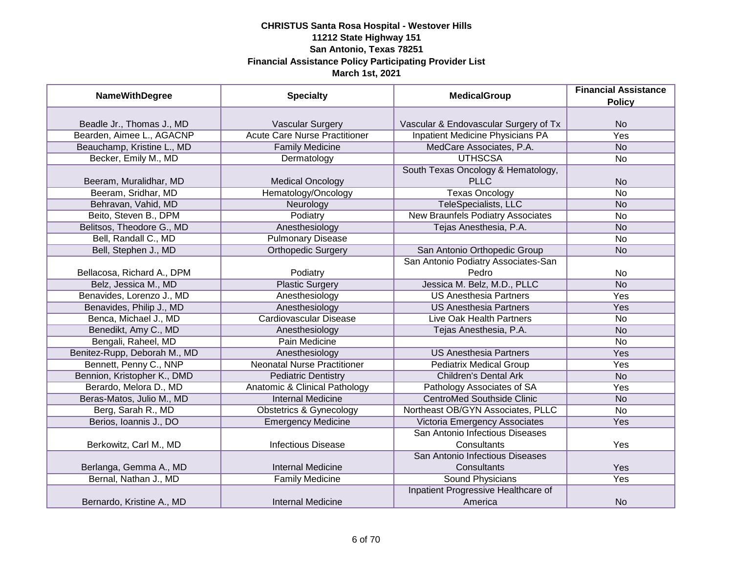| <b>NameWithDegree</b>        | <b>Specialty</b>                         | <b>MedicalGroup</b>                     | <b>Financial Assistance</b> |
|------------------------------|------------------------------------------|-----------------------------------------|-----------------------------|
|                              |                                          |                                         | <b>Policy</b>               |
|                              |                                          |                                         |                             |
| Beadle Jr., Thomas J., MD    | <b>Vascular Surgery</b>                  | Vascular & Endovascular Surgery of Tx   | <b>No</b>                   |
| Bearden, Aimee L., AGACNP    | <b>Acute Care Nurse Practitioner</b>     | <b>Inpatient Medicine Physicians PA</b> | <b>Yes</b>                  |
| Beauchamp, Kristine L., MD   | <b>Family Medicine</b>                   | MedCare Associates, P.A.                | N <sub>o</sub>              |
| Becker, Emily M., MD         | Dermatology                              | <b>UTHSCSA</b>                          | <b>No</b>                   |
|                              |                                          | South Texas Oncology & Hematology,      |                             |
| Beeram, Muralidhar, MD       | <b>Medical Oncology</b>                  | <b>PLLC</b>                             | <b>No</b>                   |
| Beeram, Sridhar, MD          | Hematology/Oncology                      | <b>Texas Oncology</b>                   | <b>No</b>                   |
| Behravan, Vahid, MD          | Neurology                                | TeleSpecialists, LLC                    | <b>No</b>                   |
| Beito, Steven B., DPM        | Podiatry                                 | New Braunfels Podiatry Associates       | No                          |
| Belitsos, Theodore G., MD    | Anesthesiology                           | Tejas Anesthesia, P.A.                  | <b>No</b>                   |
| Bell, Randall C., MD         | <b>Pulmonary Disease</b>                 |                                         | No                          |
| Bell, Stephen J., MD         | <b>Orthopedic Surgery</b>                | San Antonio Orthopedic Group            | <b>No</b>                   |
|                              |                                          | San Antonio Podiatry Associates-San     |                             |
| Bellacosa, Richard A., DPM   | Podiatry                                 | Pedro                                   | No                          |
| Belz, Jessica M., MD         | <b>Plastic Surgery</b>                   | Jessica M. Belz, M.D., PLLC             | <b>No</b>                   |
| Benavides, Lorenzo J., MD    | Anesthesiology                           | <b>US Anesthesia Partners</b>           | Yes                         |
| Benavides, Philip J., MD     | Anesthesiology                           | <b>US Anesthesia Partners</b>           | Yes                         |
| Benca, Michael J., MD        | Cardiovascular Disease                   | Live Oak Health Partners                | No                          |
| Benedikt, Amy C., MD         | Anesthesiology                           | Tejas Anesthesia, P.A.                  | <b>No</b>                   |
| Bengali, Raheel, MD          | Pain Medicine                            |                                         | <b>No</b>                   |
| Benitez-Rupp, Deborah M., MD | Anesthesiology                           | <b>US Anesthesia Partners</b>           | Yes                         |
| Bennett, Penny C., NNP       | <b>Neonatal Nurse Practitioner</b>       | <b>Pediatrix Medical Group</b>          | Yes                         |
| Bennion, Kristopher K., DMD  | <b>Pediatric Dentistry</b>               | <b>Children's Dental Ark</b>            | <b>No</b>                   |
| Berardo, Melora D., MD       | <b>Anatomic &amp; Clinical Pathology</b> | Pathology Associates of SA              | Yes                         |
| Beras-Matos, Julio M., MD    | <b>Internal Medicine</b>                 | <b>CentroMed Southside Clinic</b>       | <b>No</b>                   |
| Berg, Sarah R., MD           | <b>Obstetrics &amp; Gynecology</b>       | Northeast OB/GYN Associates, PLLC       | No                          |
| Berios, Ioannis J., DO       | <b>Emergency Medicine</b>                | Victoria Emergency Associates           | Yes                         |
|                              |                                          | San Antonio Infectious Diseases         |                             |
| Berkowitz, Carl M., MD       | <b>Infectious Disease</b>                | Consultants                             | Yes                         |
|                              |                                          | San Antonio Infectious Diseases         |                             |
| Berlanga, Gemma A., MD       | <b>Internal Medicine</b>                 | Consultants                             | Yes                         |
| Bernal, Nathan J., MD        | <b>Family Medicine</b>                   | Sound Physicians                        | Yes                         |
|                              |                                          | Inpatient Progressive Healthcare of     |                             |
| Bernardo, Kristine A., MD    | <b>Internal Medicine</b>                 | America                                 | <b>No</b>                   |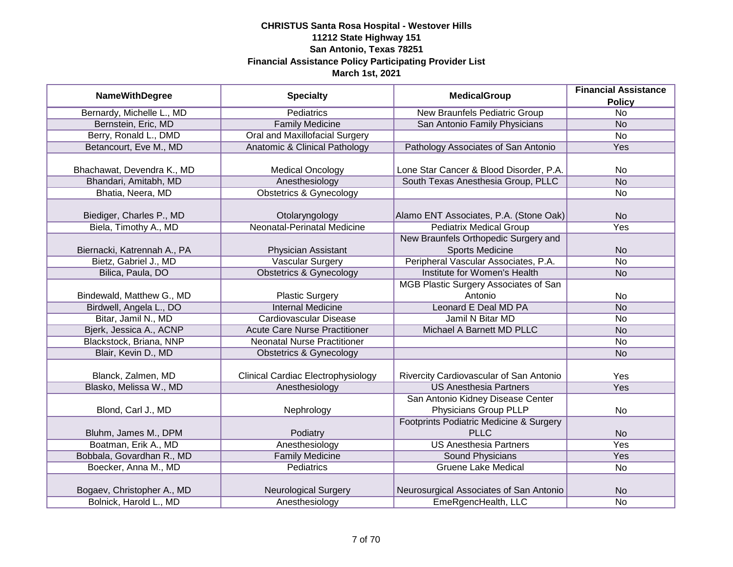| <b>NameWithDegree</b>       | <b>Specialty</b>                          | <b>MedicalGroup</b>                     | <b>Financial Assistance</b> |
|-----------------------------|-------------------------------------------|-----------------------------------------|-----------------------------|
|                             |                                           |                                         | <b>Policy</b>               |
| Bernardy, Michelle L., MD   | <b>Pediatrics</b>                         | <b>New Braunfels Pediatric Group</b>    | $\overline{No}$             |
| Bernstein, Eric, MD         | <b>Family Medicine</b>                    | San Antonio Family Physicians           | <b>No</b>                   |
| Berry, Ronald L., DMD       | <b>Oral and Maxillofacial Surgery</b>     |                                         | $\overline{No}$             |
| Betancourt, Eve M., MD      | Anatomic & Clinical Pathology             | Pathology Associates of San Antonio     | Yes                         |
|                             |                                           |                                         |                             |
| Bhachawat, Devendra K., MD  | <b>Medical Oncology</b>                   | Lone Star Cancer & Blood Disorder, P.A. | <b>No</b>                   |
| Bhandari, Amitabh, MD       | Anesthesiology                            | South Texas Anesthesia Group, PLLC      | N <sub>o</sub>              |
| Bhatia, Neera, MD           | <b>Obstetrics &amp; Gynecology</b>        |                                         | <b>No</b>                   |
|                             |                                           |                                         |                             |
| Biediger, Charles P., MD    | Otolaryngology                            | Alamo ENT Associates, P.A. (Stone Oak)  | <b>No</b>                   |
| Biela, Timothy A., MD       | <b>Neonatal-Perinatal Medicine</b>        | <b>Pediatrix Medical Group</b>          | Yes                         |
|                             |                                           | New Braunfels Orthopedic Surgery and    |                             |
| Biernacki, Katrennah A., PA | Physician Assistant                       | <b>Sports Medicine</b>                  | <b>No</b>                   |
| Bietz, Gabriel J., MD       | <b>Vascular Surgery</b>                   | Peripheral Vascular Associates, P.A.    | <b>No</b>                   |
| Bilica, Paula, DO           | <b>Obstetrics &amp; Gynecology</b>        | Institute for Women's Health            | <b>No</b>                   |
|                             |                                           | MGB Plastic Surgery Associates of San   |                             |
| Bindewald, Matthew G., MD   | <b>Plastic Surgery</b>                    | Antonio                                 | <b>No</b>                   |
| Birdwell, Angela L., DO     | <b>Internal Medicine</b>                  | Leonard E Deal MD PA                    | <b>No</b>                   |
| Bitar, Jamil N., MD         | <b>Cardiovascular Disease</b>             | Jamil N Bitar MD                        | <b>No</b>                   |
| Bjerk, Jessica A., ACNP     | <b>Acute Care Nurse Practitioner</b>      | Michael A Barnett MD PLLC               | <b>No</b>                   |
| Blackstock, Briana, NNP     | <b>Neonatal Nurse Practitioner</b>        |                                         | <b>No</b>                   |
| Blair, Kevin D., MD         | <b>Obstetrics &amp; Gynecology</b>        |                                         | <b>No</b>                   |
|                             |                                           |                                         |                             |
| Blanck, Zalmen, MD          | <b>Clinical Cardiac Electrophysiology</b> | Rivercity Cardiovascular of San Antonio | Yes                         |
| Blasko, Melissa W., MD      | Anesthesiology                            | <b>US Anesthesia Partners</b>           | Yes                         |
|                             |                                           | San Antonio Kidney Disease Center       |                             |
| Blond, Carl J., MD          | Nephrology                                | Physicians Group PLLP                   | <b>No</b>                   |
|                             |                                           | Footprints Podiatric Medicine & Surgery |                             |
| Bluhm, James M., DPM        | Podiatry                                  | <b>PLLC</b>                             | <b>No</b>                   |
| Boatman, Erik A., MD        | Anesthesiology                            | <b>US Anesthesia Partners</b>           | Yes                         |
| Bobbala, Govardhan R., MD   | <b>Family Medicine</b>                    | Sound Physicians                        | <b>Yes</b>                  |
| Boecker, Anna M., MD        | Pediatrics                                | <b>Gruene Lake Medical</b>              | <b>No</b>                   |
|                             |                                           |                                         |                             |
| Bogaev, Christopher A., MD  | Neurological Surgery                      | Neurosurgical Associates of San Antonio | <b>No</b>                   |
| Bolnick, Harold L., MD      | Anesthesiology                            | EmeRgencHealth, LLC                     | <b>No</b>                   |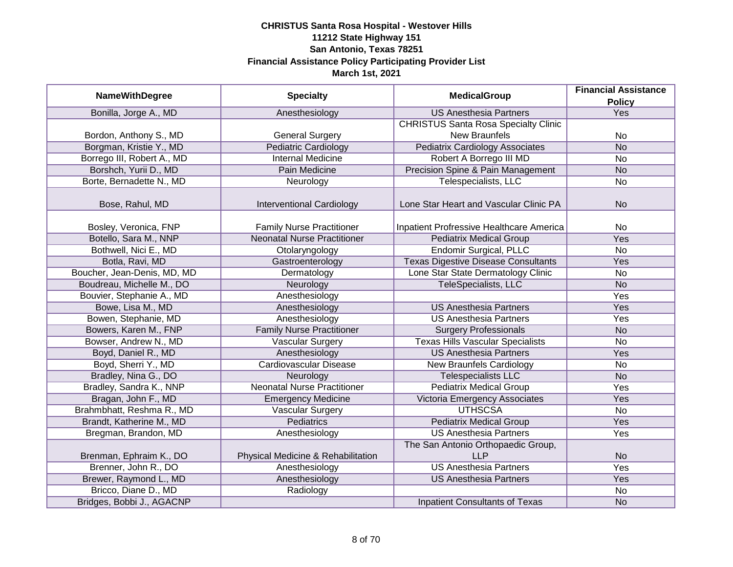| <b>NameWithDegree</b>       |                                    | <b>MedicalGroup</b>                         | <b>Financial Assistance</b> |
|-----------------------------|------------------------------------|---------------------------------------------|-----------------------------|
|                             | <b>Specialty</b>                   |                                             | <b>Policy</b>               |
| Bonilla, Jorge A., MD       | Anesthesiology                     | <b>US Anesthesia Partners</b>               | Yes                         |
|                             |                                    | <b>CHRISTUS Santa Rosa Specialty Clinic</b> |                             |
| Bordon, Anthony S., MD      | <b>General Surgery</b>             | <b>New Braunfels</b>                        | No                          |
| Borgman, Kristie Y., MD     | <b>Pediatric Cardiology</b>        | <b>Pediatrix Cardiology Associates</b>      | N <sub>o</sub>              |
| Borrego III, Robert A., MD  | <b>Internal Medicine</b>           | Robert A Borrego III MD                     | <b>No</b>                   |
| Borshch, Yurii D., MD       | Pain Medicine                      | Precision Spine & Pain Management           | <b>No</b>                   |
| Borte, Bernadette N., MD    | Neurology                          | Telespecialists, LLC                        | <b>No</b>                   |
| Bose, Rahul, MD             | <b>Interventional Cardiology</b>   | Lone Star Heart and Vascular Clinic PA      | <b>No</b>                   |
| Bosley, Veronica, FNP       | <b>Family Nurse Practitioner</b>   | Inpatient Profressive Healthcare America    | No                          |
| Botello, Sara M., NNP       | <b>Neonatal Nurse Practitioner</b> | <b>Pediatrix Medical Group</b>              | Yes                         |
| Bothwell, Nici E., MD       | Otolaryngology                     | <b>Endomir Surgical, PLLC</b>               | <b>No</b>                   |
| Botla, Ravi, MD             | Gastroenterology                   | <b>Texas Digestive Disease Consultants</b>  | Yes                         |
| Boucher, Jean-Denis, MD, MD | Dermatology                        | Lone Star State Dermatology Clinic          | <b>No</b>                   |
| Boudreau, Michelle M., DO   | Neurology                          | <b>TeleSpecialists, LLC</b>                 | <b>No</b>                   |
| Bouvier, Stephanie A., MD   | Anesthesiology                     |                                             | Yes                         |
| Bowe, Lisa M., MD           | Anesthesiology                     | <b>US Anesthesia Partners</b>               | Yes                         |
| Bowen, Stephanie, MD        | Anesthesiology                     | <b>US Anesthesia Partners</b>               | Yes                         |
| Bowers, Karen M., FNP       | <b>Family Nurse Practitioner</b>   | <b>Surgery Professionals</b>                | <b>No</b>                   |
| Bowser, Andrew N., MD       | <b>Vascular Surgery</b>            | <b>Texas Hills Vascular Specialists</b>     | <b>No</b>                   |
| Boyd, Daniel R., MD         | Anesthesiology                     | <b>US Anesthesia Partners</b>               | Yes                         |
| Boyd, Sherri Y., MD         | <b>Cardiovascular Disease</b>      | <b>New Braunfels Cardiology</b>             | No                          |
| Bradley, Nina G., DO        | Neurology                          | <b>Telespecialists LLC</b>                  | <b>No</b>                   |
| Bradley, Sandra K., NNP     | <b>Neonatal Nurse Practitioner</b> | <b>Pediatrix Medical Group</b>              | Yes                         |
| Bragan, John F., MD         | <b>Emergency Medicine</b>          | Victoria Emergency Associates               | Yes                         |
| Brahmbhatt, Reshma R., MD   | Vascular Surgery                   | <b>UTHSCSA</b>                              | <b>No</b>                   |
| Brandt, Katherine M., MD    | Pediatrics                         | <b>Pediatrix Medical Group</b>              | Yes                         |
| Bregman, Brandon, MD        | Anesthesiology                     | <b>US Anesthesia Partners</b>               | Yes                         |
|                             |                                    | The San Antonio Orthopaedic Group,          |                             |
| Brenman, Ephraim K., DO     | Physical Medicine & Rehabilitation | <b>LLP</b>                                  | <b>No</b>                   |
| Brenner, John R., DO        | Anesthesiology                     | <b>US Anesthesia Partners</b>               | Yes                         |
| Brewer, Raymond L., MD      | Anesthesiology                     | <b>US Anesthesia Partners</b>               | Yes                         |
| Bricco, Diane D., MD        | Radiology                          |                                             | No                          |
| Bridges, Bobbi J., AGACNP   |                                    | <b>Inpatient Consultants of Texas</b>       | <b>No</b>                   |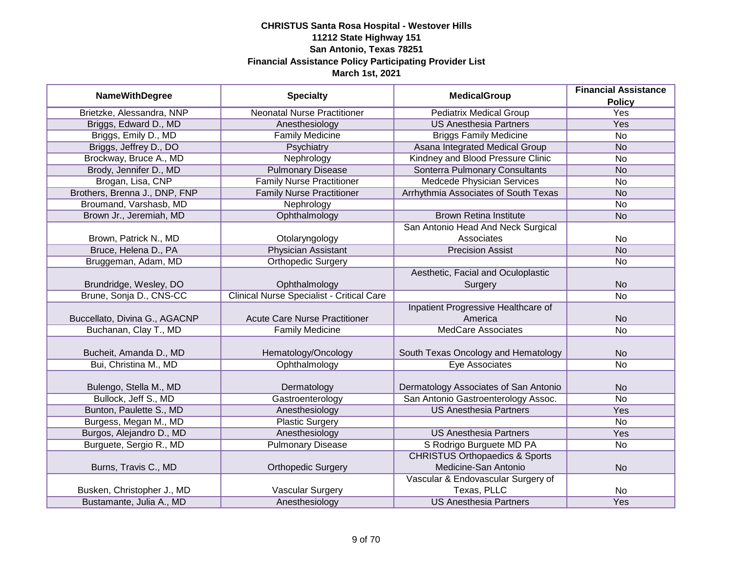|                               |                                                  | <b>MedicalGroup</b>                       | <b>Financial Assistance</b> |
|-------------------------------|--------------------------------------------------|-------------------------------------------|-----------------------------|
| <b>NameWithDegree</b>         | <b>Specialty</b>                                 |                                           | <b>Policy</b>               |
| Brietzke, Alessandra, NNP     | <b>Neonatal Nurse Practitioner</b>               | <b>Pediatrix Medical Group</b>            | <b>Yes</b>                  |
| Briggs, Edward D., MD         | Anesthesiology                                   | <b>US Anesthesia Partners</b>             | <b>Yes</b>                  |
| Briggs, Emily D., MD          | <b>Family Medicine</b>                           | <b>Briggs Family Medicine</b>             | $\overline{No}$             |
| Briggs, Jeffrey D., DO        | Psychiatry                                       | Asana Integrated Medical Group            | <b>No</b>                   |
| Brockway, Bruce A., MD        | Nephrology                                       | Kindney and Blood Pressure Clinic         | No                          |
| Brody, Jennifer D., MD        | <b>Pulmonary Disease</b>                         | Sonterra Pulmonary Consultants            | <b>No</b>                   |
| Brogan, Lisa, CNP             | <b>Family Nurse Practitioner</b>                 | <b>Medcede Physician Services</b>         | No                          |
| Brothers, Brenna J., DNP, FNP | <b>Family Nurse Practitioner</b>                 | Arrhythmia Associates of South Texas      | <b>No</b>                   |
| Broumand, Varshasb, MD        | Nephrology                                       |                                           | No                          |
| Brown Jr., Jeremiah, MD       | Ophthalmology                                    | <b>Brown Retina Institute</b>             | <b>No</b>                   |
|                               |                                                  | San Antonio Head And Neck Surgical        |                             |
| Brown, Patrick N., MD         | Otolaryngology                                   | Associates                                | <b>No</b>                   |
| Bruce, Helena D., PA          | <b>Physician Assistant</b>                       | <b>Precision Assist</b>                   | <b>No</b>                   |
| Bruggeman, Adam, MD           | <b>Orthopedic Surgery</b>                        |                                           | No                          |
|                               |                                                  | Aesthetic, Facial and Oculoplastic        |                             |
| Brundridge, Wesley, DO        | Ophthalmology                                    | Surgery                                   | <b>No</b>                   |
| Brune, Sonja D., CNS-CC       | <b>Clinical Nurse Specialist - Critical Care</b> |                                           | <b>No</b>                   |
|                               |                                                  | Inpatient Progressive Healthcare of       |                             |
| Buccellato, Divina G., AGACNP | <b>Acute Care Nurse Practitioner</b>             | America                                   | <b>No</b>                   |
| Buchanan, Clay T., MD         | <b>Family Medicine</b>                           | <b>MedCare Associates</b>                 | <b>No</b>                   |
|                               |                                                  |                                           |                             |
| Bucheit, Amanda D., MD        | Hematology/Oncology                              | South Texas Oncology and Hematology       | <b>No</b>                   |
| Bui, Christina M., MD         | Ophthalmology                                    | <b>Eye Associates</b>                     | <b>No</b>                   |
|                               |                                                  |                                           |                             |
| Bulengo, Stella M., MD        | Dermatology                                      | Dermatology Associates of San Antonio     | <b>No</b>                   |
| Bullock, Jeff S., MD          | Gastroenterology                                 | San Antonio Gastroenterology Assoc.       | No                          |
| Bunton, Paulette S., MD       | Anesthesiology                                   | <b>US Anesthesia Partners</b>             | Yes                         |
| Burgess, Megan M., MD         | <b>Plastic Surgery</b>                           |                                           | No                          |
| Burgos, Alejandro D., MD      | Anesthesiology                                   | <b>US Anesthesia Partners</b>             | Yes                         |
| Burguete, Sergio R., MD       | <b>Pulmonary Disease</b>                         | S Rodrigo Burguete MD PA                  | No                          |
|                               |                                                  | <b>CHRISTUS Orthopaedics &amp; Sports</b> |                             |
| Burns, Travis C., MD          | <b>Orthopedic Surgery</b>                        | Medicine-San Antonio                      | <b>No</b>                   |
|                               |                                                  | Vascular & Endovascular Surgery of        |                             |
| Busken, Christopher J., MD    | Vascular Surgery                                 | Texas, PLLC                               | No                          |
| Bustamante, Julia A., MD      | Anesthesiology                                   | <b>US Anesthesia Partners</b>             | Yes                         |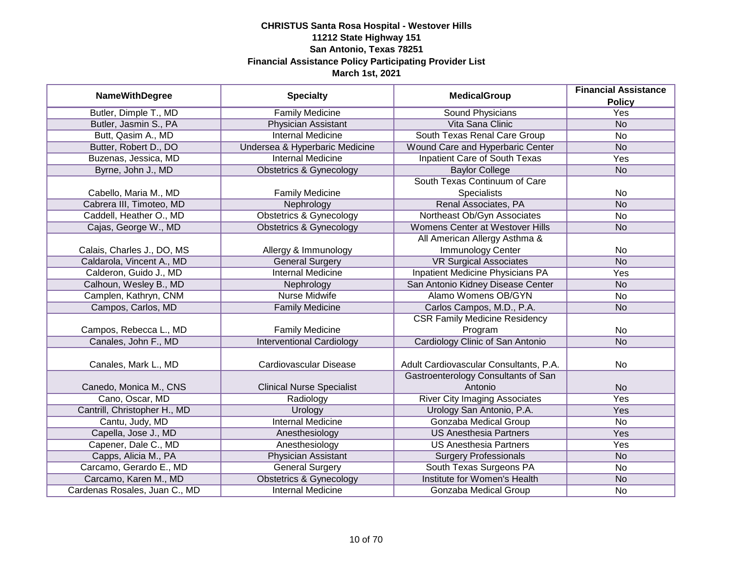| <b>NameWithDegree</b>         | <b>Specialty</b>                   | <b>MedicalGroup</b>                    | <b>Financial Assistance</b> |
|-------------------------------|------------------------------------|----------------------------------------|-----------------------------|
|                               |                                    |                                        | <b>Policy</b>               |
| Butler, Dimple T., MD         | <b>Family Medicine</b>             | <b>Sound Physicians</b>                | Yes                         |
| Butler, Jasmin S., PA         | Physician Assistant                | Vita Sana Clinic                       | <b>No</b>                   |
| Butt, Qasim A., MD            | <b>Internal Medicine</b>           | South Texas Renal Care Group           | No                          |
| Butter, Robert D., DO         | Undersea & Hyperbaric Medicine     | Wound Care and Hyperbaric Center       | <b>No</b>                   |
| Buzenas, Jessica, MD          | <b>Internal Medicine</b>           | <b>Inpatient Care of South Texas</b>   | Yes                         |
| Byrne, John J., MD            | <b>Obstetrics &amp; Gynecology</b> | <b>Baylor College</b>                  | <b>No</b>                   |
|                               |                                    | South Texas Continuum of Care          |                             |
| Cabello, Maria M., MD         | <b>Family Medicine</b>             | <b>Specialists</b>                     | No                          |
| Cabrera III, Timoteo, MD      | Nephrology                         | Renal Associates, PA                   | <b>No</b>                   |
| Caddell, Heather O., MD       | <b>Obstetrics &amp; Gynecology</b> | Northeast Ob/Gyn Associates            | No                          |
| Cajas, George W., MD          | <b>Obstetrics &amp; Gynecology</b> | <b>Womens Center at Westover Hills</b> | <b>No</b>                   |
|                               |                                    | All American Allergy Asthma &          |                             |
| Calais, Charles J., DO, MS    | Allergy & Immunology               | Immunology Center                      | No                          |
| Caldarola, Vincent A., MD     | <b>General Surgery</b>             | <b>VR Surgical Associates</b>          | <b>No</b>                   |
| Calderon, Guido J., MD        | <b>Internal Medicine</b>           | Inpatient Medicine Physicians PA       | Yes                         |
| Calhoun, Wesley B., MD        | Nephrology                         | San Antonio Kidney Disease Center      | <b>No</b>                   |
| Camplen, Kathryn, CNM         | <b>Nurse Midwife</b>               | Alamo Womens OB/GYN                    | <b>No</b>                   |
| Campos, Carlos, MD            | <b>Family Medicine</b>             | Carlos Campos, M.D., P.A.              | <b>No</b>                   |
|                               |                                    | <b>CSR Family Medicine Residency</b>   |                             |
| Campos, Rebecca L., MD        | <b>Family Medicine</b>             | Program                                | No                          |
| Canales, John F., MD          | <b>Interventional Cardiology</b>   | Cardiology Clinic of San Antonio       | <b>No</b>                   |
|                               |                                    |                                        |                             |
| Canales, Mark L., MD          | Cardiovascular Disease             | Adult Cardiovascular Consultants, P.A. | <b>No</b>                   |
|                               |                                    | Gastroenterology Consultants of San    |                             |
| Canedo, Monica M., CNS        | <b>Clinical Nurse Specialist</b>   | Antonio                                | <b>No</b>                   |
| Cano, Oscar, MD               | Radiology                          | <b>River City Imaging Associates</b>   | Yes                         |
| Cantrill, Christopher H., MD  | Urology                            | Urology San Antonio, P.A.              | Yes                         |
| Cantu, Judy, MD               | <b>Internal Medicine</b>           | Gonzaba Medical Group                  | No                          |
| Capella, Jose J., MD          | Anesthesiology                     | <b>US Anesthesia Partners</b>          | Yes                         |
| Capener, Dale C., MD          | Anesthesiology                     | <b>US Anesthesia Partners</b>          | Yes                         |
| Capps, Alicia M., PA          | Physician Assistant                | <b>Surgery Professionals</b>           | N <sub>o</sub>              |
| Carcamo, Gerardo E., MD       | <b>General Surgery</b>             | South Texas Surgeons PA                | No                          |
| Carcamo, Karen M., MD         | <b>Obstetrics &amp; Gynecology</b> | Institute for Women's Health           | <b>No</b>                   |
| Cardenas Rosales, Juan C., MD | <b>Internal Medicine</b>           | Gonzaba Medical Group                  | No                          |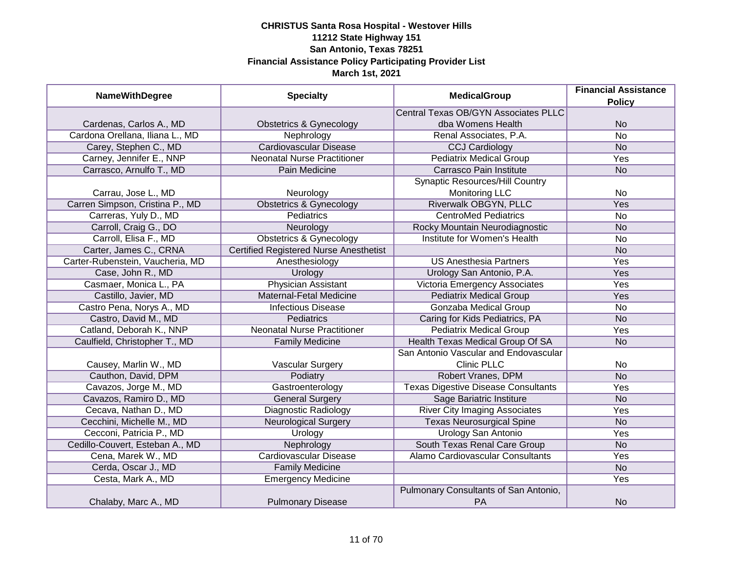| <b>NameWithDegree</b>            | <b>Specialty</b>                              | <b>MedicalGroup</b>                                | <b>Financial Assistance</b><br><b>Policy</b> |
|----------------------------------|-----------------------------------------------|----------------------------------------------------|----------------------------------------------|
|                                  |                                               | <b>Central Texas OB/GYN Associates PLLC</b>        |                                              |
| Cardenas, Carlos A., MD          | <b>Obstetrics &amp; Gynecology</b>            | dba Womens Health                                  | <b>No</b>                                    |
| Cardona Orellana, Iliana L., MD  | Nephrology                                    | Renal Associates, P.A.                             | $\overline{No}$                              |
| Carey, Stephen C., MD            | <b>Cardiovascular Disease</b>                 | <b>CCJ Cardiology</b>                              | <b>No</b>                                    |
| Carney, Jennifer E., NNP         | <b>Neonatal Nurse Practitioner</b>            | <b>Pediatrix Medical Group</b>                     | <b>Yes</b>                                   |
| Carrasco, Arnulfo T., MD         | Pain Medicine                                 | Carrasco Pain Institute                            | <b>No</b>                                    |
|                                  |                                               | <b>Synaptic Resources/Hill Country</b>             |                                              |
| Carrau, Jose L., MD              | Neurology                                     | <b>Monitoring LLC</b>                              | <b>No</b>                                    |
| Carren Simpson, Cristina P., MD  | <b>Obstetrics &amp; Gynecology</b>            | Riverwalk OBGYN, PLLC                              | Yes                                          |
| Carreras, Yuly D., MD            | Pediatrics                                    | <b>CentroMed Pediatrics</b>                        | <b>No</b>                                    |
| Carroll, Craig G., DO            | Neurology                                     | Rocky Mountain Neurodiagnostic                     | <b>No</b>                                    |
| Carroll, Elisa F., MD            | <b>Obstetrics &amp; Gynecology</b>            | Institute for Women's Health                       | <b>No</b>                                    |
| Carter, James C., CRNA           | <b>Certified Registered Nurse Anesthetist</b> |                                                    | <b>No</b>                                    |
| Carter-Rubenstein, Vaucheria, MD | Anesthesiology                                | <b>US Anesthesia Partners</b>                      | Yes                                          |
| Case, John R., MD                | Urology                                       | Urology San Antonio, P.A.                          | Yes                                          |
| Casmaer, Monica L., PA           | <b>Physician Assistant</b>                    | Victoria Emergency Associates                      | Yes                                          |
| Castillo, Javier, MD             | Maternal-Fetal Medicine                       | <b>Pediatrix Medical Group</b>                     | Yes                                          |
| Castro Pena, Norys A., MD        | <b>Infectious Disease</b>                     | <b>Gonzaba Medical Group</b>                       | <b>No</b>                                    |
| Castro, David M., MD             | Pediatrics                                    | Caring for Kids Pediatrics, PA                     | <b>No</b>                                    |
| Catland, Deborah K., NNP         | <b>Neonatal Nurse Practitioner</b>            | <b>Pediatrix Medical Group</b>                     | Yes                                          |
| Caulfield, Christopher T., MD    | <b>Family Medicine</b>                        | Health Texas Medical Group Of SA                   | <b>No</b>                                    |
|                                  |                                               | San Antonio Vascular and Endovascular              |                                              |
| Causey, Marlin W., MD            | Vascular Surgery                              | <b>Clinic PLLC</b>                                 | <b>No</b>                                    |
| Cauthon, David, DPM              | Podiatry                                      | Robert Vranes, DPM                                 | <b>No</b>                                    |
| Cavazos, Jorge M., MD            | Gastroenterology                              | <b>Texas Digestive Disease Consultants</b>         | Yes                                          |
| Cavazos, Ramiro D., MD           | <b>General Surgery</b>                        | Sage Bariatric Institure                           | <b>No</b>                                    |
| Cecava, Nathan D., MD            | <b>Diagnostic Radiology</b>                   | <b>River City Imaging Associates</b>               | Yes                                          |
| Cecchini, Michelle M., MD        | <b>Neurological Surgery</b>                   | <b>Texas Neurosurgical Spine</b>                   | <b>No</b>                                    |
| Cecconi, Patricia P., MD         | Urology                                       | <b>Urology San Antonio</b>                         | Yes                                          |
| Cedillo-Couvert, Esteban A., MD  | Nephrology                                    | South Texas Renal Care Group                       | <b>No</b>                                    |
| Cena, Marek W., MD               | <b>Cardiovascular Disease</b>                 | Alamo Cardiovascular Consultants                   | Yes                                          |
| Cerda, Oscar J., MD              | <b>Family Medicine</b>                        |                                                    | N <sub>o</sub>                               |
| Cesta, Mark A., MD               | <b>Emergency Medicine</b>                     |                                                    | Yes                                          |
| Chalaby, Marc A., MD             | <b>Pulmonary Disease</b>                      | Pulmonary Consultants of San Antonio,<br><b>PA</b> | <b>No</b>                                    |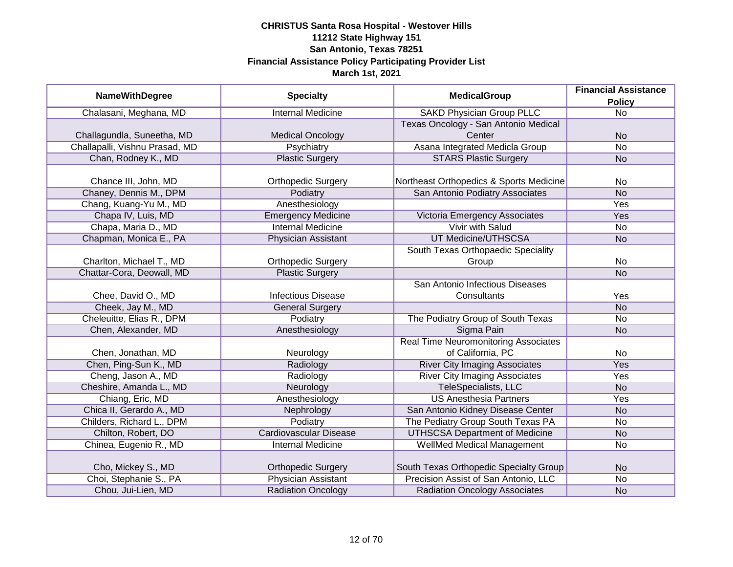|                                | <b>Specialty</b>              | <b>MedicalGroup</b>                         | <b>Financial Assistance</b> |
|--------------------------------|-------------------------------|---------------------------------------------|-----------------------------|
| <b>NameWithDegree</b>          |                               |                                             | <b>Policy</b>               |
| Chalasani, Meghana, MD         | <b>Internal Medicine</b>      | <b>SAKD Physician Group PLLC</b>            | $\overline{No}$             |
|                                |                               | Texas Oncology - San Antonio Medical        |                             |
| Challagundla, Suneetha, MD     | <b>Medical Oncology</b>       | Center                                      | <b>No</b>                   |
| Challapalli, Vishnu Prasad, MD | <b>Psychiatry</b>             | Asana Integrated Medicla Group              | No                          |
| Chan, Rodney K., MD            | <b>Plastic Surgery</b>        | <b>STARS Plastic Surgery</b>                | <b>No</b>                   |
|                                |                               |                                             |                             |
| Chance III, John, MD           | <b>Orthopedic Surgery</b>     | Northeast Orthopedics & Sports Medicine     | No                          |
| Chaney, Dennis M., DPM         | Podiatry                      | San Antonio Podiatry Associates             | <b>No</b>                   |
| Chang, Kuang-Yu M., MD         | Anesthesiology                |                                             | Yes                         |
| Chapa IV, Luis, MD             | <b>Emergency Medicine</b>     | Victoria Emergency Associates               | Yes                         |
| Chapa, Maria D., MD            | <b>Internal Medicine</b>      | Vivir with Salud                            | No                          |
| Chapman, Monica E., PA         | Physician Assistant           | UT Medicine/UTHSCSA                         | <b>No</b>                   |
|                                |                               | South Texas Orthopaedic Speciality          |                             |
| Charlton, Michael T., MD       | <b>Orthopedic Surgery</b>     | Group                                       | No                          |
| Chattar-Cora, Deowall, MD      | <b>Plastic Surgery</b>        |                                             | <b>No</b>                   |
|                                |                               | San Antonio Infectious Diseases             |                             |
| Chee, David O., MD             | <b>Infectious Disease</b>     | Consultants                                 | Yes                         |
| Cheek, Jay M., MD              | <b>General Surgery</b>        |                                             | <b>No</b>                   |
| Cheleuitte, Elias R., DPM      | Podiatry                      | The Podiatry Group of South Texas           | No                          |
| Chen, Alexander, MD            | Anesthesiology                | Sigma Pain                                  | <b>No</b>                   |
|                                |                               | <b>Real Time Neuromonitoring Associates</b> |                             |
| Chen, Jonathan, MD             | Neurology                     | of California, PC                           | No                          |
| Chen, Ping-Sun K., MD          | Radiology                     | <b>River City Imaging Associates</b>        | Yes                         |
| Cheng, Jason A., MD            | Radiology                     | <b>River City Imaging Associates</b>        | Yes                         |
| Cheshire, Amanda L., MD        | Neurology                     | TeleSpecialists, LLC                        | <b>No</b>                   |
| Chiang, Eric, MD               | Anesthesiology                | <b>US Anesthesia Partners</b>               | Yes                         |
| Chica II, Gerardo A., MD       | Nephrology                    | San Antonio Kidney Disease Center           | <b>No</b>                   |
| Childers, Richard L., DPM      | Podiatry                      | The Pediatry Group South Texas PA           | <b>No</b>                   |
| Chilton, Robert, DO            | <b>Cardiovascular Disease</b> | <b>UTHSCSA Department of Medicine</b>       | <b>No</b>                   |
| Chinea, Eugenio R., MD         | <b>Internal Medicine</b>      | WellMed Medical Management                  | No                          |
|                                |                               |                                             |                             |
| Cho, Mickey S., MD             | <b>Orthopedic Surgery</b>     | South Texas Orthopedic Specialty Group      | <b>No</b>                   |
| Choi, Stephanie S., PA         | <b>Physician Assistant</b>    | Precision Assist of San Antonio, LLC        | No                          |
| Chou, Jui-Lien, MD             | <b>Radiation Oncology</b>     | <b>Radiation Oncology Associates</b>        | <b>No</b>                   |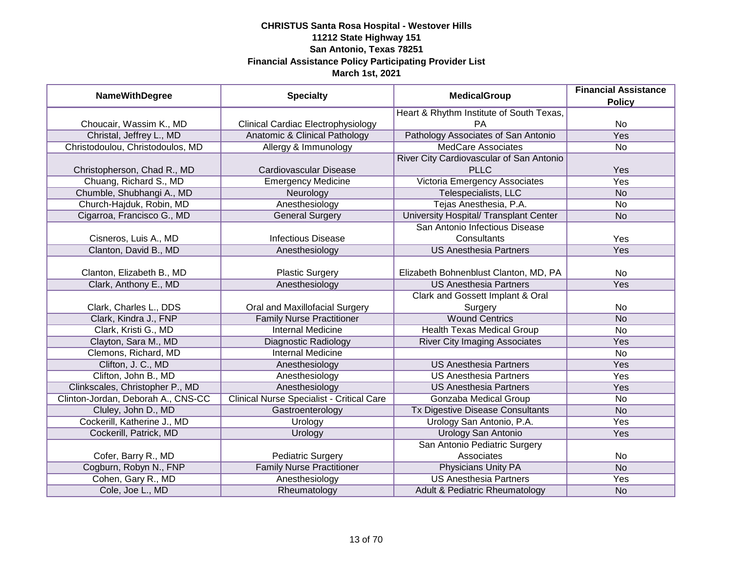| <b>NameWithDegree</b>              | <b>Specialty</b>                                 | <b>MedicalGroup</b>                      | <b>Financial Assistance</b><br><b>Policy</b> |
|------------------------------------|--------------------------------------------------|------------------------------------------|----------------------------------------------|
|                                    |                                                  | Heart & Rhythm Institute of South Texas, |                                              |
| Choucair, Wassim K., MD            | <b>Clinical Cardiac Electrophysiology</b>        | PA                                       | No                                           |
| Christal, Jeffrey L., MD           | <b>Anatomic &amp; Clinical Pathology</b>         | Pathology Associates of San Antonio      | Yes                                          |
| Christodoulou, Christodoulos, MD   | Allergy & Immunology                             | <b>MedCare Associates</b>                | No                                           |
|                                    |                                                  | River City Cardiovascular of San Antonio |                                              |
| Christopherson, Chad R., MD        | Cardiovascular Disease                           | <b>PLLC</b>                              | Yes                                          |
| Chuang, Richard S., MD             | <b>Emergency Medicine</b>                        | Victoria Emergency Associates            | <b>Yes</b>                                   |
| Chumble, Shubhangi A., MD          | Neurology                                        | Telespecialists, LLC                     | <b>No</b>                                    |
| Church-Hajduk, Robin, MD           | Anesthesiology                                   | Tejas Anesthesia, P.A.                   | No                                           |
| Cigarroa, Francisco G., MD         | <b>General Surgery</b>                           | University Hospital/ Transplant Center   | <b>No</b>                                    |
|                                    |                                                  | San Antonio Infectious Disease           |                                              |
| Cisneros, Luis A., MD              | <b>Infectious Disease</b>                        | Consultants                              | Yes                                          |
| Clanton, David B., MD              | Anesthesiology                                   | <b>US Anesthesia Partners</b>            | Yes                                          |
|                                    |                                                  |                                          |                                              |
| Clanton, Elizabeth B., MD          | <b>Plastic Surgery</b>                           | Elizabeth Bohnenblust Clanton, MD, PA    | No                                           |
| Clark, Anthony E., MD              | Anesthesiology                                   | <b>US Anesthesia Partners</b>            | Yes                                          |
|                                    |                                                  | Clark and Gossett Implant & Oral         |                                              |
| Clark, Charles L., DDS             | Oral and Maxillofacial Surgery                   | Surgery                                  | No                                           |
| Clark, Kindra J., FNP              | <b>Family Nurse Practitioner</b>                 | <b>Wound Centrics</b>                    | <b>No</b>                                    |
| Clark, Kristi G., MD               | <b>Internal Medicine</b>                         | <b>Health Texas Medical Group</b>        | <b>No</b>                                    |
| Clayton, Sara M., MD               | <b>Diagnostic Radiology</b>                      | <b>River City Imaging Associates</b>     | Yes                                          |
| Clemons, Richard, MD               | <b>Internal Medicine</b>                         |                                          | No                                           |
| Clifton, J. C., MD                 | Anesthesiology                                   | <b>US Anesthesia Partners</b>            | Yes                                          |
| Clifton, John B., MD               | Anesthesiology                                   | <b>US Anesthesia Partners</b>            | Yes                                          |
| Clinkscales, Christopher P., MD    | Anesthesiology                                   | <b>US Anesthesia Partners</b>            | Yes                                          |
| Clinton-Jordan, Deborah A., CNS-CC | <b>Clinical Nurse Specialist - Critical Care</b> | Gonzaba Medical Group                    | <b>No</b>                                    |
| Cluley, John D., MD                | Gastroenterology                                 | Tx Digestive Disease Consultants         | <b>No</b>                                    |
| Cockerill, Katherine J., MD        | Urology                                          | Urology San Antonio, P.A.                | Yes                                          |
| Cockerill, Patrick, MD             | Urology                                          | <b>Urology San Antonio</b>               | Yes                                          |
|                                    |                                                  | San Antonio Pediatric Surgery            |                                              |
| Cofer, Barry R., MD                | <b>Pediatric Surgery</b>                         | Associates                               | No                                           |
| Cogburn, Robyn N., FNP             | <b>Family Nurse Practitioner</b>                 | Physicians Unity PA                      | <b>No</b>                                    |
| Cohen, Gary R., MD                 | Anesthesiology                                   | <b>US Anesthesia Partners</b>            | Yes                                          |
| Cole, Joe L., MD                   | Rheumatology                                     | Adult & Pediatric Rheumatology           | <b>No</b>                                    |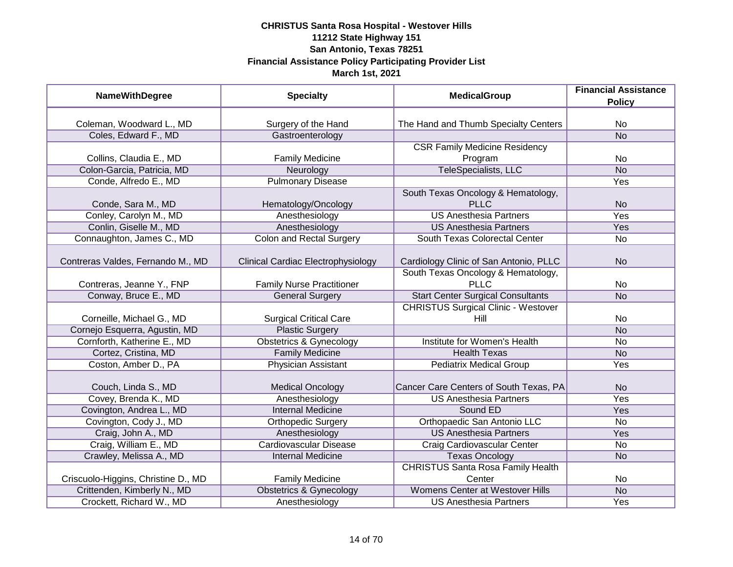| <b>NameWithDegree</b>               | <b>Specialty</b>                   | <b>MedicalGroup</b>                        | <b>Financial Assistance</b> |
|-------------------------------------|------------------------------------|--------------------------------------------|-----------------------------|
|                                     |                                    |                                            | <b>Policy</b>               |
| Coleman, Woodward L., MD            | Surgery of the Hand                | The Hand and Thumb Specialty Centers       | No                          |
| Coles, Edward F., MD                | Gastroenterology                   |                                            | N <sub>O</sub>              |
|                                     |                                    | <b>CSR Family Medicine Residency</b>       |                             |
| Collins, Claudia E., MD             | <b>Family Medicine</b>             | Program                                    | No                          |
| Colon-Garcia, Patricia, MD          | Neurology                          | TeleSpecialists, LLC                       | <b>No</b>                   |
| Conde, Alfredo E., MD               | <b>Pulmonary Disease</b>           |                                            | Yes                         |
|                                     |                                    | South Texas Oncology & Hematology,         |                             |
| Conde, Sara M., MD                  | Hematology/Oncology                | <b>PLLC</b>                                | <b>No</b>                   |
| Conley, Carolyn M., MD              | Anesthesiology                     | <b>US Anesthesia Partners</b>              | Yes                         |
| Conlin, Giselle M., MD              | Anesthesiology                     | <b>US Anesthesia Partners</b>              | Yes                         |
| Connaughton, James C., MD           | <b>Colon and Rectal Surgery</b>    | South Texas Colorectal Center              | <b>No</b>                   |
|                                     |                                    |                                            |                             |
| Contreras Valdes, Fernando M., MD   | Clinical Cardiac Electrophysiology | Cardiology Clinic of San Antonio, PLLC     | N <sub>o</sub>              |
|                                     |                                    | South Texas Oncology & Hematology,         |                             |
| Contreras, Jeanne Y., FNP           | <b>Family Nurse Practitioner</b>   | <b>PLLC</b>                                | No                          |
| Conway, Bruce E., MD                | <b>General Surgery</b>             | <b>Start Center Surgical Consultants</b>   | <b>No</b>                   |
|                                     |                                    | <b>CHRISTUS Surgical Clinic - Westover</b> |                             |
| Corneille, Michael G., MD           | <b>Surgical Critical Care</b>      | Hill                                       | No                          |
| Cornejo Esquerra, Agustin, MD       | <b>Plastic Surgery</b>             |                                            | <b>No</b>                   |
| Cornforth, Katherine E., MD         | <b>Obstetrics &amp; Gynecology</b> | <b>Institute for Women's Health</b>        | <b>No</b>                   |
| Cortez, Cristina, MD                | <b>Family Medicine</b>             | <b>Health Texas</b>                        | <b>No</b>                   |
| Coston, Amber D., PA                | <b>Physician Assistant</b>         | <b>Pediatrix Medical Group</b>             | Yes                         |
| Couch, Linda S., MD                 | <b>Medical Oncology</b>            | Cancer Care Centers of South Texas, PA     | <b>No</b>                   |
| Covey, Brenda K., MD                | Anesthesiology                     | <b>US Anesthesia Partners</b>              | Yes                         |
| Covington, Andrea L., MD            | <b>Internal Medicine</b>           | Sound ED                                   | Yes                         |
| Covington, Cody J., MD              | <b>Orthopedic Surgery</b>          | Orthopaedic San Antonio LLC                | No                          |
| Craig, John A., MD                  | Anesthesiology                     | <b>US Anesthesia Partners</b>              | Yes                         |
| Craig, William E., MD               | <b>Cardiovascular Disease</b>      | Craig Cardiovascular Center                | No                          |
| Crawley, Melissa A., MD             | Internal Medicine                  | <b>Texas Oncology</b>                      | <b>No</b>                   |
|                                     |                                    | <b>CHRISTUS Santa Rosa Family Health</b>   |                             |
| Criscuolo-Higgins, Christine D., MD | <b>Family Medicine</b>             | Center                                     | No                          |
| Crittenden, Kimberly N., MD         | <b>Obstetrics &amp; Gynecology</b> | <b>Womens Center at Westover Hills</b>     | N <sub>o</sub>              |
| Crockett, Richard W., MD            | Anesthesiology                     | <b>US Anesthesia Partners</b>              | Yes                         |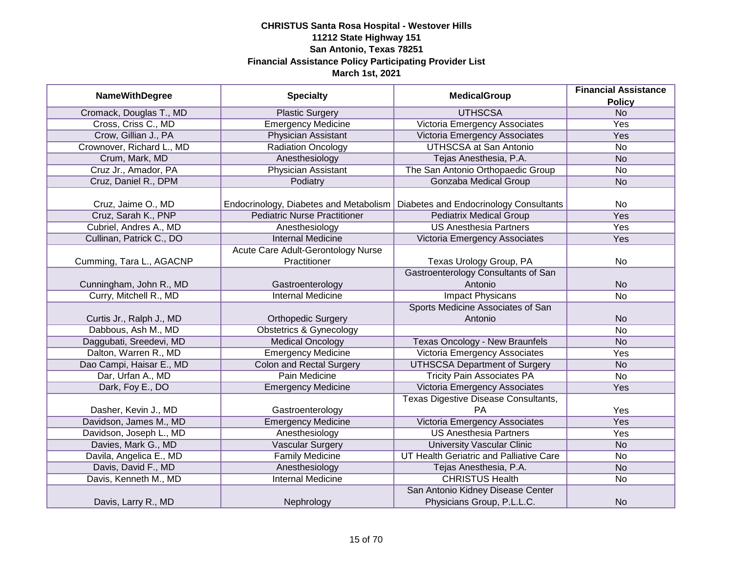| <b>NameWithDegree</b>     | <b>Specialty</b>                       | <b>MedicalGroup</b>                        | <b>Financial Assistance</b> |
|---------------------------|----------------------------------------|--------------------------------------------|-----------------------------|
|                           |                                        |                                            | <b>Policy</b>               |
| Cromack, Douglas T., MD   | <b>Plastic Surgery</b>                 | <b>UTHSCSA</b>                             | N <sub>o</sub>              |
| Cross, Criss C., MD       | <b>Emergency Medicine</b>              | Victoria Emergency Associates              | <b>Yes</b>                  |
| Crow, Gillian J., PA      | Physician Assistant                    | Victoria Emergency Associates              | Yes                         |
| Crownover, Richard L., MD | Radiation Oncology                     | <b>UTHSCSA at San Antonio</b>              | No                          |
| Crum, Mark, MD            | Anesthesiology                         | Tejas Anesthesia, P.A.                     | <b>No</b>                   |
| Cruz Jr., Amador, PA      | Physician Assistant                    | The San Antonio Orthopaedic Group          | No                          |
| Cruz, Daniel R., DPM      | Podiatry                               | <b>Gonzaba Medical Group</b>               | <b>No</b>                   |
|                           |                                        |                                            |                             |
| Cruz, Jaime O., MD        | Endocrinology, Diabetes and Metabolism | Diabetes and Endocrinology Consultants     | No                          |
| Cruz, Sarah K., PNP       | <b>Pediatric Nurse Practitioner</b>    | <b>Pediatrix Medical Group</b>             | <b>Yes</b>                  |
| Cubriel, Andres A., MD    | Anesthesiology                         | <b>US Anesthesia Partners</b>              | Yes                         |
| Cullinan, Patrick C., DO  | <b>Internal Medicine</b>               | Victoria Emergency Associates              | Yes                         |
|                           | Acute Care Adult-Gerontology Nurse     |                                            |                             |
| Cumming, Tara L., AGACNP  | Practitioner                           | Texas Urology Group, PA                    | No                          |
|                           |                                        | <b>Gastroenterology Consultants of San</b> |                             |
| Cunningham, John R., MD   | Gastroenterology                       | Antonio                                    | <b>No</b>                   |
| Curry, Mitchell R., MD    | <b>Internal Medicine</b>               | <b>Impact Physicans</b>                    | No                          |
|                           |                                        | Sports Medicine Associates of San          |                             |
| Curtis Jr., Ralph J., MD  | <b>Orthopedic Surgery</b>              | Antonio                                    | <b>No</b>                   |
| Dabbous, Ash M., MD       | <b>Obstetrics &amp; Gynecology</b>     |                                            | <b>No</b>                   |
| Daggubati, Sreedevi, MD   | <b>Medical Oncology</b>                | <b>Texas Oncology - New Braunfels</b>      | <b>No</b>                   |
| Dalton, Warren R., MD     | <b>Emergency Medicine</b>              | Victoria Emergency Associates              | Yes                         |
| Dao Campi, Haisar E., MD  | <b>Colon and Rectal Surgery</b>        | <b>UTHSCSA Department of Surgery</b>       | <b>No</b>                   |
| Dar, Urfan A., MD         | Pain Medicine                          | <b>Tricity Pain Associates PA</b>          | No                          |
| Dark, Foy E., DO          | <b>Emergency Medicine</b>              | Victoria Emergency Associates              | Yes                         |
|                           |                                        | Texas Digestive Disease Consultants,       |                             |
| Dasher, Kevin J., MD      | Gastroenterology                       | <b>PA</b>                                  | Yes                         |
| Davidson, James M., MD    | <b>Emergency Medicine</b>              | Victoria Emergency Associates              | Yes                         |
| Davidson, Joseph L., MD   | Anesthesiology                         | <b>US Anesthesia Partners</b>              | Yes                         |
| Davies, Mark G., MD       | <b>Vascular Surgery</b>                | <b>University Vascular Clinic</b>          | <b>No</b>                   |
| Davila, Angelica E., MD   | <b>Family Medicine</b>                 | UT Health Geriatric and Palliative Care    | No                          |
| Davis, David F., MD       | Anesthesiology                         | Tejas Anesthesia, P.A.                     | <b>No</b>                   |
| Davis, Kenneth M., MD     | <b>Internal Medicine</b>               | <b>CHRISTUS Health</b>                     | No                          |
|                           |                                        | San Antonio Kidney Disease Center          |                             |
| Davis, Larry R., MD       | Nephrology                             | Physicians Group, P.L.L.C.                 | <b>No</b>                   |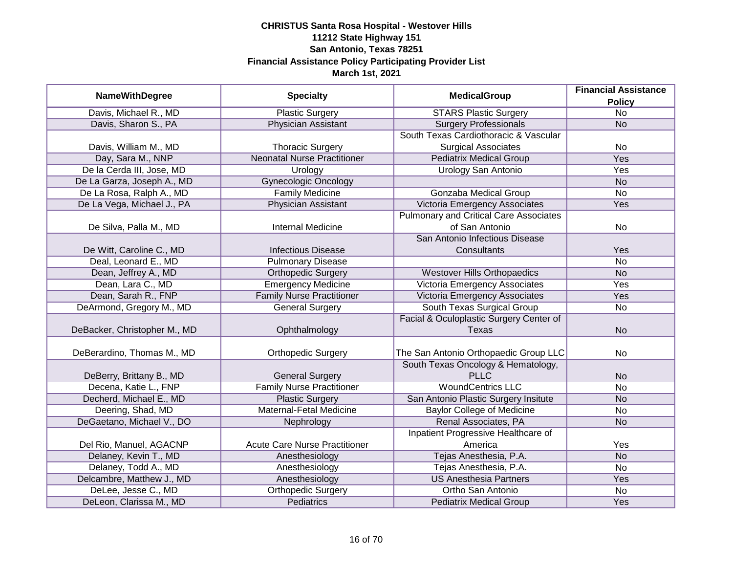|                              | <b>Specialty</b>                     | <b>MedicalGroup</b>                           | <b>Financial Assistance</b> |
|------------------------------|--------------------------------------|-----------------------------------------------|-----------------------------|
| <b>NameWithDegree</b>        |                                      |                                               | <b>Policy</b>               |
| Davis, Michael R., MD        | <b>Plastic Surgery</b>               | <b>STARS Plastic Surgery</b>                  | $\overline{No}$             |
| Davis, Sharon S., PA         | <b>Physician Assistant</b>           | <b>Surgery Professionals</b>                  | <b>No</b>                   |
|                              |                                      | South Texas Cardiothoracic & Vascular         |                             |
| Davis, William M., MD        | <b>Thoracic Surgery</b>              | <b>Surgical Associates</b>                    | No                          |
| Day, Sara M., NNP            | <b>Neonatal Nurse Practitioner</b>   | <b>Pediatrix Medical Group</b>                | <b>Yes</b>                  |
| De la Cerda III, Jose, MD    | Urology                              | Urology San Antonio                           | Yes                         |
| De La Garza, Joseph A., MD   | <b>Gynecologic Oncology</b>          |                                               | <b>No</b>                   |
| De La Rosa, Ralph A., MD     | <b>Family Medicine</b>               | Gonzaba Medical Group                         | $\overline{No}$             |
| De La Vega, Michael J., PA   | Physician Assistant                  | Victoria Emergency Associates                 | Yes                         |
|                              |                                      | <b>Pulmonary and Critical Care Associates</b> |                             |
| De Silva, Palla M., MD       | <b>Internal Medicine</b>             | of San Antonio                                | No                          |
|                              |                                      | San Antonio Infectious Disease                |                             |
| De Witt, Caroline C., MD     | <b>Infectious Disease</b>            | Consultants                                   | Yes                         |
| Deal, Leonard E., MD         | <b>Pulmonary Disease</b>             |                                               | <b>No</b>                   |
| Dean, Jeffrey A., MD         | <b>Orthopedic Surgery</b>            | <b>Westover Hills Orthopaedics</b>            | <b>No</b>                   |
| Dean, Lara C., MD            | <b>Emergency Medicine</b>            | Victoria Emergency Associates                 | Yes                         |
| Dean, Sarah R., FNP          | <b>Family Nurse Practitioner</b>     | Victoria Emergency Associates                 | Yes                         |
| DeArmond, Gregory M., MD     | <b>General Surgery</b>               | South Texas Surgical Group                    | No                          |
|                              |                                      | Facial & Oculoplastic Surgery Center of       |                             |
| DeBacker, Christopher M., MD | Ophthalmology                        | <b>Texas</b>                                  | <b>No</b>                   |
|                              |                                      |                                               |                             |
| DeBerardino, Thomas M., MD   | <b>Orthopedic Surgery</b>            | The San Antonio Orthopaedic Group LLC         | No                          |
|                              |                                      | South Texas Oncology & Hematology,            |                             |
| DeBerry, Brittany B., MD     | <b>General Surgery</b>               | <b>PLLC</b>                                   | <b>No</b>                   |
| Decena, Katie L., FNP        | <b>Family Nurse Practitioner</b>     | <b>WoundCentrics LLC</b>                      | <b>No</b>                   |
| Decherd, Michael E., MD      | <b>Plastic Surgery</b>               | San Antonio Plastic Surgery Insitute          | <b>No</b>                   |
| Deering, Shad, MD            | Maternal-Fetal Medicine              | <b>Baylor College of Medicine</b>             | No                          |
| DeGaetano, Michael V., DO    | Nephrology                           | Renal Associates, PA                          | <b>No</b>                   |
|                              |                                      | Inpatient Progressive Healthcare of           |                             |
| Del Rio, Manuel, AGACNP      | <b>Acute Care Nurse Practitioner</b> | America                                       | Yes                         |
| Delaney, Kevin T., MD        | Anesthesiology                       | Tejas Anesthesia, P.A.                        | N <sub>o</sub>              |
| Delaney, Todd A., MD         | Anesthesiology                       | Tejas Anesthesia, P.A.                        | No                          |
| Delcambre, Matthew J., MD    | Anesthesiology                       | <b>US Anesthesia Partners</b>                 | Yes                         |
| DeLee, Jesse C., MD          | <b>Orthopedic Surgery</b>            | Ortho San Antonio                             | No                          |
| DeLeon, Clarissa M., MD      | <b>Pediatrics</b>                    | <b>Pediatrix Medical Group</b>                | Yes                         |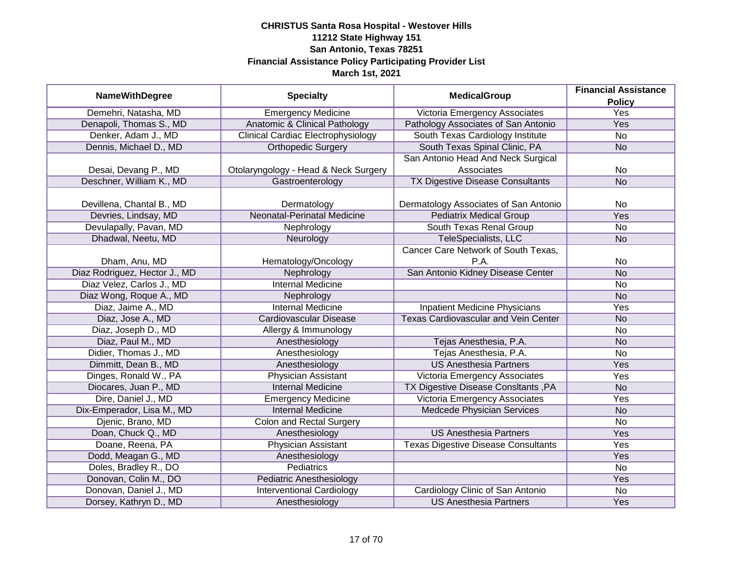|                               | <b>Specialty</b>                          | <b>MedicalGroup</b>                         | <b>Financial Assistance</b> |
|-------------------------------|-------------------------------------------|---------------------------------------------|-----------------------------|
| <b>NameWithDegree</b>         |                                           |                                             | <b>Policy</b>               |
| Demehri, Natasha, MD          | <b>Emergency Medicine</b>                 | Victoria Emergency Associates               | <b>Yes</b>                  |
| Denapoli, Thomas S., MD       | <b>Anatomic &amp; Clinical Pathology</b>  | Pathology Associates of San Antonio         | <b>Yes</b>                  |
| Denker, Adam J., MD           | <b>Clinical Cardiac Electrophysiology</b> | South Texas Cardiology Institute            | <b>No</b>                   |
| Dennis, Michael D., MD        | <b>Orthopedic Surgery</b>                 | South Texas Spinal Clinic, PA               | <b>No</b>                   |
|                               |                                           | San Antonio Head And Neck Surgical          |                             |
| Desai, Devang P., MD          | Otolaryngology - Head & Neck Surgery      | Associates                                  | <b>No</b>                   |
| Deschner, William K., MD      | Gastroenterology                          | <b>TX Digestive Disease Consultants</b>     | <b>No</b>                   |
|                               |                                           |                                             |                             |
| Devillena, Chantal B., MD     | Dermatology                               | Dermatology Associates of San Antonio       | <b>No</b>                   |
| Devries, Lindsay, MD          | Neonatal-Perinatal Medicine               | <b>Pediatrix Medical Group</b>              | Yes                         |
| Devulapally, Pavan, MD        | Nephrology                                | South Texas Renal Group                     | <b>No</b>                   |
| Dhadwal, Neetu, MD            | Neurology                                 | TeleSpecialists, LLC                        | <b>No</b>                   |
|                               |                                           | Cancer Care Network of South Texas,         |                             |
| Dham, Anu, MD                 | Hematology/Oncology                       | P.A.                                        | No                          |
| Diaz Rodriguez, Hector J., MD | Nephrology                                | San Antonio Kidney Disease Center           | <b>No</b>                   |
| Diaz Velez, Carlos J., MD     | <b>Internal Medicine</b>                  |                                             | No                          |
| Diaz Wong, Roque A., MD       | Nephrology                                |                                             | <b>No</b>                   |
| Diaz, Jaime A., MD            | <b>Internal Medicine</b>                  | <b>Inpatient Medicine Physicians</b>        | Yes                         |
| Diaz, Jose A., MD             | Cardiovascular Disease                    | <b>Texas Cardiovascular and Vein Center</b> | <b>No</b>                   |
| Diaz, Joseph D., MD           | Allergy & Immunology                      |                                             | No                          |
| Diaz, Paul M., MD             | Anesthesiology                            | Tejas Anesthesia, P.A.                      | <b>No</b>                   |
| Didier, Thomas J., MD         | Anesthesiology                            | Tejas Anesthesia, P.A.                      | No                          |
| Dimmitt, Dean B., MD          | Anesthesiology                            | <b>US Anesthesia Partners</b>               | Yes                         |
| Dinges, Ronald W., PA         | Physician Assistant                       | Victoria Emergency Associates               | Yes                         |
| Diocares, Juan P., MD         | <b>Internal Medicine</b>                  | TX Digestive Disease ConsItants, PA         | <b>No</b>                   |
| Dire, Daniel J., MD           | <b>Emergency Medicine</b>                 | Victoria Emergency Associates               | Yes                         |
| Dix-Emperador, Lisa M., MD    | <b>Internal Medicine</b>                  | Medcede Physician Services                  | <b>No</b>                   |
| Djenic, Brano, MD             | <b>Colon and Rectal Surgery</b>           |                                             | No                          |
| Doan, Chuck Q., MD            | Anesthesiology                            | <b>US Anesthesia Partners</b>               | Yes                         |
| Doane, Reena, PA              | <b>Physician Assistant</b>                | <b>Texas Digestive Disease Consultants</b>  | Yes                         |
| Dodd, Meagan G., MD           | Anesthesiology                            |                                             | Yes                         |
| Doles, Bradley R., DO         | <b>Pediatrics</b>                         |                                             | $\overline{No}$             |
| Donovan, Colin M., DO         | <b>Pediatric Anesthesiology</b>           |                                             | <b>Yes</b>                  |
| Donovan, Daniel J., MD        | <b>Interventional Cardiology</b>          | Cardiology Clinic of San Antonio            | No                          |
| Dorsey, Kathryn D., MD        | Anesthesiology                            | <b>US Anesthesia Partners</b>               | Yes                         |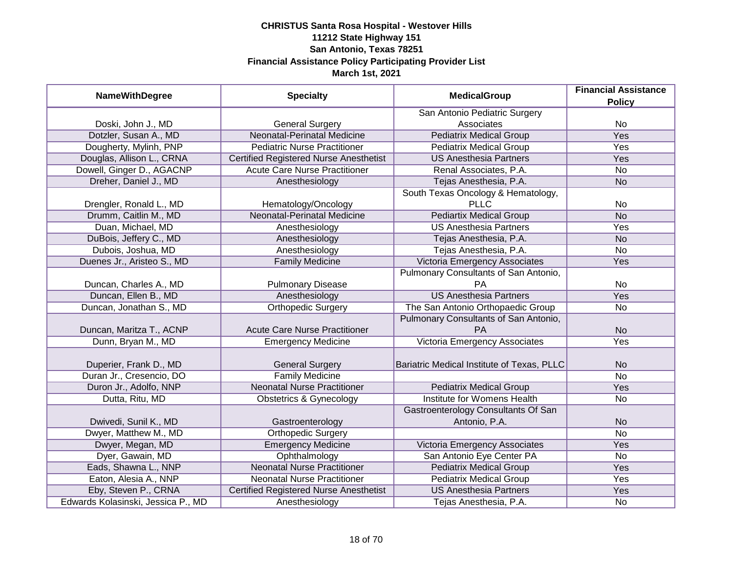| <b>NameWithDegree</b>              | <b>Specialty</b>                              | <b>MedicalGroup</b>                                  | <b>Financial Assistance</b><br><b>Policy</b> |
|------------------------------------|-----------------------------------------------|------------------------------------------------------|----------------------------------------------|
|                                    |                                               | San Antonio Pediatric Surgery                        |                                              |
| Doski, John J., MD                 | <b>General Surgery</b>                        | Associates                                           | No                                           |
| Dotzler, Susan A., MD              | <b>Neonatal-Perinatal Medicine</b>            | <b>Pediatrix Medical Group</b>                       | <b>Yes</b>                                   |
| Dougherty, Mylinh, PNP             | <b>Pediatric Nurse Practitioner</b>           | <b>Pediatrix Medical Group</b>                       | <b>Yes</b>                                   |
| Douglas, Allison L., CRNA          | <b>Certified Registered Nurse Anesthetist</b> | <b>US Anesthesia Partners</b>                        | <b>Yes</b>                                   |
| Dowell, Ginger D., AGACNP          | <b>Acute Care Nurse Practitioner</b>          | Renal Associates, P.A.                               | <b>No</b>                                    |
| Dreher, Daniel J., MD              | Anesthesiology                                | Tejas Anesthesia, P.A.                               | <b>No</b>                                    |
|                                    |                                               | South Texas Oncology & Hematology,                   |                                              |
| Drengler, Ronald L., MD            | Hematology/Oncology                           | <b>PLLC</b>                                          | No                                           |
| Drumm, Caitlin M., MD              | Neonatal-Perinatal Medicine                   | <b>Pediartix Medical Group</b>                       | <b>No</b>                                    |
| Duan, Michael, MD                  | Anesthesiology                                | <b>US Anesthesia Partners</b>                        | Yes                                          |
| DuBois, Jeffery C., MD             | Anesthesiology                                | Tejas Anesthesia, P.A.                               | <b>No</b>                                    |
| Dubois, Joshua, MD                 | Anesthesiology                                | Tejas Anesthesia, P.A.                               | No                                           |
| Duenes Jr., Aristeo S., MD         | <b>Family Medicine</b>                        | Victoria Emergency Associates                        | Yes                                          |
|                                    |                                               | Pulmonary Consultants of San Antonio,                |                                              |
| Duncan, Charles A., MD             | <b>Pulmonary Disease</b>                      | <b>PA</b>                                            | No                                           |
| Duncan, Ellen B., MD               | Anesthesiology                                | <b>US Anesthesia Partners</b>                        | Yes                                          |
| Duncan, Jonathan S., MD            | Orthopedic Surgery                            | The San Antonio Orthopaedic Group                    | <b>No</b>                                    |
| Duncan, Maritza T., ACNP           | <b>Acute Care Nurse Practitioner</b>          | Pulmonary Consultants of San Antonio,<br>PA          | <b>No</b>                                    |
| Dunn, Bryan M., MD                 | <b>Emergency Medicine</b>                     | Victoria Emergency Associates                        | Yes                                          |
| Duperier, Frank D., MD             | <b>General Surgery</b>                        | Bariatric Medical Institute of Texas, PLLC           | <b>No</b>                                    |
| Duran Jr., Cresencio, DO           | <b>Family Medicine</b>                        |                                                      | $\overline{No}$                              |
| Duron Jr., Adolfo, NNP             | <b>Neonatal Nurse Practitioner</b>            | <b>Pediatrix Medical Group</b>                       | Yes                                          |
| Dutta, Ritu, MD                    | <b>Obstetrics &amp; Gynecology</b>            | Institute for Womens Health                          | No                                           |
| Dwivedi, Sunil K., MD              | Gastroenterology                              | Gastroenterology Consultants Of San<br>Antonio, P.A. | <b>No</b>                                    |
| Dwyer, Matthew M., MD              | <b>Orthopedic Surgery</b>                     |                                                      | <b>No</b>                                    |
| Dwyer, Megan, MD                   | <b>Emergency Medicine</b>                     | Victoria Emergency Associates                        | Yes                                          |
| Dyer, Gawain, MD                   | Ophthalmology                                 | San Antonio Eye Center PA                            | No                                           |
| Eads, Shawna L., NNP               | <b>Neonatal Nurse Practitioner</b>            | <b>Pediatrix Medical Group</b>                       | Yes                                          |
| Eaton, Alesia A., NNP              | <b>Neonatal Nurse Practitioner</b>            | <b>Pediatrix Medical Group</b>                       | Yes                                          |
| Eby, Steven P., CRNA               | <b>Certified Registered Nurse Anesthetist</b> | <b>US Anesthesia Partners</b>                        | <b>Yes</b>                                   |
| Edwards Kolasinski, Jessica P., MD | Anesthesiology                                | Tejas Anesthesia, P.A.                               | No                                           |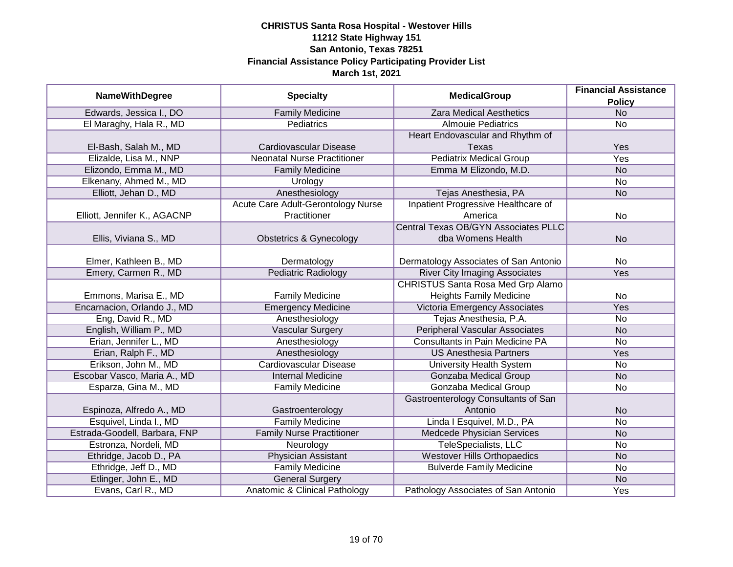| <b>NameWithDegree</b>         | <b>Specialty</b>                   | <b>MedicalGroup</b>                         | <b>Financial Assistance</b><br><b>Policy</b> |
|-------------------------------|------------------------------------|---------------------------------------------|----------------------------------------------|
| Edwards, Jessica I., DO       | <b>Family Medicine</b>             | <b>Zara Medical Aesthetics</b>              | <b>No</b>                                    |
| El Maraghy, Hala R., MD       | <b>Pediatrics</b>                  | <b>Almouie Pediatrics</b>                   | No                                           |
|                               |                                    | Heart Endovascular and Rhythm of            |                                              |
| El-Bash, Salah M., MD         | Cardiovascular Disease             | Texas                                       | Yes                                          |
| Elizalde, Lisa M., NNP        | <b>Neonatal Nurse Practitioner</b> | <b>Pediatrix Medical Group</b>              | Yes                                          |
| Elizondo, Emma M., MD         | <b>Family Medicine</b>             | Emma M Elizondo, M.D.                       | <b>No</b>                                    |
| Elkenany, Ahmed M., MD        | Urology                            |                                             | <b>No</b>                                    |
| Elliott, Jehan D., MD         | Anesthesiology                     | Tejas Anesthesia, PA                        | <b>No</b>                                    |
|                               | Acute Care Adult-Gerontology Nurse | Inpatient Progressive Healthcare of         |                                              |
| Elliott, Jennifer K., AGACNP  | Practitioner                       | America                                     | <b>No</b>                                    |
|                               |                                    | <b>Central Texas OB/GYN Associates PLLC</b> |                                              |
| Ellis, Viviana S., MD         | <b>Obstetrics &amp; Gynecology</b> | dba Womens Health                           | <b>No</b>                                    |
|                               |                                    |                                             |                                              |
| Elmer, Kathleen B., MD        | Dermatology                        | Dermatology Associates of San Antonio       | No                                           |
| Emery, Carmen R., MD          | <b>Pediatric Radiology</b>         | <b>River City Imaging Associates</b>        | Yes                                          |
|                               |                                    | <b>CHRISTUS Santa Rosa Med Grp Alamo</b>    |                                              |
| Emmons, Marisa E., MD         | <b>Family Medicine</b>             | <b>Heights Family Medicine</b>              | No                                           |
| Encarnacion, Orlando J., MD   | <b>Emergency Medicine</b>          | <b>Victoria Emergency Associates</b>        | Yes                                          |
| Eng, David R., MD             | Anesthesiology                     | Tejas Anesthesia, P.A.                      | No                                           |
| English, William P., MD       | <b>Vascular Surgery</b>            | <b>Peripheral Vascular Associates</b>       | <b>No</b>                                    |
| Erian, Jennifer L., MD        | Anesthesiology                     | <b>Consultants in Pain Medicine PA</b>      | <b>No</b>                                    |
| Erian, Ralph F., MD           | Anesthesiology                     | <b>US Anesthesia Partners</b>               | Yes                                          |
| Erikson, John M., MD          | <b>Cardiovascular Disease</b>      | <b>University Health System</b>             | No                                           |
| Escobar Vasco, Maria A., MD   | <b>Internal Medicine</b>           | <b>Gonzaba Medical Group</b>                | <b>No</b>                                    |
| Esparza, Gina M., MD          | <b>Family Medicine</b>             | Gonzaba Medical Group                       | No                                           |
|                               |                                    | Gastroenterology Consultants of San         |                                              |
| Espinoza, Alfredo A., MD      | Gastroenterology                   | Antonio                                     | <b>No</b>                                    |
| Esquivel, Linda I., MD        | <b>Family Medicine</b>             | Linda I Esquivel, M.D., PA                  | <b>No</b>                                    |
| Estrada-Goodell, Barbara, FNP | <b>Family Nurse Practitioner</b>   | Medcede Physician Services                  | <b>No</b>                                    |
| Estronza, Nordeli, MD         | Neurology                          | <b>TeleSpecialists, LLC</b>                 | No                                           |
| Ethridge, Jacob D., PA        | <b>Physician Assistant</b>         | <b>Westover Hills Orthopaedics</b>          | <b>No</b>                                    |
| Ethridge, Jeff D., MD         | <b>Family Medicine</b>             | <b>Bulverde Family Medicine</b>             | <b>No</b>                                    |
| Etlinger, John E., MD         | <b>General Surgery</b>             |                                             | <b>No</b>                                    |
| Evans, Carl R., MD            | Anatomic & Clinical Pathology      | Pathology Associates of San Antonio         | Yes                                          |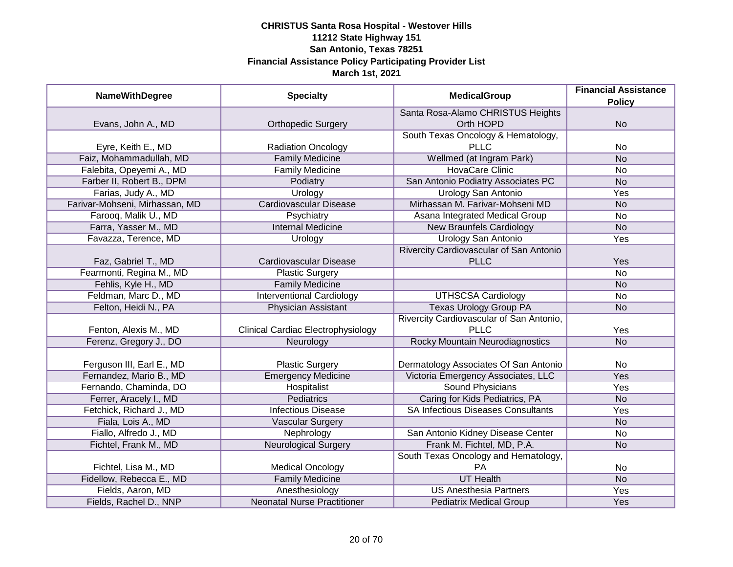| <b>NameWithDegree</b>          | <b>Specialty</b>                          | <b>MedicalGroup</b>                       | <b>Financial Assistance</b> |
|--------------------------------|-------------------------------------------|-------------------------------------------|-----------------------------|
|                                |                                           |                                           | <b>Policy</b>               |
|                                |                                           | Santa Rosa-Alamo CHRISTUS Heights         |                             |
| Evans, John A., MD             | <b>Orthopedic Surgery</b>                 | Orth HOPD                                 | <b>No</b>                   |
|                                |                                           | South Texas Oncology & Hematology,        |                             |
| Eyre, Keith E., MD             | <b>Radiation Oncology</b>                 | <b>PLLC</b>                               | No                          |
| Faiz, Mohammadullah, MD        | <b>Family Medicine</b>                    | Wellmed (at Ingram Park)                  | <b>No</b>                   |
| Falebita, Opeyemi A., MD       | <b>Family Medicine</b>                    | <b>HovaCare Clinic</b>                    | No                          |
| Farber II, Robert B., DPM      | Podiatry                                  | San Antonio Podiatry Associates PC        | <b>No</b>                   |
| Farias, Judy A., MD            | Urology                                   | Urology San Antonio                       | Yes                         |
| Farivar-Mohseni, Mirhassan, MD | <b>Cardiovascular Disease</b>             | Mirhassan M. Farivar-Mohseni MD           | <b>No</b>                   |
| Farooq, Malik U., MD           | Psychiatry                                | Asana Integrated Medical Group            | No                          |
| Farra, Yasser M., MD           | <b>Internal Medicine</b>                  | <b>New Braunfels Cardiology</b>           | <b>No</b>                   |
| Favazza, Terence, MD           | Urology                                   | Urology San Antonio                       | Yes                         |
|                                |                                           | Rivercity Cardiovascular of San Antonio   |                             |
| Faz, Gabriel T., MD            | Cardiovascular Disease                    | <b>PLLC</b>                               | Yes                         |
| Fearmonti, Regina M., MD       | <b>Plastic Surgery</b>                    |                                           | No                          |
| Fehlis, Kyle H., MD            | <b>Family Medicine</b>                    |                                           | <b>No</b>                   |
| Feldman, Marc D., MD           | <b>Interventional Cardiology</b>          | <b>UTHSCSA Cardiology</b>                 | No                          |
| Felton, Heidi N., PA           | <b>Physician Assistant</b>                | <b>Texas Urology Group PA</b>             | <b>No</b>                   |
|                                |                                           | Rivercity Cardiovascular of San Antonio,  |                             |
| Fenton, Alexis M., MD          | <b>Clinical Cardiac Electrophysiology</b> | <b>PLLC</b>                               | Yes                         |
| Ferenz, Gregory J., DO         | Neurology                                 | Rocky Mountain Neurodiagnostics           | <b>No</b>                   |
|                                |                                           |                                           |                             |
| Ferguson III, Earl E., MD      | <b>Plastic Surgery</b>                    | Dermatology Associates Of San Antonio     | No                          |
| Fernandez, Mario B., MD        | <b>Emergency Medicine</b>                 | Victoria Emergency Associates, LLC        | Yes                         |
| Fernando, Chaminda, DO         | Hospitalist                               | Sound Physicians                          | Yes                         |
| Ferrer, Aracely I., MD         | <b>Pediatrics</b>                         | Caring for Kids Pediatrics, PA            | <b>No</b>                   |
| Fetchick, Richard J., MD       | <b>Infectious Disease</b>                 | <b>SA Infectious Diseases Consultants</b> | Yes                         |
| Fiala, Lois A., MD             | <b>Vascular Surgery</b>                   |                                           | <b>No</b>                   |
| Fiallo, Alfredo J., MD         | Nephrology                                | San Antonio Kidney Disease Center         | No                          |
| Fichtel, Frank M., MD          | <b>Neurological Surgery</b>               | Frank M. Fichtel, MD, P.A.                | <b>No</b>                   |
|                                |                                           | South Texas Oncology and Hematology,      |                             |
| Fichtel, Lisa M., MD           | <b>Medical Oncology</b>                   | PA                                        | No                          |
| Fidellow, Rebecca E., MD       | <b>Family Medicine</b>                    | <b>UT Health</b>                          | N <sub>o</sub>              |
| Fields, Aaron, MD              | Anesthesiology                            | <b>US Anesthesia Partners</b>             | <b>Yes</b>                  |
| Fields, Rachel D., NNP         | <b>Neonatal Nurse Practitioner</b>        | <b>Pediatrix Medical Group</b>            | Yes                         |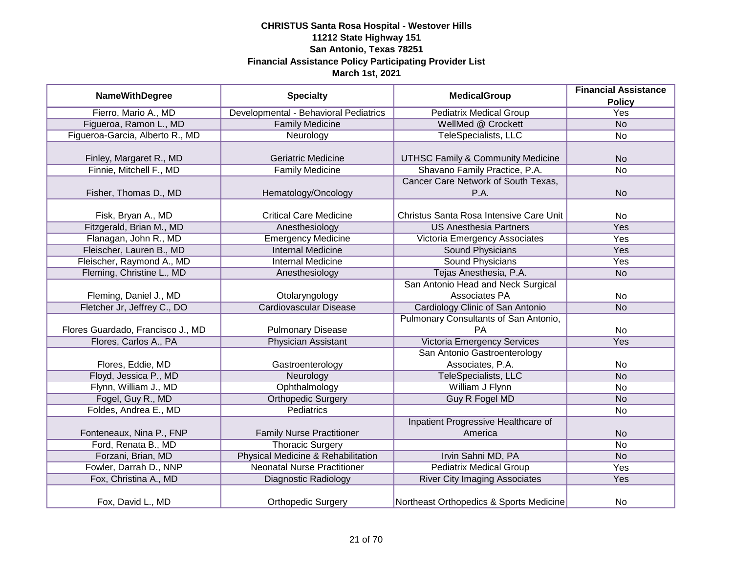|                                   |                                       | <b>MedicalGroup</b>                          | <b>Financial Assistance</b> |
|-----------------------------------|---------------------------------------|----------------------------------------------|-----------------------------|
| <b>NameWithDegree</b>             | <b>Specialty</b>                      |                                              | <b>Policy</b>               |
| Fierro, Mario A., MD              | Developmental - Behavioral Pediatrics | <b>Pediatrix Medical Group</b>               | <b>Yes</b>                  |
| Figueroa, Ramon L., MD            | <b>Family Medicine</b>                | WellMed @ Crockett                           | N <sub>o</sub>              |
| Figueroa-Garcia, Alberto R., MD   | Neurology                             | <b>TeleSpecialists, LLC</b>                  | <b>No</b>                   |
|                                   |                                       |                                              |                             |
| Finley, Margaret R., MD           | <b>Geriatric Medicine</b>             | <b>UTHSC Family &amp; Community Medicine</b> | <b>No</b>                   |
| Finnie, Mitchell F., MD           | <b>Family Medicine</b>                | Shavano Family Practice, P.A.                | <b>No</b>                   |
|                                   |                                       | Cancer Care Network of South Texas,          |                             |
| Fisher, Thomas D., MD             | Hematology/Oncology                   | P.A.                                         | <b>No</b>                   |
|                                   |                                       |                                              |                             |
| Fisk, Bryan A., MD                | <b>Critical Care Medicine</b>         | Christus Santa Rosa Intensive Care Unit      | No                          |
| Fitzgerald, Brian M., MD          | Anesthesiology                        | <b>US Anesthesia Partners</b>                | Yes                         |
| Flanagan, John R., MD             | <b>Emergency Medicine</b>             | Victoria Emergency Associates                | Yes                         |
| Fleischer, Lauren B., MD          | <b>Internal Medicine</b>              | <b>Sound Physicians</b>                      | Yes                         |
| Fleischer, Raymond A., MD         | <b>Internal Medicine</b>              | <b>Sound Physicians</b>                      | Yes                         |
| Fleming, Christine L., MD         | Anesthesiology                        | Tejas Anesthesia, P.A.                       | <b>No</b>                   |
|                                   |                                       | San Antonio Head and Neck Surgical           |                             |
| Fleming, Daniel J., MD            | Otolaryngology                        | Associates PA                                | <b>No</b>                   |
| Fletcher Jr, Jeffrey C., DO       | <b>Cardiovascular Disease</b>         | Cardiology Clinic of San Antonio             | <b>No</b>                   |
|                                   |                                       | Pulmonary Consultants of San Antonio,        |                             |
| Flores Guardado, Francisco J., MD | <b>Pulmonary Disease</b>              | <b>PA</b>                                    | No                          |
| Flores, Carlos A., PA             | <b>Physician Assistant</b>            | <b>Victoria Emergency Services</b>           | Yes                         |
|                                   |                                       | San Antonio Gastroenterology                 |                             |
| Flores, Eddie, MD                 | Gastroenterology                      | Associates, P.A.                             | <b>No</b>                   |
| Floyd, Jessica P., MD             | Neurology                             | TeleSpecialists, LLC                         | <b>No</b>                   |
| Flynn, William J., MD             | Ophthalmology                         | William J Flynn                              | No                          |
| Fogel, Guy R., MD                 | <b>Orthopedic Surgery</b>             | <b>Guy R Fogel MD</b>                        | <b>No</b>                   |
| Foldes, Andrea E., MD             | Pediatrics                            |                                              | <b>No</b>                   |
|                                   |                                       | Inpatient Progressive Healthcare of          |                             |
| Fonteneaux, Nina P., FNP          | <b>Family Nurse Practitioner</b>      | America                                      | <b>No</b>                   |
| Ford, Renata B., MD               | <b>Thoracic Surgery</b>               |                                              | <b>No</b>                   |
| Forzani, Brian, MD                | Physical Medicine & Rehabilitation    | Irvin Sahni MD, PA                           | <b>No</b>                   |
| Fowler, Darrah D., NNP            | <b>Neonatal Nurse Practitioner</b>    | <b>Pediatrix Medical Group</b>               | <b>Yes</b>                  |
| Fox, Christina A., MD             | Diagnostic Radiology                  | <b>River City Imaging Associates</b>         | Yes                         |
| Fox, David L., MD                 | <b>Orthopedic Surgery</b>             | Northeast Orthopedics & Sports Medicine      | No                          |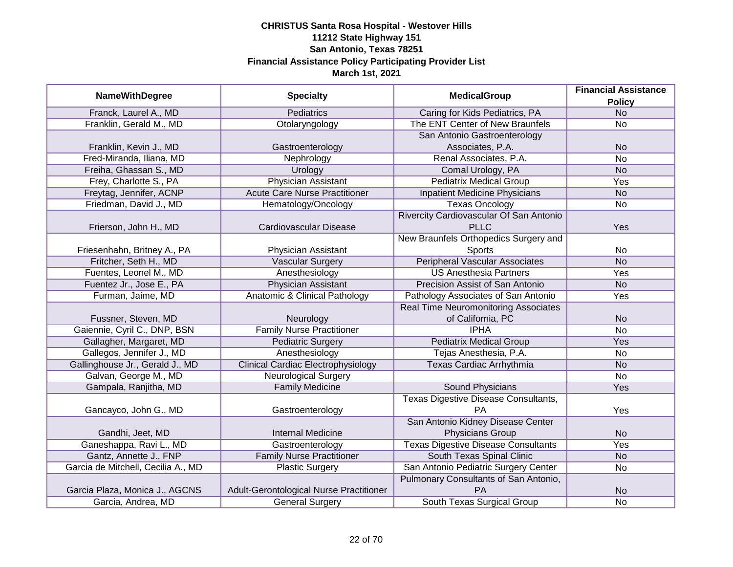|                                    | <b>Specialty</b>                          | <b>MedicalGroup</b>                         | <b>Financial Assistance</b> |
|------------------------------------|-------------------------------------------|---------------------------------------------|-----------------------------|
| <b>NameWithDegree</b>              |                                           |                                             | <b>Policy</b>               |
| Franck, Laurel A., MD              | <b>Pediatrics</b>                         | Caring for Kids Pediatrics, PA              | <b>No</b>                   |
| Franklin, Gerald M., MD            | Otolaryngology                            | The ENT Center of New Braunfels             | No                          |
|                                    |                                           | San Antonio Gastroenterology                |                             |
| Franklin, Kevin J., MD             | Gastroenterology                          | Associates, P.A.                            | <b>No</b>                   |
| Fred-Miranda, Iliana, MD           | Nephrology                                | Renal Associates, P.A.                      | $\overline{No}$             |
| Freiha, Ghassan S., MD             | Urology                                   | Comal Urology, PA                           | <b>No</b>                   |
| Frey, Charlotte S., PA             | <b>Physician Assistant</b>                | <b>Pediatrix Medical Group</b>              | Yes                         |
| Freytag, Jennifer, ACNP            | <b>Acute Care Nurse Practitioner</b>      | <b>Inpatient Medicine Physicians</b>        | <b>No</b>                   |
| Friedman, David J., MD             | Hematology/Oncology                       | <b>Texas Oncology</b>                       | <b>No</b>                   |
|                                    |                                           | Rivercity Cardiovascular Of San Antonio     |                             |
| Frierson, John H., MD              | Cardiovascular Disease                    | <b>PLLC</b>                                 | Yes                         |
|                                    |                                           | New Braunfels Orthopedics Surgery and       |                             |
| Friesenhahn, Britney A., PA        | Physician Assistant                       | Sports                                      | No                          |
| Fritcher, Seth H., MD              | Vascular Surgery                          | <b>Peripheral Vascular Associates</b>       | <b>No</b>                   |
| Fuentes, Leonel M., MD             | Anesthesiology                            | <b>US Anesthesia Partners</b>               | Yes                         |
| Fuentez Jr., Jose E., PA           | <b>Physician Assistant</b>                | Precision Assist of San Antonio             | <b>No</b>                   |
| Furman, Jaime, MD                  | Anatomic & Clinical Pathology             | Pathology Associates of San Antonio         | Yes                         |
|                                    |                                           | <b>Real Time Neuromonitoring Associates</b> |                             |
| Fussner, Steven, MD                | Neurology                                 | of California, PC                           | <b>No</b>                   |
| Gaiennie, Cyril C., DNP, BSN       | <b>Family Nurse Practitioner</b>          | <b>IPHA</b>                                 | No                          |
| Gallagher, Margaret, MD            | <b>Pediatric Surgery</b>                  | <b>Pediatrix Medical Group</b>              | Yes                         |
| Gallegos, Jennifer J., MD          | Anesthesiology                            | Tejas Anesthesia, P.A.                      | No                          |
| Gallinghouse Jr., Gerald J., MD    | <b>Clinical Cardiac Electrophysiology</b> | Texas Cardiac Arrhythmia                    | <b>No</b>                   |
| Galvan, George M., MD              | <b>Neurological Surgery</b>               |                                             | No                          |
| Gampala, Ranjitha, MD              | <b>Family Medicine</b>                    | <b>Sound Physicians</b>                     | Yes                         |
|                                    |                                           | <b>Texas Digestive Disease Consultants,</b> |                             |
| Gancayco, John G., MD              | Gastroenterology                          | <b>PA</b>                                   | Yes                         |
|                                    |                                           | San Antonio Kidney Disease Center           |                             |
| Gandhi, Jeet, MD                   | <b>Internal Medicine</b>                  | Physicians Group                            | <b>No</b>                   |
| Ganeshappa, Ravi L., MD            | Gastroenterology                          | <b>Texas Digestive Disease Consultants</b>  | Yes                         |
| Gantz, Annette J., FNP             | <b>Family Nurse Practitioner</b>          | South Texas Spinal Clinic                   | <b>No</b>                   |
| Garcia de Mitchell, Cecilia A., MD | <b>Plastic Surgery</b>                    | San Antonio Pediatric Surgery Center        | No                          |
|                                    |                                           | Pulmonary Consultants of San Antonio,       |                             |
| Garcia Plaza, Monica J., AGCNS     | Adult-Gerontological Nurse Practitioner   | PA                                          | <b>No</b>                   |
| Garcia, Andrea, MD                 | <b>General Surgery</b>                    | South Texas Surgical Group                  | No                          |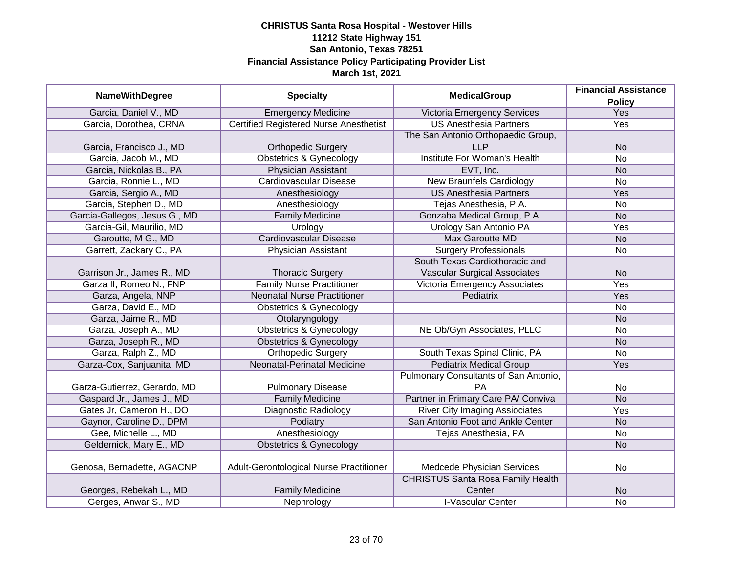|                               |                                               | <b>MedicalGroup</b>                      | <b>Financial Assistance</b> |
|-------------------------------|-----------------------------------------------|------------------------------------------|-----------------------------|
| <b>NameWithDegree</b>         | <b>Specialty</b>                              |                                          | <b>Policy</b>               |
| Garcia, Daniel V., MD         | <b>Emergency Medicine</b>                     | Victoria Emergency Services              | <b>Yes</b>                  |
| Garcia, Dorothea, CRNA        | <b>Certified Registered Nurse Anesthetist</b> | <b>US Anesthesia Partners</b>            | <b>Yes</b>                  |
|                               |                                               | The San Antonio Orthopaedic Group,       |                             |
| Garcia, Francisco J., MD      | <b>Orthopedic Surgery</b>                     | <b>LLP</b>                               | <b>No</b>                   |
| Garcia, Jacob M., MD          | <b>Obstetrics &amp; Gynecology</b>            | <b>Institute For Woman's Health</b>      | $\overline{No}$             |
| Garcia, Nickolas B., PA       | Physician Assistant                           | EVT, Inc.                                | <b>No</b>                   |
| Garcia, Ronnie L., MD         | <b>Cardiovascular Disease</b>                 | <b>New Braunfels Cardiology</b>          | $\overline{No}$             |
| Garcia, Sergio A., MD         | Anesthesiology                                | <b>US Anesthesia Partners</b>            | Yes                         |
| Garcia, Stephen D., MD        | Anesthesiology                                | Tejas Anesthesia, P.A.                   | <b>No</b>                   |
| Garcia-Gallegos, Jesus G., MD | <b>Family Medicine</b>                        | Gonzaba Medical Group, P.A.              | <b>No</b>                   |
| Garcia-Gil, Maurilio, MD      | Urology                                       | Urology San Antonio PA                   | Yes                         |
| Garoutte, M G., MD            | <b>Cardiovascular Disease</b>                 | <b>Max Garoutte MD</b>                   | <b>No</b>                   |
| Garrett, Zackary C., PA       | Physician Assistant                           | <b>Surgery Professionals</b>             | <b>No</b>                   |
|                               |                                               | South Texas Cardiothoracic and           |                             |
| Garrison Jr., James R., MD    | <b>Thoracic Surgery</b>                       | <b>Vascular Surgical Associates</b>      | <b>No</b>                   |
| Garza II, Romeo N., FNP       | <b>Family Nurse Practitioner</b>              | Victoria Emergency Associates            | Yes                         |
| Garza, Angela, NNP            | <b>Neonatal Nurse Practitioner</b>            | Pediatrix                                | Yes                         |
| Garza, David E., MD           | <b>Obstetrics &amp; Gynecology</b>            |                                          | <b>No</b>                   |
| Garza, Jaime R., MD           | Otolaryngology                                |                                          | <b>No</b>                   |
| Garza, Joseph A., MD          | <b>Obstetrics &amp; Gynecology</b>            | NE Ob/Gyn Associates, PLLC               | No                          |
| Garza, Joseph R., MD          | <b>Obstetrics &amp; Gynecology</b>            |                                          | <b>No</b>                   |
| Garza, Ralph Z., MD           | <b>Orthopedic Surgery</b>                     | South Texas Spinal Clinic, PA            | No                          |
| Garza-Cox, Sanjuanita, MD     | <b>Neonatal-Perinatal Medicine</b>            | <b>Pediatrix Medical Group</b>           | Yes                         |
|                               |                                               | Pulmonary Consultants of San Antonio,    |                             |
| Garza-Gutierrez, Gerardo, MD  | <b>Pulmonary Disease</b>                      | PA                                       | No                          |
| Gaspard Jr., James J., MD     | <b>Family Medicine</b>                        | Partner in Primary Care PA/ Conviva      | <b>No</b>                   |
| Gates Jr, Cameron H., DO      | Diagnostic Radiology                          | <b>River City Imaging Assiociates</b>    | Yes                         |
| Gaynor, Caroline D., DPM      | Podiatry                                      | San Antonio Foot and Ankle Center        | <b>No</b>                   |
| Gee, Michelle L., MD          | Anesthesiology                                | Tejas Anesthesia, PA                     | No                          |
| Geldernick, Mary E., MD       | <b>Obstetrics &amp; Gynecology</b>            |                                          | <b>No</b>                   |
|                               |                                               |                                          |                             |
| Genosa, Bernadette, AGACNP    | Adult-Gerontological Nurse Practitioner       | Medcede Physician Services               | No                          |
|                               |                                               | <b>CHRISTUS Santa Rosa Family Health</b> |                             |
| Georges, Rebekah L., MD       | <b>Family Medicine</b>                        | Center                                   | <b>No</b>                   |
| Gerges, Anwar S., MD          | Nephrology                                    | <b>I-Vascular Center</b>                 | No                          |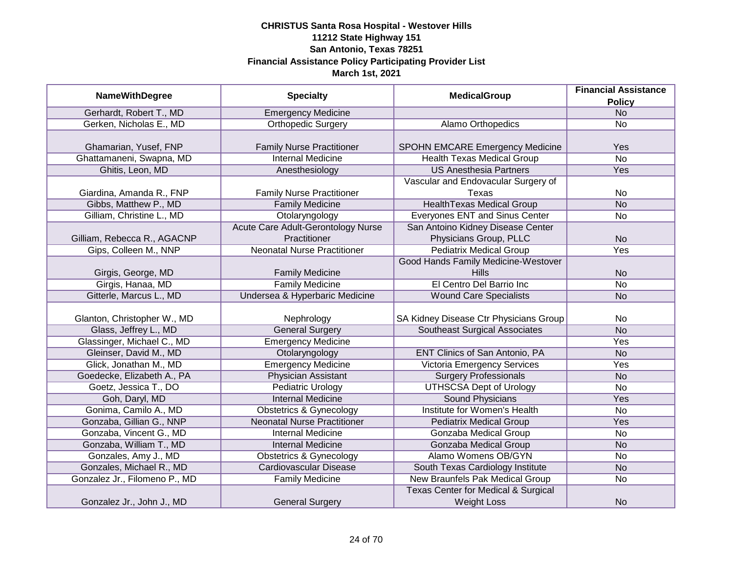|                               |                                           | <b>MedicalGroup</b>                            | <b>Financial Assistance</b> |
|-------------------------------|-------------------------------------------|------------------------------------------------|-----------------------------|
| <b>NameWithDegree</b>         | <b>Specialty</b>                          |                                                | <b>Policy</b>               |
| Gerhardt, Robert T., MD       | <b>Emergency Medicine</b>                 |                                                | N <sub>o</sub>              |
| Gerken, Nicholas E., MD       | <b>Orthopedic Surgery</b>                 | Alamo Orthopedics                              | No                          |
|                               |                                           |                                                |                             |
| Ghamarian, Yusef, FNP         | <b>Family Nurse Practitioner</b>          | <b>SPOHN EMCARE Emergency Medicine</b>         | Yes                         |
| Ghattamaneni, Swapna, MD      | <b>Internal Medicine</b>                  | <b>Health Texas Medical Group</b>              | $\overline{No}$             |
| Ghitis, Leon, MD              | Anesthesiology                            | <b>US Anesthesia Partners</b>                  | Yes                         |
|                               |                                           | Vascular and Endovacular Surgery of            |                             |
| Giardina, Amanda R., FNP      | <b>Family Nurse Practitioner</b>          | Texas                                          | No                          |
| Gibbs, Matthew P., MD         | <b>Family Medicine</b>                    | <b>HealthTexas Medical Group</b>               | <b>No</b>                   |
| Gilliam, Christine L., MD     | Otolaryngology                            | Everyones ENT and Sinus Center                 | No                          |
|                               | <b>Acute Care Adult-Gerontology Nurse</b> | San Antoino Kidney Disease Center              |                             |
| Gilliam, Rebecca R., AGACNP   | Practitioner                              | Physicians Group, PLLC                         | <b>No</b>                   |
| Gips, Colleen M., NNP         | <b>Neonatal Nurse Practitioner</b>        | <b>Pediatrix Medical Group</b>                 | Yes                         |
|                               |                                           | Good Hands Family Medicine-Westover            |                             |
| Girgis, George, MD            | <b>Family Medicine</b>                    | Hills                                          | <b>No</b>                   |
| Girgis, Hanaa, MD             | <b>Family Medicine</b>                    | El Centro Del Barrio Inc                       | No                          |
| Gitterle, Marcus L., MD       | Undersea & Hyperbaric Medicine            | <b>Wound Care Specialists</b>                  | <b>No</b>                   |
|                               |                                           |                                                |                             |
| Glanton, Christopher W., MD   | Nephrology                                | SA Kidney Disease Ctr Physicians Group         | No                          |
| Glass, Jeffrey L., MD         | <b>General Surgery</b>                    | Southeast Surgical Associates                  | <b>No</b>                   |
| Glassinger, Michael C., MD    | <b>Emergency Medicine</b>                 |                                                | Yes                         |
| Gleinser, David M., MD        | Otolaryngology                            | <b>ENT Clinics of San Antonio, PA</b>          | <b>No</b>                   |
| Glick, Jonathan M., MD        | <b>Emergency Medicine</b>                 | <b>Victoria Emergency Services</b>             | Yes                         |
| Goedecke, Elizabeth A., PA    | <b>Physician Assistant</b>                | <b>Surgery Professionals</b>                   | <b>No</b>                   |
| Goetz, Jessica T., DO         | <b>Pediatric Urology</b>                  | <b>UTHSCSA Dept of Urology</b>                 | <b>No</b>                   |
| Goh, Daryl, MD                | <b>Internal Medicine</b>                  | <b>Sound Physicians</b>                        | Yes                         |
| Gonima, Camilo A., MD         | <b>Obstetrics &amp; Gynecology</b>        | Institute for Women's Health                   | No                          |
| Gonzaba, Gillian G., NNP      | <b>Neonatal Nurse Practitioner</b>        | <b>Pediatrix Medical Group</b>                 | Yes                         |
| Gonzaba, Vincent G., MD       | <b>Internal Medicine</b>                  | Gonzaba Medical Group                          | No                          |
| Gonzaba, William T., MD       | <b>Internal Medicine</b>                  | Gonzaba Medical Group                          | <b>No</b>                   |
| Gonzales, Amy J., MD          | <b>Obstetrics &amp; Gynecology</b>        | Alamo Womens OB/GYN                            | No                          |
| Gonzales, Michael R., MD      | <b>Cardiovascular Disease</b>             | South Texas Cardiology Institute               | <b>No</b>                   |
| Gonzalez Jr., Filomeno P., MD | <b>Family Medicine</b>                    | New Braunfels Pak Medical Group                | No                          |
|                               |                                           | <b>Texas Center for Medical &amp; Surgical</b> |                             |
| Gonzalez Jr., John J., MD     | <b>General Surgery</b>                    | <b>Weight Loss</b>                             | <b>No</b>                   |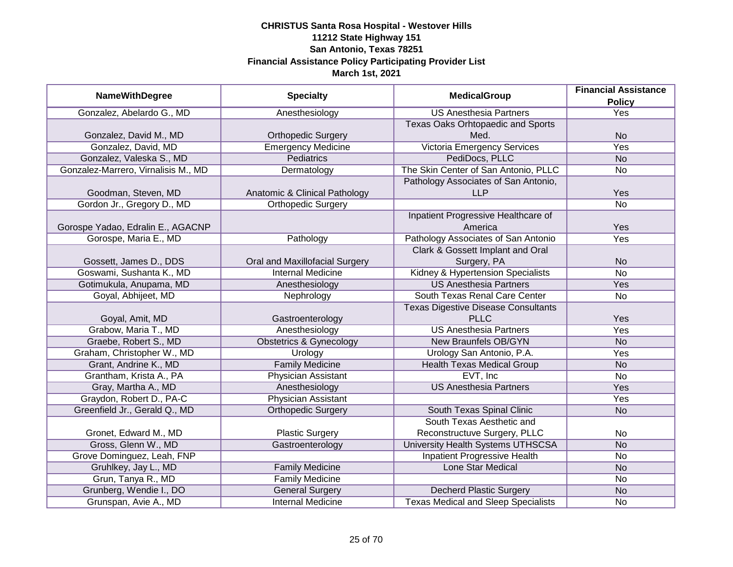|                                     |                                | <b>MedicalGroup</b>                        | <b>Financial Assistance</b> |
|-------------------------------------|--------------------------------|--------------------------------------------|-----------------------------|
| <b>NameWithDegree</b>               | <b>Specialty</b>               |                                            | <b>Policy</b>               |
| Gonzalez, Abelardo G., MD           | Anesthesiology                 | <b>US Anesthesia Partners</b>              | <b>Yes</b>                  |
|                                     |                                | Texas Oaks Orhtopaedic and Sports          |                             |
| Gonzalez, David M., MD              | <b>Orthopedic Surgery</b>      | Med.                                       | <b>No</b>                   |
| Gonzalez, David, MD                 | <b>Emergency Medicine</b>      | <b>Victoria Emergency Services</b>         | <b>Yes</b>                  |
| Gonzalez, Valeska S., MD            | <b>Pediatrics</b>              | PediDocs, PLLC                             | <b>No</b>                   |
| Gonzalez-Marrero, Virnalisis M., MD | Dermatology                    | The Skin Center of San Antonio, PLLC       | No                          |
|                                     |                                | Pathology Associates of San Antonio,       |                             |
| Goodman, Steven, MD                 | Anatomic & Clinical Pathology  | <b>LLP</b>                                 | Yes                         |
| Gordon Jr., Gregory D., MD          | <b>Orthopedic Surgery</b>      |                                            | <b>No</b>                   |
|                                     |                                | Inpatient Progressive Healthcare of        |                             |
| Gorospe Yadao, Edralin E., AGACNP   |                                | America                                    | Yes                         |
| Gorospe, Maria E., MD               | Pathology                      | Pathology Associates of San Antonio        | Yes                         |
|                                     |                                | Clark & Gossett Implant and Oral           |                             |
| Gossett, James D., DDS              | Oral and Maxillofacial Surgery | Surgery, PA                                | <b>No</b>                   |
| Goswami, Sushanta K., MD            | <b>Internal Medicine</b>       | Kidney & Hypertension Specialists          | <b>No</b>                   |
| Gotimukula, Anupama, MD             | Anesthesiology                 | <b>US Anesthesia Partners</b>              | Yes                         |
| Goyal, Abhijeet, MD                 | Nephrology                     | South Texas Renal Care Center              | No                          |
|                                     |                                | <b>Texas Digestive Disease Consultants</b> |                             |
| Goyal, Amit, MD                     | Gastroenterology               | <b>PLLC</b>                                | Yes                         |
| Grabow, Maria T., MD                | Anesthesiology                 | <b>US Anesthesia Partners</b>              | Yes                         |
| Graebe, Robert S., MD               | Obstetrics & Gynecology        | New Braunfels OB/GYN                       | <b>No</b>                   |
| Graham, Christopher W., MD          | Urology                        | Urology San Antonio, P.A.                  | Yes                         |
| Grant, Andrine K., MD               | <b>Family Medicine</b>         | <b>Health Texas Medical Group</b>          | <b>No</b>                   |
| Grantham, Krista A., PA             | <b>Physician Assistant</b>     | EVT, Inc                                   | <b>No</b>                   |
| Gray, Martha A., MD                 | Anesthesiology                 | <b>US Anesthesia Partners</b>              | Yes                         |
| Graydon, Robert D., PA-C            | <b>Physician Assistant</b>     |                                            | Yes                         |
| Greenfield Jr., Gerald Q., MD       | <b>Orthopedic Surgery</b>      | South Texas Spinal Clinic                  | <b>No</b>                   |
|                                     |                                | South Texas Aesthetic and                  |                             |
| Gronet, Edward M., MD               | <b>Plastic Surgery</b>         | Reconstructuve Surgery, PLLC               | No                          |
| Gross, Glenn W., MD                 | Gastroenterology               | University Health Systems UTHSCSA          | <b>No</b>                   |
| Grove Dominguez, Leah, FNP          |                                | <b>Inpatient Progressive Health</b>        | No                          |
| Gruhlkey, Jay L., MD                | <b>Family Medicine</b>         | <b>Lone Star Medical</b>                   | <b>No</b>                   |
| Grun, Tanya R., MD                  | <b>Family Medicine</b>         |                                            | No                          |
| Grunberg, Wendie I., DO             | <b>General Surgery</b>         | <b>Decherd Plastic Surgery</b>             | <b>No</b>                   |
| Grunspan, Avie A., MD               | <b>Internal Medicine</b>       | <b>Texas Medical and Sleep Specialists</b> | No                          |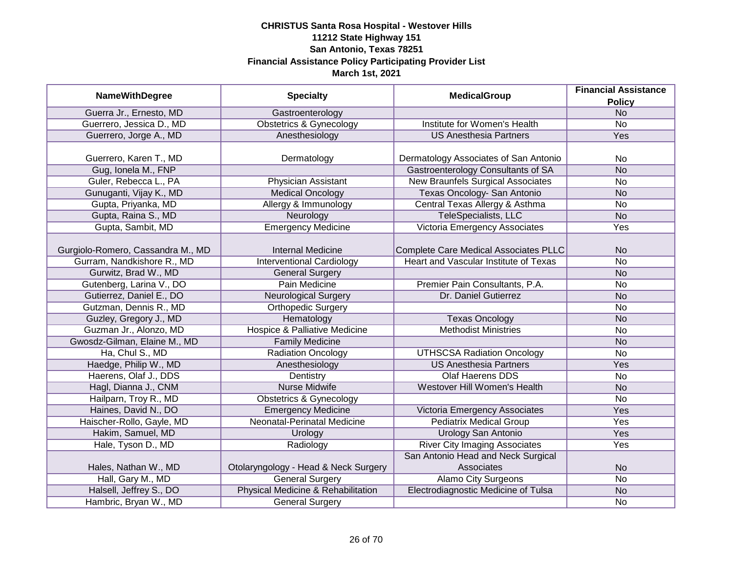|                                   |                                          | <b>MedicalGroup</b>                      | <b>Financial Assistance</b> |
|-----------------------------------|------------------------------------------|------------------------------------------|-----------------------------|
| <b>NameWithDegree</b>             | <b>Specialty</b>                         |                                          | <b>Policy</b>               |
| Guerra Jr., Ernesto, MD           | Gastroenterology                         |                                          | N <sub>o</sub>              |
| Guerrero, Jessica D., MD          | <b>Obstetrics &amp; Gynecology</b>       | Institute for Women's Health             | No                          |
| Guerrero, Jorge A., MD            | Anesthesiology                           | <b>US Anesthesia Partners</b>            | <b>Yes</b>                  |
|                                   |                                          |                                          |                             |
| Guerrero, Karen T., MD            | Dermatology                              | Dermatology Associates of San Antonio    | No                          |
| Gug, Ionela M., FNP               |                                          | Gastroenterology Consultants of SA       | <b>No</b>                   |
| Guler, Rebecca L., PA             | Physician Assistant                      | <b>New Braunfels Surgical Associates</b> | <b>No</b>                   |
| Gunuganti, Vijay K., MD           | <b>Medical Oncology</b>                  | Texas Oncology- San Antonio              | <b>No</b>                   |
| Gupta, Priyanka, MD               | Allergy & Immunology                     | Central Texas Allergy & Asthma           | No                          |
| Gupta, Raina S., MD               | Neurology                                | TeleSpecialists, LLC                     | <b>No</b>                   |
| Gupta, Sambit, MD                 | <b>Emergency Medicine</b>                | Victoria Emergency Associates            | Yes                         |
|                                   |                                          |                                          |                             |
| Gurgiolo-Romero, Cassandra M., MD | <b>Internal Medicine</b>                 | Complete Care Medical Associates PLLC    | <b>No</b>                   |
| Gurram, Nandkishore R., MD        | <b>Interventional Cardiology</b>         | Heart and Vascular Institute of Texas    | No                          |
| Gurwitz, Brad W., MD              | <b>General Surgery</b>                   |                                          | <b>No</b>                   |
| Gutenberg, Larina V., DO          | Pain Medicine                            | Premier Pain Consultants, P.A.           | No                          |
| Gutierrez, Daniel E., DO          | <b>Neurological Surgery</b>              | Dr. Daniel Gutierrez                     | <b>No</b>                   |
| Gutzman, Dennis R., MD            | <b>Orthopedic Surgery</b>                |                                          | No                          |
| Guzley, Gregory J., MD            | Hematology                               | <b>Texas Oncology</b>                    | <b>No</b>                   |
| Guzman Jr., Alonzo, MD            | <b>Hospice &amp; Palliative Medicine</b> | <b>Methodist Ministries</b>              | <b>No</b>                   |
| Gwosdz-Gilman, Elaine M., MD      | <b>Family Medicine</b>                   |                                          | <b>No</b>                   |
| Ha, Chul S., MD                   | <b>Radiation Oncology</b>                | <b>UTHSCSA Radiation Oncology</b>        | <b>No</b>                   |
| Haedge, Philip W., MD             | Anesthesiology                           | <b>US Anesthesia Partners</b>            | Yes                         |
| Haerens, Olaf J., DDS             | Dentistry                                | <b>Olaf Haerens DDS</b>                  | <b>No</b>                   |
| Hagl, Dianna J., CNM              | <b>Nurse Midwife</b>                     | Westover Hill Women's Health             | <b>No</b>                   |
| Hailparn, Troy R., MD             | <b>Obstetrics &amp; Gynecology</b>       |                                          | No                          |
| Haines, David N., DO              | <b>Emergency Medicine</b>                | Victoria Emergency Associates            | Yes                         |
| Haischer-Rollo, Gayle, MD         | Neonatal-Perinatal Medicine              | <b>Pediatrix Medical Group</b>           | Yes                         |
| Hakim, Samuel, MD                 | Urology                                  | <b>Urology San Antonio</b>               | Yes                         |
| Hale, Tyson D., MD                | Radiology                                | <b>River City Imaging Associates</b>     | Yes                         |
|                                   |                                          | San Antonio Head and Neck Surgical       |                             |
| Hales, Nathan W., MD              | Otolaryngology - Head & Neck Surgery     | Associates                               | <b>No</b>                   |
| Hall, Gary M., MD                 | <b>General Surgery</b>                   | <b>Alamo City Surgeons</b>               | No                          |
| Halsell, Jeffrey S., DO           | Physical Medicine & Rehabilitation       | Electrodiagnostic Medicine of Tulsa      | <b>No</b>                   |
| Hambric, Bryan W., MD             | <b>General Surgery</b>                   |                                          | No                          |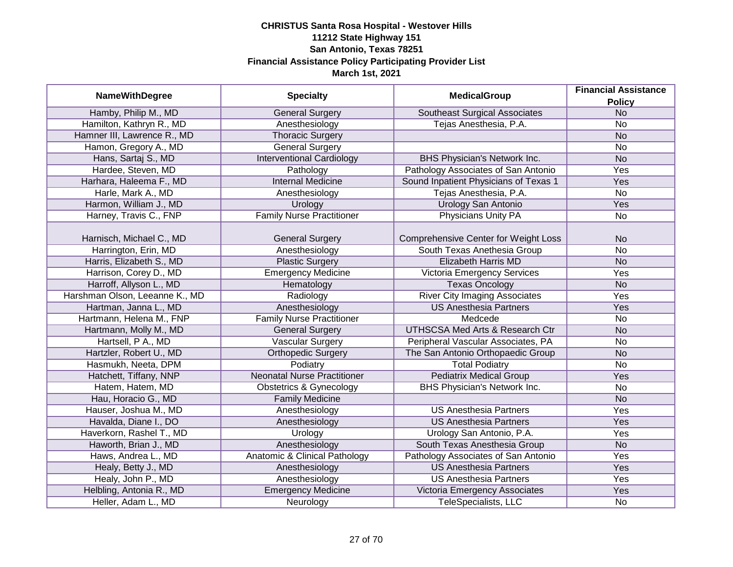| <b>NameWithDegree</b>          | <b>Specialty</b>                         | <b>MedicalGroup</b>                         | <b>Financial Assistance</b> |
|--------------------------------|------------------------------------------|---------------------------------------------|-----------------------------|
|                                |                                          |                                             | <b>Policy</b>               |
| Hamby, Philip M., MD           | <b>General Surgery</b>                   | <b>Southeast Surgical Associates</b>        | <b>No</b>                   |
| Hamilton, Kathryn R., MD       | Anesthesiology                           | Tejas Anesthesia, P.A.                      | No                          |
| Hamner III, Lawrence R., MD    | <b>Thoracic Surgery</b>                  |                                             | <b>No</b>                   |
| Hamon, Gregory A., MD          | <b>General Surgery</b>                   |                                             | No                          |
| Hans, Sartaj S., MD            | <b>Interventional Cardiology</b>         | BHS Physician's Network Inc.                | N <sub>o</sub>              |
| Hardee, Steven, MD             | Pathology                                | Pathology Associates of San Antonio         | Yes                         |
| Harhara, Haleema F., MD        | <b>Internal Medicine</b>                 | Sound Inpatient Physicians of Texas 1       | Yes                         |
| Harle, Mark A., MD             | Anesthesiology                           | Tejas Anesthesia, P.A.                      | No                          |
| Harmon, William J., MD         | Urology                                  | Urology San Antonio                         | Yes                         |
| Harney, Travis C., FNP         | <b>Family Nurse Practitioner</b>         | Physicians Unity PA                         | No                          |
|                                |                                          |                                             |                             |
| Harnisch, Michael C., MD       | <b>General Surgery</b>                   | <b>Comprehensive Center for Weight Loss</b> | <b>No</b>                   |
| Harrington, Erin, MD           | Anesthesiology                           | South Texas Anethesia Group                 | No                          |
| Harris, Elizabeth S., MD       | <b>Plastic Surgery</b>                   | <b>Elizabeth Harris MD</b>                  | <b>No</b>                   |
| Harrison, Corey D., MD         | <b>Emergency Medicine</b>                | <b>Victoria Emergency Services</b>          | Yes                         |
| Harroff, Allyson L., MD        | Hematology                               | <b>Texas Oncology</b>                       | <b>No</b>                   |
| Harshman Olson, Leeanne K., MD | Radiology                                | <b>River City Imaging Associates</b>        | Yes                         |
| Hartman, Janna L., MD          | Anesthesiology                           | <b>US Anesthesia Partners</b>               | Yes                         |
| Hartmann, Helena M., FNP       | <b>Family Nurse Practitioner</b>         | Medcede                                     | No                          |
| Hartmann, Molly M., MD         | <b>General Surgery</b>                   | <b>UTHSCSA Med Arts &amp; Research Ctr</b>  | <b>No</b>                   |
| Hartsell, P A., MD             | <b>Vascular Surgery</b>                  | Peripheral Vascular Associates, PA          | No                          |
| Hartzler, Robert U., MD        | <b>Orthopedic Surgery</b>                | The San Antonio Orthopaedic Group           | <b>No</b>                   |
| Hasmukh, Neeta, DPM            | Podiatry                                 | <b>Total Podiatry</b>                       | No                          |
| Hatchett, Tiffany, NNP         | <b>Neonatal Nurse Practitioner</b>       | <b>Pediatrix Medical Group</b>              | Yes                         |
| Hatem, Hatem, MD               | <b>Obstetrics &amp; Gynecology</b>       | <b>BHS Physician's Network Inc.</b>         | <b>No</b>                   |
| Hau, Horacio G., MD            | <b>Family Medicine</b>                   |                                             | <b>No</b>                   |
| Hauser, Joshua M., MD          | Anesthesiology                           | <b>US Anesthesia Partners</b>               | Yes                         |
| Havalda, Diane I., DO          | Anesthesiology                           | <b>US Anesthesia Partners</b>               | Yes                         |
| Haverkorn, Rashel T., MD       | Urology                                  | Urology San Antonio, P.A.                   | Yes                         |
| Haworth, Brian J., MD          | Anesthesiology                           | South Texas Anesthesia Group                | <b>No</b>                   |
| Haws, Andrea L., MD            | <b>Anatomic &amp; Clinical Pathology</b> | Pathology Associates of San Antonio         | Yes                         |
| Healy, Betty J., MD            | Anesthesiology                           | <b>US Anesthesia Partners</b>               | Yes                         |
| Healy, John P., MD             | Anesthesiology                           | <b>US Anesthesia Partners</b>               | Yes                         |
| Helbling, Antonia R., MD       | <b>Emergency Medicine</b>                | Victoria Emergency Associates               | Yes                         |
| Heller, Adam L., MD            | Neurology                                | <b>TeleSpecialists, LLC</b>                 | No                          |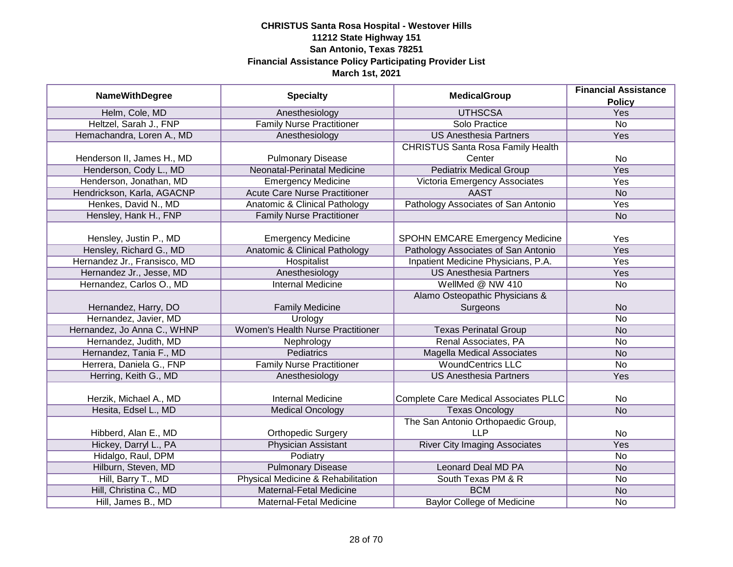|                              |                                          |                                          | <b>Financial Assistance</b> |
|------------------------------|------------------------------------------|------------------------------------------|-----------------------------|
| <b>NameWithDegree</b>        | <b>Specialty</b>                         | <b>MedicalGroup</b>                      | <b>Policy</b>               |
| Helm, Cole, MD               | Anesthesiology                           | <b>UTHSCSA</b>                           | Yes                         |
| Heltzel, Sarah J., FNP       | <b>Family Nurse Practitioner</b>         | Solo Practice                            | $\overline{No}$             |
| Hemachandra, Loren A., MD    | Anesthesiology                           | <b>US Anesthesia Partners</b>            | Yes                         |
|                              |                                          | <b>CHRISTUS Santa Rosa Family Health</b> |                             |
| Henderson II, James H., MD   | <b>Pulmonary Disease</b>                 | Center                                   | No                          |
| Henderson, Cody L., MD       | Neonatal-Perinatal Medicine              | <b>Pediatrix Medical Group</b>           | <b>Yes</b>                  |
| Henderson, Jonathan, MD      | <b>Emergency Medicine</b>                | Victoria Emergency Associates            | <b>Yes</b>                  |
| Hendrickson, Karla, AGACNP   | <b>Acute Care Nurse Practitioner</b>     | <b>AAST</b>                              | <b>No</b>                   |
| Henkes, David N., MD         | Anatomic & Clinical Pathology            | Pathology Associates of San Antonio      | Yes                         |
| Hensley, Hank H., FNP        | <b>Family Nurse Practitioner</b>         |                                          | <b>No</b>                   |
|                              |                                          |                                          |                             |
| Hensley, Justin P., MD       | <b>Emergency Medicine</b>                | SPOHN EMCARE Emergency Medicine          | Yes                         |
| Hensley, Richard G., MD      | <b>Anatomic &amp; Clinical Pathology</b> | Pathology Associates of San Antonio      | Yes                         |
| Hernandez Jr., Fransisco, MD | <b>Hospitalist</b>                       | Inpatient Medicine Physicians, P.A.      | Yes                         |
| Hernandez Jr., Jesse, MD     | Anesthesiology                           | <b>US Anesthesia Partners</b>            | Yes                         |
| Hernandez, Carlos O., MD     | <b>Internal Medicine</b>                 | WellMed @ NW 410                         | No                          |
|                              |                                          | Alamo Osteopathic Physicians &           |                             |
| Hernandez, Harry, DO         | <b>Family Medicine</b>                   | Surgeons                                 | <b>No</b>                   |
| Hernandez, Javier, MD        | Urology                                  |                                          | No                          |
| Hernandez, Jo Anna C., WHNP  | <b>Women's Health Nurse Practitioner</b> | <b>Texas Perinatal Group</b>             | <b>No</b>                   |
| Hernandez, Judith, MD        | Nephrology                               | Renal Associates, PA                     | <b>No</b>                   |
| Hernandez, Tania F., MD      | <b>Pediatrics</b>                        | <b>Magella Medical Associates</b>        | <b>No</b>                   |
| Herrera, Daniela G., FNP     | <b>Family Nurse Practitioner</b>         | <b>WoundCentrics LLC</b>                 | <b>No</b>                   |
| Herring, Keith G., MD        | Anesthesiology                           | <b>US Anesthesia Partners</b>            | Yes                         |
|                              |                                          |                                          |                             |
| Herzik, Michael A., MD       | <b>Internal Medicine</b>                 | Complete Care Medical Associates PLLC    | No                          |
| Hesita, Edsel L., MD         | <b>Medical Oncology</b>                  | <b>Texas Oncology</b>                    | <b>No</b>                   |
|                              |                                          | The San Antonio Orthopaedic Group,       |                             |
| Hibberd, Alan E., MD         | <b>Orthopedic Surgery</b>                | <b>LLP</b>                               | No                          |
| Hickey, Darryl L., PA        | <b>Physician Assistant</b>               | <b>River City Imaging Associates</b>     | Yes                         |
| Hidalgo, Raul, DPM           | Podiatry                                 |                                          | No                          |
| Hilburn, Steven, MD          | <b>Pulmonary Disease</b>                 | <b>Leonard Deal MD PA</b>                | <b>No</b>                   |
| Hill, Barry T., MD           | Physical Medicine & Rehabilitation       | South Texas PM & R                       | No                          |
| Hill, Christina C., MD       | Maternal-Fetal Medicine                  | <b>BCM</b>                               | <b>No</b>                   |
| Hill, James B., MD           | Maternal-Fetal Medicine                  | <b>Baylor College of Medicine</b>        | No                          |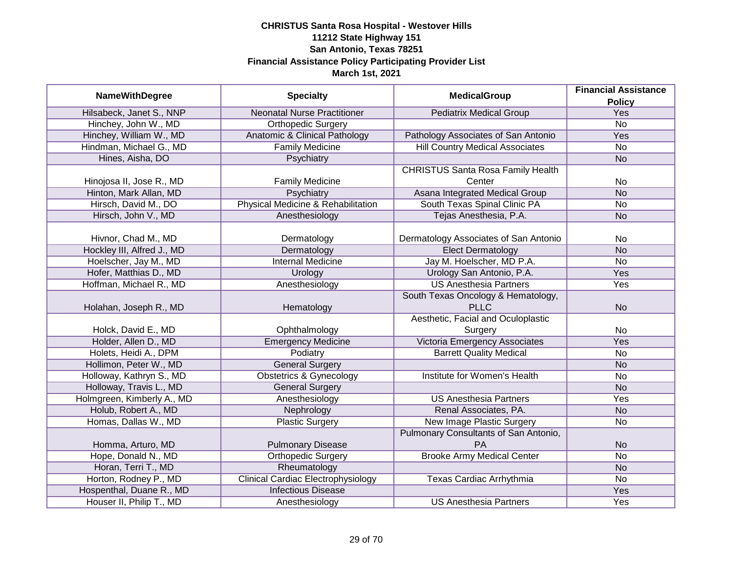| <b>NameWithDegree</b>      | <b>Specialty</b>                          | <b>MedicalGroup</b>                      | <b>Financial Assistance</b> |
|----------------------------|-------------------------------------------|------------------------------------------|-----------------------------|
| Hilsabeck, Janet S., NNP   | <b>Neonatal Nurse Practitioner</b>        | <b>Pediatrix Medical Group</b>           | <b>Policy</b><br>Yes        |
| Hinchey, John W., MD       | <b>Orthopedic Surgery</b>                 |                                          | $\overline{No}$             |
| Hinchey, William W., MD    | Anatomic & Clinical Pathology             | Pathology Associates of San Antonio      | Yes                         |
| Hindman, Michael G., MD    | <b>Family Medicine</b>                    | <b>Hill Country Medical Associates</b>   | No                          |
| Hines, Aisha, DO           | Psychiatry                                |                                          | <b>No</b>                   |
|                            |                                           | <b>CHRISTUS Santa Rosa Family Health</b> |                             |
| Hinojosa II, Jose R., MD   | <b>Family Medicine</b>                    | Center                                   | No                          |
| Hinton, Mark Allan, MD     | Psychiatry                                | Asana Integrated Medical Group           | <b>No</b>                   |
| Hirsch, David M., DO       | Physical Medicine & Rehabilitation        | South Texas Spinal Clinic PA             | No                          |
| Hirsch, John V., MD        | Anesthesiology                            | Tejas Anesthesia, P.A.                   | <b>No</b>                   |
|                            |                                           |                                          |                             |
| Hivnor, Chad M., MD        | Dermatology                               | Dermatology Associates of San Antonio    | No                          |
| Hockley III, Alfred J., MD | Dermatology                               | <b>Elect Dermatology</b>                 | <b>No</b>                   |
| Hoelscher, Jay M., MD      | <b>Internal Medicine</b>                  | Jay M. Hoelscher, MD P.A.                | <b>No</b>                   |
| Hofer, Matthias D., MD     | Urology                                   | Urology San Antonio, P.A.                | Yes                         |
| Hoffman, Michael R., MD    | Anesthesiology                            | <b>US Anesthesia Partners</b>            | Yes                         |
|                            |                                           | South Texas Oncology & Hematology,       |                             |
| Holahan, Joseph R., MD     | Hematology                                | <b>PLLC</b>                              | <b>No</b>                   |
|                            |                                           | Aesthetic, Facial and Oculoplastic       |                             |
| Holck, David E., MD        | Ophthalmology                             | Surgery                                  | No                          |
| Holder, Allen D., MD       | <b>Emergency Medicine</b>                 | Victoria Emergency Associates            | Yes                         |
| Holets, Heidi A., DPM      | Podiatry                                  | <b>Barrett Quality Medical</b>           | <b>No</b>                   |
| Hollimon, Peter W., MD     | <b>General Surgery</b>                    |                                          | <b>No</b>                   |
| Holloway, Kathryn S., MD   | <b>Obstetrics &amp; Gynecology</b>        | <b>Institute for Women's Health</b>      | <b>No</b>                   |
| Holloway, Travis L., MD    | <b>General Surgery</b>                    |                                          | <b>No</b>                   |
| Holmgreen, Kimberly A., MD | Anesthesiology                            | <b>US Anesthesia Partners</b>            | Yes                         |
| Holub, Robert A., MD       | Nephrology                                | Renal Associates, PA.                    | <b>No</b>                   |
| Homas, Dallas W., MD       | <b>Plastic Surgery</b>                    | New Image Plastic Surgery                | No                          |
|                            |                                           | Pulmonary Consultants of San Antonio,    |                             |
| Homma, Arturo, MD          | <b>Pulmonary Disease</b>                  | PA                                       | <b>No</b>                   |
| Hope, Donald N., MD        | <b>Orthopedic Surgery</b>                 | <b>Brooke Army Medical Center</b>        | $\overline{No}$             |
| Horan, Terri T., MD        | Rheumatology                              |                                          | <b>No</b>                   |
| Horton, Rodney P., MD      | <b>Clinical Cardiac Electrophysiology</b> | Texas Cardiac Arrhythmia                 | No                          |
| Hospenthal, Duane R., MD   | <b>Infectious Disease</b>                 |                                          | <b>Yes</b>                  |
| Houser II, Philip T., MD   | Anesthesiology                            | <b>US Anesthesia Partners</b>            | Yes                         |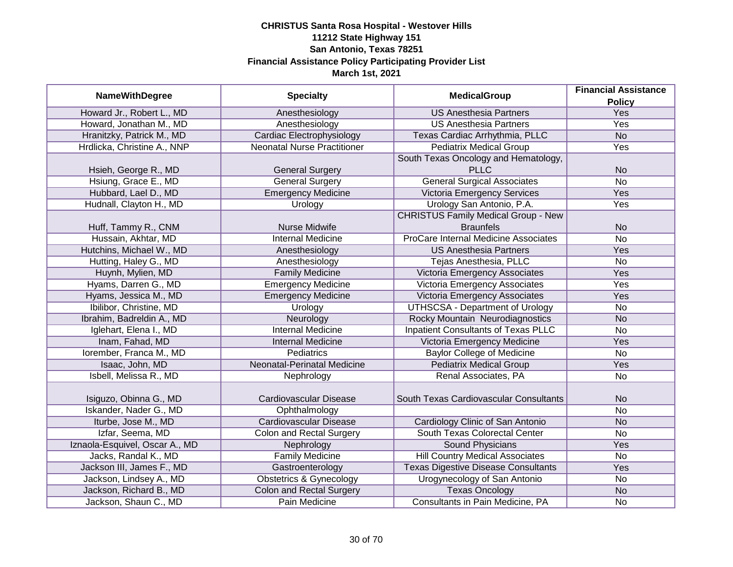| <b>NameWithDegree</b>          | <b>Specialty</b>                   | <b>MedicalGroup</b>                        | <b>Financial Assistance</b><br><b>Policy</b> |
|--------------------------------|------------------------------------|--------------------------------------------|----------------------------------------------|
| Howard Jr., Robert L., MD      | Anesthesiology                     | <b>US Anesthesia Partners</b>              | Yes                                          |
| Howard, Jonathan M., MD        | Anesthesiology                     | <b>US Anesthesia Partners</b>              | <b>Yes</b>                                   |
| Hranitzky, Patrick M., MD      | Cardiac Electrophysiology          | Texas Cardiac Arrhythmia, PLLC             | N <sub>o</sub>                               |
| Hrdlicka, Christine A., NNP    | <b>Neonatal Nurse Practitioner</b> | <b>Pediatrix Medical Group</b>             | Yes                                          |
|                                |                                    | South Texas Oncology and Hematology,       |                                              |
| Hsieh, George R., MD           | <b>General Surgery</b>             | <b>PLLC</b>                                | <b>No</b>                                    |
| Hsiung, Grace E., MD           | <b>General Surgery</b>             | <b>General Surgical Associates</b>         | <b>No</b>                                    |
| Hubbard, Lael D., MD           | <b>Emergency Medicine</b>          | Victoria Emergency Services                | Yes                                          |
| Hudnall, Clayton H., MD        | Urology                            | Urology San Antonio, P.A.                  | Yes                                          |
|                                |                                    | <b>CHRISTUS Family Medical Group - New</b> |                                              |
| Huff, Tammy R., CNM            | <b>Nurse Midwife</b>               | <b>Braunfels</b>                           | <b>No</b>                                    |
| Hussain, Akhtar, MD            | <b>Internal Medicine</b>           | ProCare Internal Medicine Associates       | <b>No</b>                                    |
| Hutchins, Michael W., MD       | Anesthesiology                     | <b>US Anesthesia Partners</b>              | Yes                                          |
| Hutting, Haley G., MD          | Anesthesiology                     | Tejas Anesthesia, PLLC                     | <b>No</b>                                    |
| Huynh, Mylien, MD              | <b>Family Medicine</b>             | Victoria Emergency Associates              | Yes                                          |
| Hyams, Darren G., MD           | <b>Emergency Medicine</b>          | Victoria Emergency Associates              | Yes                                          |
| Hyams, Jessica M., MD          | <b>Emergency Medicine</b>          | Victoria Emergency Associates              | Yes                                          |
| Ibilibor, Christine, MD        | Urology                            | <b>UTHSCSA - Department of Urology</b>     | <b>No</b>                                    |
| Ibrahim, Badreldin A., MD      | Neurology                          | Rocky Mountain Neurodiagnostics            | <b>No</b>                                    |
| Iglehart, Elena I., MD         | <b>Internal Medicine</b>           | Inpatient Consultants of Texas PLLC        | No                                           |
| Inam, Fahad, MD                | <b>Internal Medicine</b>           | Victoria Emergency Medicine                | Yes                                          |
| Iorember, Franca M., MD        | Pediatrics                         | <b>Baylor College of Medicine</b>          | <b>No</b>                                    |
| Isaac, John, MD                | Neonatal-Perinatal Medicine        | <b>Pediatrix Medical Group</b>             | Yes                                          |
| Isbell, Melissa R., MD         | Nephrology                         | Renal Associates, PA                       | <b>No</b>                                    |
| Isiguzo, Obinna G., MD         | Cardiovascular Disease             | South Texas Cardiovascular Consultants     | <b>No</b>                                    |
| Iskander, Nader G., MD         | Ophthalmology                      |                                            | <b>No</b>                                    |
| Iturbe, Jose M., MD            | Cardiovascular Disease             | Cardiology Clinic of San Antonio           | <b>No</b>                                    |
| Izfar, Seema, MD               | <b>Colon and Rectal Surgery</b>    | South Texas Colorectal Center              | <b>No</b>                                    |
| Iznaola-Esquivel, Oscar A., MD | Nephrology                         | Sound Physicians                           | Yes                                          |
| Jacks, Randal K., MD           | <b>Family Medicine</b>             | <b>Hill Country Medical Associates</b>     | <b>No</b>                                    |
| Jackson III, James F., MD      | Gastroenterology                   | <b>Texas Digestive Disease Consultants</b> | Yes                                          |
| Jackson, Lindsey A., MD        | <b>Obstetrics &amp; Gynecology</b> | Urogynecology of San Antonio               | <b>No</b>                                    |
| Jackson, Richard B., MD        | <b>Colon and Rectal Surgery</b>    | <b>Texas Oncology</b>                      | <b>No</b>                                    |
| Jackson, Shaun C., MD          | Pain Medicine                      | Consultants in Pain Medicine, PA           | <b>No</b>                                    |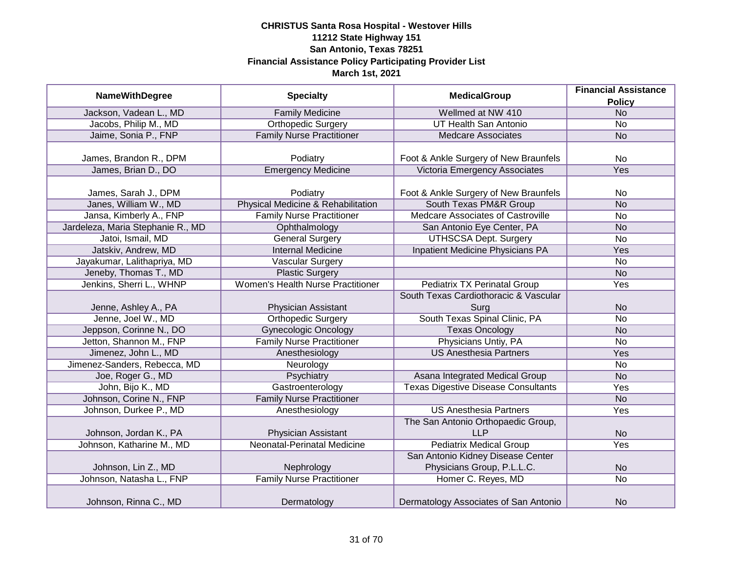| <b>NameWithDegree</b>             | <b>Specialty</b>                   | <b>MedicalGroup</b>                        | <b>Financial Assistance</b> |
|-----------------------------------|------------------------------------|--------------------------------------------|-----------------------------|
|                                   |                                    |                                            | <b>Policy</b>               |
| Jackson, Vadean L., MD            | <b>Family Medicine</b>             | Wellmed at NW 410                          | <b>No</b>                   |
| Jacobs, Philip M., MD             | <b>Orthopedic Surgery</b>          | <b>UT Health San Antonio</b>               | $\overline{No}$             |
| Jaime, Sonia P., FNP              | <b>Family Nurse Practitioner</b>   | <b>Medcare Associates</b>                  | <b>No</b>                   |
|                                   |                                    |                                            |                             |
| James, Brandon R., DPM            | Podiatry                           | Foot & Ankle Surgery of New Braunfels      | <b>No</b>                   |
| James, Brian D., DO               | <b>Emergency Medicine</b>          | Victoria Emergency Associates              | Yes                         |
|                                   |                                    |                                            |                             |
| James, Sarah J., DPM              | Podiatry                           | Foot & Ankle Surgery of New Braunfels      | No.                         |
| Janes, William W., MD             | Physical Medicine & Rehabilitation | South Texas PM&R Group                     | <b>No</b>                   |
| Jansa, Kimberly A., FNP           | <b>Family Nurse Practitioner</b>   | Medcare Associates of Castroville          | <b>No</b>                   |
| Jardeleza, Maria Stephanie R., MD | Ophthalmology                      | San Antonio Eye Center, PA                 | <b>No</b>                   |
| Jatoi, Ismail, MD                 | <b>General Surgery</b>             | <b>UTHSCSA Dept. Surgery</b>               | <b>No</b>                   |
| Jatskiv, Andrew, MD               | <b>Internal Medicine</b>           | Inpatient Medicine Physicians PA           | Yes                         |
| Jayakumar, Lalithapriya, MD       | <b>Vascular Surgery</b>            |                                            | <b>No</b>                   |
| Jeneby, Thomas T., MD             | <b>Plastic Surgery</b>             |                                            | <b>No</b>                   |
| Jenkins, Sherri L., WHNP          | Women's Health Nurse Practitioner  | <b>Pediatrix TX Perinatal Group</b>        | Yes                         |
|                                   |                                    | South Texas Cardiothoracic & Vascular      |                             |
| Jenne, Ashley A., PA              | Physician Assistant                | Surg                                       | <b>No</b>                   |
| Jenne, Joel W., MD                | <b>Orthopedic Surgery</b>          | South Texas Spinal Clinic, PA              | <b>No</b>                   |
| Jeppson, Corinne N., DO           | <b>Gynecologic Oncology</b>        | <b>Texas Oncology</b>                      | <b>No</b>                   |
| Jetton, Shannon M., FNP           | <b>Family Nurse Practitioner</b>   | Physicians Untiy, PA                       | No                          |
| Jimenez, John L., MD              | Anesthesiology                     | <b>US Anesthesia Partners</b>              | Yes                         |
| Jimenez-Sanders, Rebecca, MD      | Neurology                          |                                            | No                          |
| Joe, Roger G., MD                 | Psychiatry                         | Asana Integrated Medical Group             | <b>No</b>                   |
| John, Bijo K., MD                 | Gastroenterology                   | <b>Texas Digestive Disease Consultants</b> | Yes                         |
| Johnson, Corine N., FNP           | <b>Family Nurse Practitioner</b>   |                                            | <b>No</b>                   |
| Johnson, Durkee P., MD            | Anesthesiology                     | <b>US Anesthesia Partners</b>              | Yes                         |
|                                   |                                    | The San Antonio Orthopaedic Group,         |                             |
| Johnson, Jordan K., PA            | Physician Assistant                | <b>LLP</b>                                 | <b>No</b>                   |
| Johnson, Katharine M., MD         | Neonatal-Perinatal Medicine        | <b>Pediatrix Medical Group</b>             | Yes                         |
|                                   |                                    | San Antonio Kidney Disease Center          |                             |
| Johnson, Lin Z., MD               | Nephrology                         | Physicians Group, P.L.L.C.                 | <b>No</b>                   |
| Johnson, Natasha L., FNP          | <b>Family Nurse Practitioner</b>   | Homer C. Reyes, MD                         | $\overline{No}$             |
|                                   |                                    |                                            |                             |
| Johnson, Rinna C., MD             | Dermatology                        | Dermatology Associates of San Antonio      | <b>No</b>                   |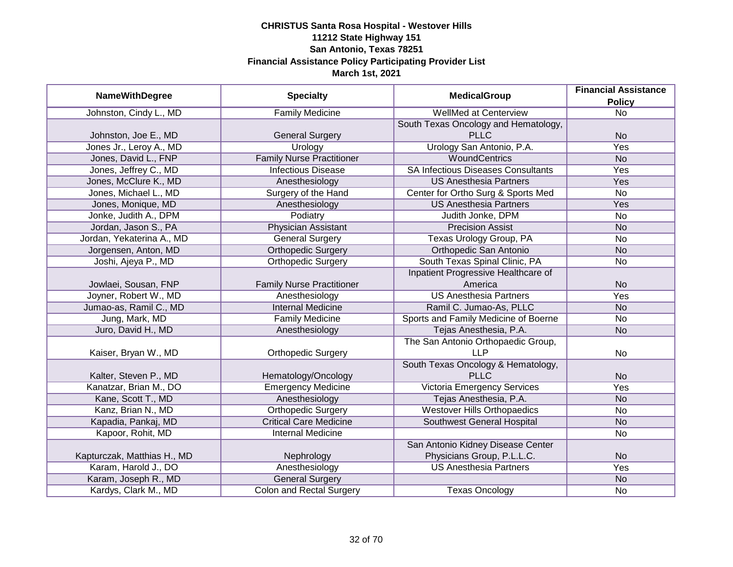|                             |                                  | <b>Financial Assistance</b>               |                 |
|-----------------------------|----------------------------------|-------------------------------------------|-----------------|
| <b>NameWithDegree</b>       | <b>Specialty</b>                 | <b>MedicalGroup</b>                       | <b>Policy</b>   |
| Johnston, Cindy L., MD      | <b>Family Medicine</b>           | <b>WellMed at Centerview</b>              | $\overline{No}$ |
|                             |                                  | South Texas Oncology and Hematology,      |                 |
| Johnston, Joe E., MD        | <b>General Surgery</b>           | <b>PLLC</b>                               | <b>No</b>       |
| Jones Jr., Leroy A., MD     | Urology                          | Urology San Antonio, P.A.                 | Yes             |
| Jones, David L., FNP        | <b>Family Nurse Practitioner</b> | <b>WoundCentrics</b>                      | <b>No</b>       |
| Jones, Jeffrey C., MD       | <b>Infectious Disease</b>        | <b>SA Infectious Diseases Consultants</b> | Yes             |
| Jones, McClure K., MD       | Anesthesiology                   | <b>US Anesthesia Partners</b>             | Yes             |
| Jones, Michael L., MD       | Surgery of the Hand              | Center for Ortho Surg & Sports Med        | <b>No</b>       |
| Jones, Monique, MD          | Anesthesiology                   | <b>US Anesthesia Partners</b>             | Yes             |
| Jonke, Judith A., DPM       | Podiatry                         | Judith Jonke, DPM                         | <b>No</b>       |
| Jordan, Jason S., PA        | <b>Physician Assistant</b>       | <b>Precision Assist</b>                   | <b>No</b>       |
| Jordan, Yekaterina A., MD   | <b>General Surgery</b>           | Texas Urology Group, PA                   | <b>No</b>       |
| Jorgensen, Anton, MD        | <b>Orthopedic Surgery</b>        | Orthopedic San Antonio                    | <b>No</b>       |
| Joshi, Ajeya P., MD         | <b>Orthopedic Surgery</b>        | South Texas Spinal Clinic, PA             | <b>No</b>       |
|                             |                                  | Inpatient Progressive Healthcare of       |                 |
| Jowlaei, Sousan, FNP        | <b>Family Nurse Practitioner</b> | America                                   | <b>No</b>       |
| Joyner, Robert W., MD       | Anesthesiology                   | <b>US Anesthesia Partners</b>             | Yes             |
| Jumao-as, Ramil C., MD      | <b>Internal Medicine</b>         | Ramil C. Jumao-As, PLLC                   | <b>No</b>       |
| Jung, Mark, MD              | <b>Family Medicine</b>           | Sports and Family Medicine of Boerne      | <b>No</b>       |
| Juro, David H., MD          | Anesthesiology                   | Tejas Anesthesia, P.A.                    | <b>No</b>       |
|                             |                                  | The San Antonio Orthopaedic Group,        |                 |
| Kaiser, Bryan W., MD        | <b>Orthopedic Surgery</b>        | <b>LLP</b>                                | <b>No</b>       |
|                             |                                  | South Texas Oncology & Hematology,        |                 |
| Kalter, Steven P., MD       | Hematology/Oncology              | <b>PLLC</b>                               | <b>No</b>       |
| Kanatzar, Brian M., DO      | <b>Emergency Medicine</b>        | Victoria Emergency Services               | Yes             |
| Kane, Scott T., MD          | Anesthesiology                   | Tejas Anesthesia, P.A.                    | <b>No</b>       |
| Kanz, Brian N., MD          | <b>Orthopedic Surgery</b>        | <b>Westover Hills Orthopaedics</b>        | <b>No</b>       |
| Kapadia, Pankaj, MD         | <b>Critical Care Medicine</b>    | Southwest General Hospital                | <b>No</b>       |
| Kapoor, Rohit, MD           | <b>Internal Medicine</b>         |                                           | No              |
|                             |                                  | San Antonio Kidney Disease Center         |                 |
| Kapturczak, Matthias H., MD | Nephrology                       | Physicians Group, P.L.L.C.                | <b>No</b>       |
| Karam, Harold J., DO        | Anesthesiology                   | <b>US Anesthesia Partners</b>             | Yes             |
| Karam, Joseph R., MD        | <b>General Surgery</b>           |                                           | <b>No</b>       |
| Kardys, Clark M., MD        | <b>Colon and Rectal Surgery</b>  | <b>Texas Oncology</b>                     | No              |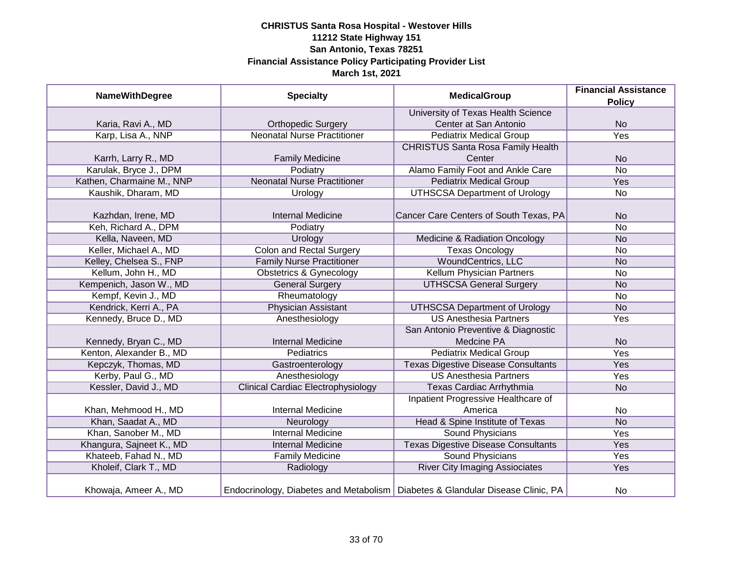| <b>NameWithDegree</b>     | <b>Specialty</b>                          | <b>MedicalGroup</b>                                                              | <b>Financial Assistance</b> |
|---------------------------|-------------------------------------------|----------------------------------------------------------------------------------|-----------------------------|
|                           |                                           |                                                                                  | <b>Policy</b>               |
|                           |                                           | University of Texas Health Science                                               |                             |
| Karia, Ravi A., MD        | <b>Orthopedic Surgery</b>                 | Center at San Antonio                                                            | <b>No</b>                   |
| Karp, Lisa A., NNP        | <b>Neonatal Nurse Practitioner</b>        | <b>Pediatrix Medical Group</b>                                                   | <b>Yes</b>                  |
|                           |                                           | <b>CHRISTUS Santa Rosa Family Health</b>                                         |                             |
| Karrh, Larry R., MD       | <b>Family Medicine</b>                    | Center                                                                           | <b>No</b>                   |
| Karulak, Bryce J., DPM    | Podiatry                                  | Alamo Family Foot and Ankle Care                                                 | <b>No</b>                   |
| Kathen, Charmaine M., NNP | <b>Neonatal Nurse Practitioner</b>        | <b>Pediatrix Medical Group</b>                                                   | <b>Yes</b>                  |
| Kaushik, Dharam, MD       | Urology                                   | <b>UTHSCSA Department of Urology</b>                                             | No                          |
|                           |                                           |                                                                                  |                             |
| Kazhdan, Irene, MD        | <b>Internal Medicine</b>                  | Cancer Care Centers of South Texas, PA                                           | <b>No</b>                   |
| Keh, Richard A., DPM      | Podiatry                                  |                                                                                  | <b>No</b>                   |
| Kella, Naveen, MD         | Urology                                   | <b>Medicine &amp; Radiation Oncology</b>                                         | <b>No</b>                   |
| Keller, Michael A., MD    | <b>Colon and Rectal Surgery</b>           | <b>Texas Oncology</b>                                                            | No                          |
| Kelley, Chelsea S., FNP   | <b>Family Nurse Practitioner</b>          | WoundCentrics, LLC                                                               | <b>No</b>                   |
| Kellum, John H., MD       | <b>Obstetrics &amp; Gynecology</b>        | Kellum Physician Partners                                                        | No                          |
| Kempenich, Jason W., MD   | <b>General Surgery</b>                    | <b>UTHSCSA General Surgery</b>                                                   | <b>No</b>                   |
| Kempf, Kevin J., MD       | Rheumatology                              |                                                                                  | No                          |
| Kendrick, Kerri A., PA    | <b>Physician Assistant</b>                | <b>UTHSCSA Department of Urology</b>                                             | <b>No</b>                   |
| Kennedy, Bruce D., MD     | Anesthesiology                            | <b>US Anesthesia Partners</b>                                                    | Yes                         |
|                           |                                           | San Antonio Preventive & Diagnostic                                              |                             |
| Kennedy, Bryan C., MD     | <b>Internal Medicine</b>                  | Medcine PA                                                                       | <b>No</b>                   |
| Kenton, Alexander B., MD  | Pediatrics                                | <b>Pediatrix Medical Group</b>                                                   | Yes                         |
| Kepczyk, Thomas, MD       | Gastroenterology                          | <b>Texas Digestive Disease Consultants</b>                                       | Yes                         |
| Kerby, Paul G., MD        | Anesthesiology                            | <b>US Anesthesia Partners</b>                                                    | Yes                         |
| Kessler, David J., MD     | <b>Clinical Cardiac Electrophysiology</b> | Texas Cardiac Arrhythmia                                                         | <b>No</b>                   |
|                           |                                           | Inpatient Progressive Healthcare of                                              |                             |
| Khan, Mehmood H., MD      | <b>Internal Medicine</b>                  | America                                                                          | No                          |
| Khan, Saadat A., MD       | Neurology                                 | Head & Spine Institute of Texas                                                  | <b>No</b>                   |
| Khan, Sanober M., MD      | <b>Internal Medicine</b>                  | Sound Physicians                                                                 | Yes                         |
| Khangura, Sajneet K., MD  | <b>Internal Medicine</b>                  | <b>Texas Digestive Disease Consultants</b>                                       | Yes                         |
| Khateeb, Fahad N., MD     | <b>Family Medicine</b>                    | Sound Physicians                                                                 | <b>Yes</b>                  |
| Kholeif, Clark T., MD     | Radiology                                 | <b>River City Imaging Assiociates</b>                                            | Yes                         |
| Khowaja, Ameer A., MD     |                                           | Endocrinology, Diabetes and Metabolism   Diabetes & Glandular Disease Clinic, PA | No                          |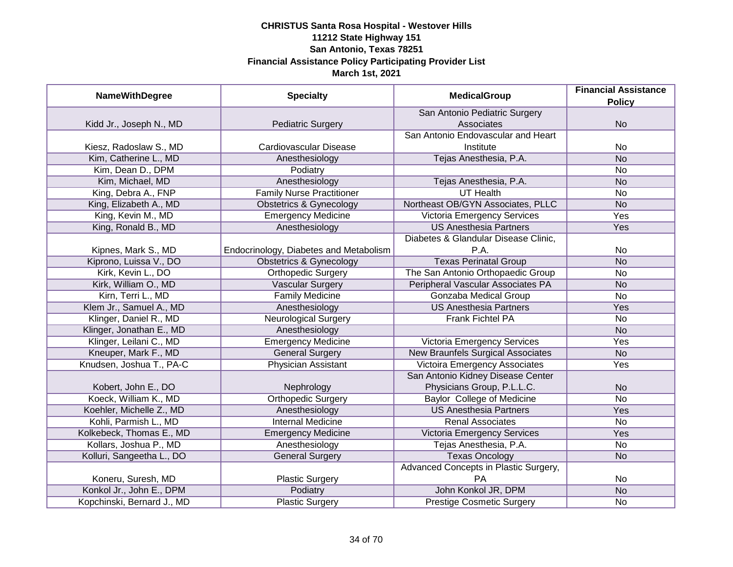| <b>NameWithDegree</b>      | <b>Specialty</b>                       | <b>MedicalGroup</b>                      | <b>Financial Assistance</b><br><b>Policy</b> |
|----------------------------|----------------------------------------|------------------------------------------|----------------------------------------------|
|                            |                                        | San Antonio Pediatric Surgery            |                                              |
| Kidd Jr., Joseph N., MD    | <b>Pediatric Surgery</b>               | Associates                               | <b>No</b>                                    |
|                            |                                        | San Antonio Endovascular and Heart       |                                              |
| Kiesz, Radoslaw S., MD     | Cardiovascular Disease                 | Institute                                | <b>No</b>                                    |
| Kim, Catherine L., MD      | Anesthesiology                         | Tejas Anesthesia, P.A.                   | <b>No</b>                                    |
| Kim, Dean D., DPM          | Podiatry                               |                                          | <b>No</b>                                    |
| Kim, Michael, MD           | Anesthesiology                         | Tejas Anesthesia, P.A.                   | <b>No</b>                                    |
| King, Debra A., FNP        | <b>Family Nurse Practitioner</b>       | <b>UT Health</b>                         | <b>No</b>                                    |
| King, Elizabeth A., MD     | <b>Obstetrics &amp; Gynecology</b>     | Northeast OB/GYN Associates, PLLC        | <b>No</b>                                    |
| King, Kevin M., MD         | <b>Emergency Medicine</b>              | Victoria Emergency Services              | Yes                                          |
| King, Ronald B., MD        | Anesthesiology                         | <b>US Anesthesia Partners</b>            | Yes                                          |
|                            |                                        | Diabetes & Glandular Disease Clinic,     |                                              |
| Kipnes, Mark S., MD        | Endocrinology, Diabetes and Metabolism | P.A.                                     | <b>No</b>                                    |
| Kiprono, Luissa V., DO     | <b>Obstetrics &amp; Gynecology</b>     | <b>Texas Perinatal Group</b>             | <b>No</b>                                    |
| Kirk, Kevin L., DO         | <b>Orthopedic Surgery</b>              | The San Antonio Orthopaedic Group        | <b>No</b>                                    |
| Kirk, William O., MD       | <b>Vascular Surgery</b>                | Peripheral Vascular Associates PA        | <b>No</b>                                    |
| Kirn, Terri L., MD         | <b>Family Medicine</b>                 | Gonzaba Medical Group                    | <b>No</b>                                    |
| Klem Jr., Samuel A., MD    | Anesthesiology                         | <b>US Anesthesia Partners</b>            | Yes                                          |
| Klinger, Daniel R., MD     | <b>Neurological Surgery</b>            | Frank Fichtel PA                         | <b>No</b>                                    |
| Klinger, Jonathan E., MD   | Anesthesiology                         |                                          | <b>No</b>                                    |
| Klinger, Leilani C., MD    | <b>Emergency Medicine</b>              | <b>Victoria Emergency Services</b>       | Yes                                          |
| Kneuper, Mark F., MD       | <b>General Surgery</b>                 | <b>New Braunfels Surgical Associates</b> | <b>No</b>                                    |
| Knudsen, Joshua T., PA-C   | <b>Physician Assistant</b>             | <b>Victoira Emergency Associates</b>     | Yes                                          |
|                            |                                        | San Antonio Kidney Disease Center        |                                              |
| Kobert, John E., DO        | Nephrology                             | Physicians Group, P.L.L.C.               | <b>No</b>                                    |
| Koeck, William K., MD      | <b>Orthopedic Surgery</b>              | <b>Baylor College of Medicine</b>        | <b>No</b>                                    |
| Koehler, Michelle Z., MD   | Anesthesiology                         | <b>US Anesthesia Partners</b>            | Yes                                          |
| Kohli, Parmish L., MD      | <b>Internal Medicine</b>               | <b>Renal Associates</b>                  | <b>No</b>                                    |
| Kolkebeck, Thomas E., MD   | <b>Emergency Medicine</b>              | Victoria Emergency Services              | Yes                                          |
| Kollars, Joshua P., MD     | Anesthesiology                         | Tejas Anesthesia, P.A.                   | No                                           |
| Kolluri, Sangeetha L., DO  | <b>General Surgery</b>                 | <b>Texas Oncology</b>                    | <b>No</b>                                    |
|                            |                                        | Advanced Concepts in Plastic Surgery,    |                                              |
| Koneru, Suresh, MD         | <b>Plastic Surgery</b>                 | PA                                       | No                                           |
| Konkol Jr., John E., DPM   | Podiatry                               | John Konkol JR, DPM                      | N <sub>o</sub>                               |
| Kopchinski, Bernard J., MD | <b>Plastic Surgery</b>                 | <b>Prestige Cosmetic Surgery</b>         | <b>No</b>                                    |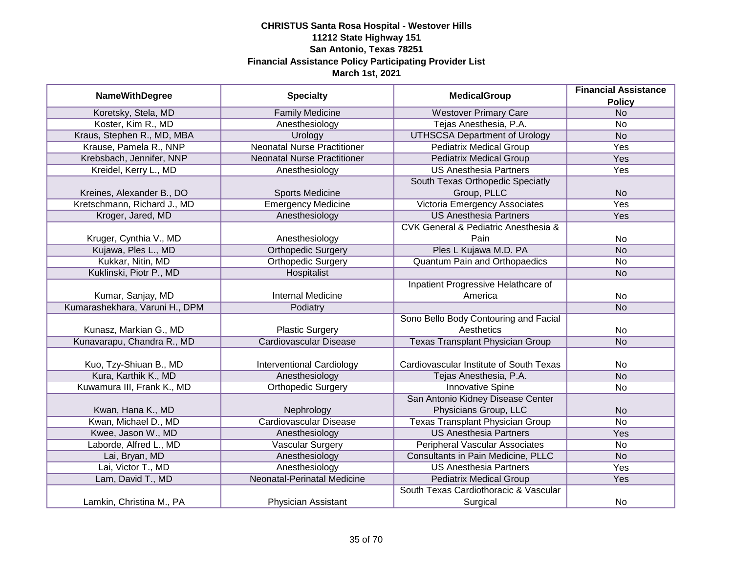| <b>NameWithDegree</b>          | <b>Specialty</b>                   | <b>MedicalGroup</b>                                 | <b>Financial Assistance</b> |
|--------------------------------|------------------------------------|-----------------------------------------------------|-----------------------------|
|                                |                                    |                                                     | <b>Policy</b>               |
| Koretsky, Stela, MD            | <b>Family Medicine</b>             | <b>Westover Primary Care</b>                        | N <sub>o</sub>              |
| Koster, Kim R., MD             | Anesthesiology                     | Tejas Anesthesia, P.A.                              | No                          |
| Kraus, Stephen R., MD, MBA     | Urology                            | <b>UTHSCSA Department of Urology</b>                | N <sub>o</sub>              |
| Krause, Pamela R., NNP         | <b>Neonatal Nurse Practitioner</b> | <b>Pediatrix Medical Group</b>                      | <b>Yes</b>                  |
| Krebsbach, Jennifer, NNP       | <b>Neonatal Nurse Practitioner</b> | <b>Pediatrix Medical Group</b>                      | <b>Yes</b>                  |
| Kreidel, Kerry L., MD          | Anesthesiology                     | <b>US Anesthesia Partners</b>                       | <b>Yes</b>                  |
|                                |                                    | South Texas Orthopedic Speciatly                    |                             |
| Kreines, Alexander B., DO      | <b>Sports Medicine</b>             | Group, PLLC                                         | <b>No</b>                   |
| Kretschmann, Richard J., MD    | <b>Emergency Medicine</b>          | Victoria Emergency Associates                       | Yes                         |
| Kroger, Jared, MD              | Anesthesiology                     | <b>US Anesthesia Partners</b>                       | Yes                         |
|                                |                                    | <b>CVK General &amp; Pediatric Anesthesia &amp;</b> |                             |
| Kruger, Cynthia V., MD         | Anesthesiology                     | Pain                                                | <b>No</b>                   |
| Kujawa, Ples L., MD            | <b>Orthopedic Surgery</b>          | Ples L Kujawa M.D. PA                               | <b>No</b>                   |
| Kukkar, Nitin, MD              | <b>Orthopedic Surgery</b>          | <b>Quantum Pain and Orthopaedics</b>                | No                          |
| Kuklinski, Piotr P., MD        | Hospitalist                        |                                                     | <b>No</b>                   |
|                                |                                    | Inpatient Progressive Helathcare of                 |                             |
| Kumar, Sanjay, MD              | <b>Internal Medicine</b>           | America                                             | No                          |
| Kumarashekhara, Varuni H., DPM | Podiatry                           |                                                     | <b>No</b>                   |
|                                |                                    | Sono Bello Body Contouring and Facial               |                             |
| Kunasz, Markian G., MD         | <b>Plastic Surgery</b>             | Aesthetics                                          | No                          |
| Kunavarapu, Chandra R., MD     | <b>Cardiovascular Disease</b>      | <b>Texas Transplant Physician Group</b>             | <b>No</b>                   |
|                                |                                    |                                                     |                             |
| Kuo, Tzy-Shiuan B., MD         | <b>Interventional Cardiology</b>   | Cardiovascular Institute of South Texas             | No                          |
| Kura, Karthik K., MD           | Anesthesiology                     | Tejas Anesthesia, P.A.                              | <b>No</b>                   |
| Kuwamura III, Frank K., MD     | <b>Orthopedic Surgery</b>          | <b>Innovative Spine</b>                             | <b>No</b>                   |
|                                |                                    | San Antonio Kidney Disease Center                   |                             |
| Kwan, Hana K., MD              | Nephrology                         | Physicians Group, LLC                               | <b>No</b>                   |
| Kwan, Michael D., MD           | <b>Cardiovascular Disease</b>      | <b>Texas Transplant Physician Group</b>             | <b>No</b>                   |
| Kwee, Jason W., MD             | Anesthesiology                     | <b>US Anesthesia Partners</b>                       | Yes                         |
| Laborde, Alfred L., MD         | <b>Vascular Surgery</b>            | <b>Peripheral Vascular Associates</b>               | No                          |
| Lai, Bryan, MD                 | Anesthesiology                     | Consultants in Pain Medicine, PLLC                  | <b>No</b>                   |
| Lai, Victor T., MD             | Anesthesiology                     | <b>US Anesthesia Partners</b>                       | Yes                         |
| Lam, David T., MD              | Neonatal-Perinatal Medicine        | <b>Pediatrix Medical Group</b>                      | Yes                         |
|                                |                                    | South Texas Cardiothoracic & Vascular               |                             |
| Lamkin, Christina M., PA       | Physician Assistant                | Surgical                                            | No                          |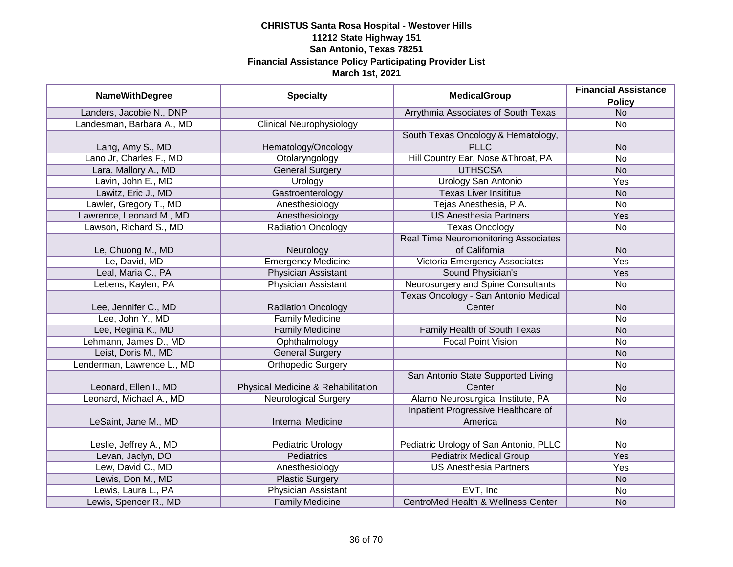|                            | <b>Specialty</b>                   | <b>MedicalGroup</b>                           | <b>Financial Assistance</b> |
|----------------------------|------------------------------------|-----------------------------------------------|-----------------------------|
| <b>NameWithDegree</b>      |                                    |                                               | <b>Policy</b>               |
| Landers, Jacobie N., DNP   |                                    | Arrythmia Associates of South Texas           | N <sub>o</sub>              |
| Landesman, Barbara A., MD  | <b>Clinical Neurophysiology</b>    |                                               | <b>No</b>                   |
|                            |                                    | South Texas Oncology & Hematology,            |                             |
| Lang, Amy S., MD           | Hematology/Oncology                | <b>PLLC</b>                                   | <b>No</b>                   |
| Lano Jr, Charles F., MD    | Otolaryngology                     | Hill Country Ear, Nose & Throat, PA           | <b>No</b>                   |
| Lara, Mallory A., MD       | <b>General Surgery</b>             | <b>UTHSCSA</b>                                | <b>No</b>                   |
| Lavin, John E., MD         | Urology                            | <b>Urology San Antonio</b>                    | <b>Yes</b>                  |
| Lawitz, Eric J., MD        | Gastroenterology                   | <b>Texas Liver Insititue</b>                  | <b>No</b>                   |
| Lawler, Gregory T., MD     | Anesthesiology                     | Tejas Anesthesia, P.A.                        | <b>No</b>                   |
| Lawrence, Leonard M., MD   | Anesthesiology                     | <b>US Anesthesia Partners</b>                 | Yes                         |
| Lawson, Richard S., MD     | <b>Radiation Oncology</b>          | <b>Texas Oncology</b>                         | <b>No</b>                   |
|                            |                                    | <b>Real Time Neuromonitoring Associates</b>   |                             |
| Le, Chuong M., MD          | Neurology                          | of California                                 | <b>No</b>                   |
| Le, David, MD              | <b>Emergency Medicine</b>          | Victoria Emergency Associates                 | Yes                         |
| Leal, Maria C., PA         | <b>Physician Assistant</b>         | Sound Physician's                             | Yes                         |
| Lebens, Kaylen, PA         | <b>Physician Assistant</b>         | Neurosurgery and Spine Consultants            | <b>No</b>                   |
|                            |                                    | Texas Oncology - San Antonio Medical          |                             |
| Lee, Jennifer C., MD       | <b>Radiation Oncology</b>          | Center                                        | <b>No</b>                   |
| Lee, John Y., MD           | <b>Family Medicine</b>             |                                               | <b>No</b>                   |
| Lee, Regina K., MD         | <b>Family Medicine</b>             | Family Health of South Texas                  | <b>No</b>                   |
| Lehmann, James D., MD      | Ophthalmology                      | <b>Focal Point Vision</b>                     | <b>No</b>                   |
| Leist, Doris M., MD        | <b>General Surgery</b>             |                                               | <b>No</b>                   |
| Lenderman, Lawrence L., MD | <b>Orthopedic Surgery</b>          |                                               | <b>No</b>                   |
|                            |                                    | San Antonio State Supported Living            |                             |
| Leonard, Ellen I., MD      | Physical Medicine & Rehabilitation | Center                                        | <b>No</b>                   |
| Leonard, Michael A., MD    | <b>Neurological Surgery</b>        | Alamo Neurosurgical Institute, PA             | <b>No</b>                   |
|                            |                                    | Inpatient Progressive Healthcare of           |                             |
| LeSaint, Jane M., MD       | <b>Internal Medicine</b>           | America                                       | <b>No</b>                   |
|                            |                                    |                                               |                             |
| Leslie, Jeffrey A., MD     | Pediatric Urology                  | Pediatric Urology of San Antonio, PLLC        | No                          |
| Levan, Jaclyn, DO          | <b>Pediatrics</b>                  | <b>Pediatrix Medical Group</b>                | <b>Yes</b>                  |
| Lew, David C., MD          | Anesthesiology                     | <b>US Anesthesia Partners</b>                 | Yes                         |
| Lewis, Don M., MD          | <b>Plastic Surgery</b>             |                                               | <b>No</b>                   |
| Lewis, Laura L., PA        | <b>Physician Assistant</b>         | EVT, Inc                                      | No                          |
| Lewis, Spencer R., MD      | <b>Family Medicine</b>             | <b>CentroMed Health &amp; Wellness Center</b> | <b>No</b>                   |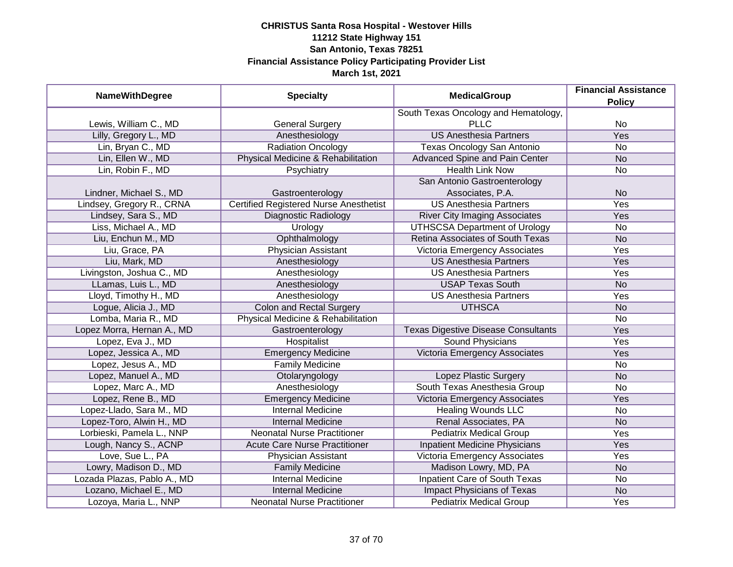| <b>NameWithDegree</b>       | <b>Specialty</b>                              | <b>MedicalGroup</b>                        | <b>Financial Assistance</b><br><b>Policy</b> |
|-----------------------------|-----------------------------------------------|--------------------------------------------|----------------------------------------------|
|                             |                                               | South Texas Oncology and Hematology,       |                                              |
| Lewis, William C., MD       | <b>General Surgery</b>                        | <b>PLLC</b>                                | No                                           |
| Lilly, Gregory L., MD       | Anesthesiology                                | <b>US Anesthesia Partners</b>              | <b>Yes</b>                                   |
| Lin, Bryan C., MD           | <b>Radiation Oncology</b>                     | Texas Oncology San Antonio                 | <b>No</b>                                    |
| Lin, Ellen W., MD           | Physical Medicine & Rehabilitation            | <b>Advanced Spine and Pain Center</b>      | <b>No</b>                                    |
| Lin, Robin F., MD           | Psychiatry                                    | <b>Health Link Now</b>                     | No                                           |
|                             |                                               | San Antonio Gastroenterology               |                                              |
| Lindner, Michael S., MD     | Gastroenterology                              | Associates, P.A.                           | <b>No</b>                                    |
| Lindsey, Gregory R., CRNA   | <b>Certified Registered Nurse Anesthetist</b> | <b>US Anesthesia Partners</b>              | Yes                                          |
| Lindsey, Sara S., MD        | Diagnostic Radiology                          | <b>River City Imaging Associates</b>       | Yes                                          |
| Liss, Michael A., MD        | Urology                                       | <b>UTHSCSA Department of Urology</b>       | No                                           |
| Liu, Enchun M., MD          | Ophthalmology                                 | Retina Associates of South Texas           | <b>No</b>                                    |
| Liu, Grace, PA              | Physician Assistant                           | Victoria Emergency Associates              | Yes                                          |
| Liu, Mark, MD               | Anesthesiology                                | <b>US Anesthesia Partners</b>              | Yes                                          |
| Livingston, Joshua C., MD   | Anesthesiology                                | <b>US Anesthesia Partners</b>              | Yes                                          |
| LLamas, Luis L., MD         | Anesthesiology                                | <b>USAP Texas South</b>                    | <b>No</b>                                    |
| Lloyd, Timothy H., MD       | Anesthesiology                                | <b>US Anesthesia Partners</b>              | Yes                                          |
| Logue, Alicia J., MD        | <b>Colon and Rectal Surgery</b>               | <b>UTHSCA</b>                              | <b>No</b>                                    |
| Lomba, Maria R., MD         | Physical Medicine & Rehabilitation            |                                            | No                                           |
| Lopez Morra, Hernan A., MD  | Gastroenterology                              | <b>Texas Digestive Disease Consultants</b> | Yes                                          |
| Lopez, Eva J., MD           | Hospitalist                                   | <b>Sound Physicians</b>                    | Yes                                          |
| Lopez, Jessica A., MD       | <b>Emergency Medicine</b>                     | Victoria Emergency Associates              | Yes                                          |
| Lopez, Jesus A., MD         | <b>Family Medicine</b>                        |                                            | <b>No</b>                                    |
| Lopez, Manuel A., MD        | Otolaryngology                                | Lopez Plastic Surgery                      | <b>No</b>                                    |
| Lopez, Marc A., MD          | Anesthesiology                                | South Texas Anesthesia Group               | <b>No</b>                                    |
| Lopez, Rene B., MD          | <b>Emergency Medicine</b>                     | Victoria Emergency Associates              | Yes                                          |
| Lopez-Llado, Sara M., MD    | <b>Internal Medicine</b>                      | <b>Healing Wounds LLC</b>                  | <b>No</b>                                    |
| Lopez-Toro, Alwin H., MD    | <b>Internal Medicine</b>                      | Renal Associates, PA                       | <b>No</b>                                    |
| Lorbieski, Pamela L., NNP   | <b>Neonatal Nurse Practitioner</b>            | <b>Pediatrix Medical Group</b>             | Yes                                          |
| Lough, Nancy S., ACNP       | <b>Acute Care Nurse Practitioner</b>          | <b>Inpatient Medicine Physicians</b>       | Yes                                          |
| Love, Sue L., PA            | Physician Assistant                           | Victoria Emergency Associates              | Yes                                          |
| Lowry, Madison D., MD       | <b>Family Medicine</b>                        | Madison Lowry, MD, PA                      | <b>No</b>                                    |
| Lozada Plazas, Pablo A., MD | <b>Internal Medicine</b>                      | <b>Inpatient Care of South Texas</b>       | No                                           |
| Lozano, Michael E., MD      | <b>Internal Medicine</b>                      | <b>Impact Physicians of Texas</b>          | N <sub>o</sub>                               |
| Lozoya, Maria L., NNP       | <b>Neonatal Nurse Practitioner</b>            | <b>Pediatrix Medical Group</b>             | Yes                                          |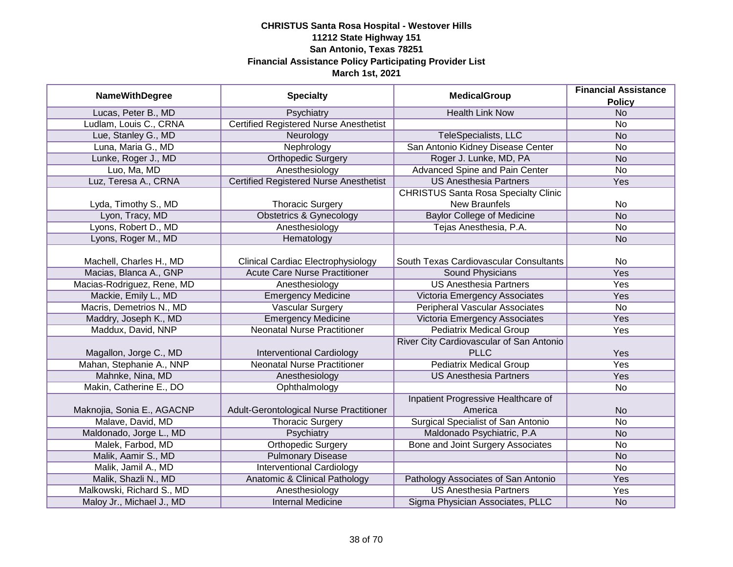| <b>NameWithDegree</b>      | <b>Specialty</b>                              | <b>MedicalGroup</b>                         | <b>Financial Assistance</b><br><b>Policy</b> |
|----------------------------|-----------------------------------------------|---------------------------------------------|----------------------------------------------|
| Lucas, Peter B., MD        | Psychiatry                                    | <b>Health Link Now</b>                      | <b>No</b>                                    |
| Ludlam, Louis C., CRNA     | <b>Certified Registered Nurse Anesthetist</b> |                                             | $\overline{No}$                              |
| Lue, Stanley G., MD        | Neurology                                     | TeleSpecialists, LLC                        | <b>No</b>                                    |
| Luna, Maria G., MD         | Nephrology                                    | San Antonio Kidney Disease Center           | No                                           |
| Lunke, Roger J., MD        | <b>Orthopedic Surgery</b>                     | Roger J. Lunke, MD, PA                      | <b>No</b>                                    |
| Luo, Ma, MD                | Anesthesiology                                | Advanced Spine and Pain Center              | <b>No</b>                                    |
| Luz, Teresa A., CRNA       | <b>Certified Registered Nurse Anesthetist</b> | <b>US Anesthesia Partners</b>               | Yes                                          |
|                            |                                               | <b>CHRISTUS Santa Rosa Specialty Clinic</b> |                                              |
| Lyda, Timothy S., MD       | <b>Thoracic Surgery</b>                       | <b>New Braunfels</b>                        | No                                           |
| Lyon, Tracy, MD            | <b>Obstetrics &amp; Gynecology</b>            | <b>Baylor College of Medicine</b>           | <b>No</b>                                    |
| Lyons, Robert D., MD       | Anesthesiology                                | Tejas Anesthesia, P.A.                      | No                                           |
| Lyons, Roger M., MD        | Hematology                                    |                                             | <b>No</b>                                    |
|                            |                                               |                                             |                                              |
| Machell, Charles H., MD    | <b>Clinical Cardiac Electrophysiology</b>     | South Texas Cardiovascular Consultants      | <b>No</b>                                    |
| Macias, Blanca A., GNP     | <b>Acute Care Nurse Practitioner</b>          | Sound Physicians                            | Yes                                          |
| Macias-Rodriguez, Rene, MD | Anesthesiology                                | <b>US Anesthesia Partners</b>               | Yes                                          |
| Mackie, Emily L., MD       | <b>Emergency Medicine</b>                     | Victoria Emergency Associates               | Yes                                          |
| Macris, Demetrios N., MD   | <b>Vascular Surgery</b>                       | <b>Peripheral Vascular Associates</b>       | No                                           |
| Maddry, Joseph K., MD      | <b>Emergency Medicine</b>                     | Victoria Emergency Associates               | Yes                                          |
| Maddux, David, NNP         | <b>Neonatal Nurse Practitioner</b>            | <b>Pediatrix Medical Group</b>              | Yes                                          |
|                            |                                               | River City Cardiovascular of San Antonio    |                                              |
| Magallon, Jorge C., MD     | <b>Interventional Cardiology</b>              | <b>PLLC</b>                                 | Yes                                          |
| Mahan, Stephanie A., NNP   | <b>Neonatal Nurse Practitioner</b>            | <b>Pediatrix Medical Group</b>              | Yes                                          |
| Mahnke, Nina, MD           | Anesthesiology                                | <b>US Anesthesia Partners</b>               | Yes                                          |
| Makin, Catherine E., DO    | Ophthalmology                                 |                                             | No                                           |
|                            |                                               | Inpatient Progressive Healthcare of         |                                              |
| Maknojia, Sonia E., AGACNP | Adult-Gerontological Nurse Practitioner       | America                                     | <b>No</b>                                    |
| Malave, David, MD          | <b>Thoracic Surgery</b>                       | Surgical Specialist of San Antonio          | No                                           |
| Maldonado, Jorge L., MD    | Psychiatry                                    | Maldonado Psychiatric, P.A                  | <b>No</b>                                    |
| Malek, Farbod, MD          | <b>Orthopedic Surgery</b>                     | <b>Bone and Joint Surgery Associates</b>    | No                                           |
| Malik, Aamir S., MD        | <b>Pulmonary Disease</b>                      |                                             | N <sub>o</sub>                               |
| Malik, Jamil A., MD        | <b>Interventional Cardiology</b>              |                                             | $\overline{No}$                              |
| Malik, Shazli N., MD       | Anatomic & Clinical Pathology                 | Pathology Associates of San Antonio         | Yes                                          |
| Malkowski, Richard S., MD  | Anesthesiology                                | <b>US Anesthesia Partners</b>               | Yes                                          |
| Maloy Jr., Michael J., MD  | <b>Internal Medicine</b>                      | Sigma Physician Associates, PLLC            | <b>No</b>                                    |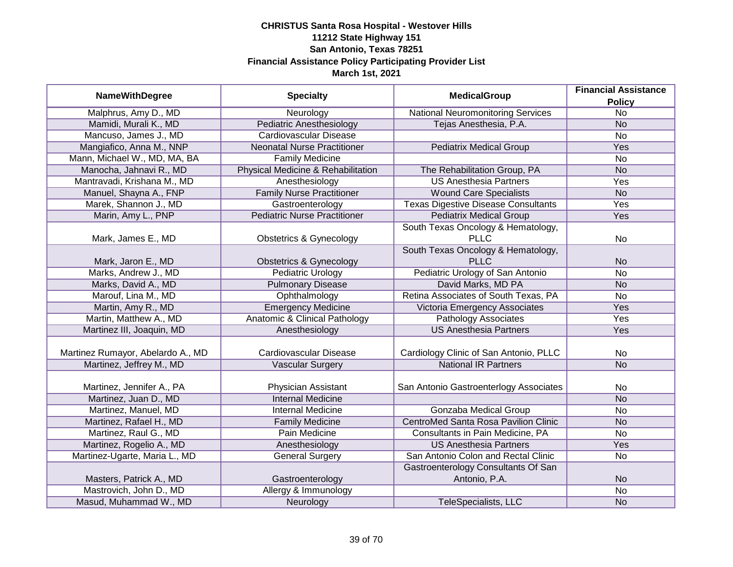| <b>NameWithDegree</b>             | <b>Specialty</b>                    | <b>MedicalGroup</b>                                  | <b>Financial Assistance</b><br><b>Policy</b> |
|-----------------------------------|-------------------------------------|------------------------------------------------------|----------------------------------------------|
| Malphrus, Amy D., MD              | Neurology                           | <b>National Neuromonitoring Services</b>             | $\overline{No}$                              |
| Mamidi, Murali K., MD             | <b>Pediatric Anesthesiology</b>     | Tejas Anesthesia, P.A.                               | <b>No</b>                                    |
| Mancuso, James J., MD             | <b>Cardiovascular Disease</b>       |                                                      | <b>No</b>                                    |
| Mangiafico, Anna M., NNP          | <b>Neonatal Nurse Practitioner</b>  | <b>Pediatrix Medical Group</b>                       | <b>Yes</b>                                   |
| Mann, Michael W., MD, MA, BA      | <b>Family Medicine</b>              |                                                      | <b>No</b>                                    |
| Manocha, Jahnavi R., MD           | Physical Medicine & Rehabilitation  | The Rehabilitation Group, PA                         | <b>No</b>                                    |
| Mantravadi, Krishana M., MD       | Anesthesiology                      | <b>US Anesthesia Partners</b>                        | Yes                                          |
| Manuel, Shayna A., FNP            | <b>Family Nurse Practitioner</b>    | <b>Wound Care Specialists</b>                        | <b>No</b>                                    |
| Marek, Shannon J., MD             | Gastroenterology                    | <b>Texas Digestive Disease Consultants</b>           | Yes                                          |
| Marin, Amy L., PNP                | <b>Pediatric Nurse Practitioner</b> | <b>Pediatrix Medical Group</b>                       | Yes                                          |
|                                   |                                     | South Texas Oncology & Hematology,                   |                                              |
| Mark, James E., MD                | <b>Obstetrics &amp; Gynecology</b>  | <b>PLLC</b>                                          | <b>No</b>                                    |
|                                   |                                     | South Texas Oncology & Hematology,                   |                                              |
| Mark, Jaron E., MD                | <b>Obstetrics &amp; Gynecology</b>  | <b>PLLC</b>                                          | <b>No</b>                                    |
| Marks, Andrew J., MD              | Pediatric Urology                   | Pediatric Urology of San Antonio                     | <b>No</b>                                    |
| Marks, David A., MD               | <b>Pulmonary Disease</b>            | David Marks, MD PA                                   | <b>No</b>                                    |
| Marouf, Lina M., MD               | Ophthalmology                       | Retina Associates of South Texas, PA                 | <b>No</b>                                    |
| Martin, Amy R., MD                | <b>Emergency Medicine</b>           | Victoria Emergency Associates                        | Yes                                          |
| Martin, Matthew A., MD            | Anatomic & Clinical Pathology       | <b>Pathology Associates</b>                          | Yes                                          |
| Martinez III, Joaquin, MD         | Anesthesiology                      | <b>US Anesthesia Partners</b>                        | Yes                                          |
| Martinez Rumayor, Abelardo A., MD | Cardiovascular Disease              | Cardiology Clinic of San Antonio, PLLC               | <b>No</b>                                    |
| Martinez, Jeffrey M., MD          | <b>Vascular Surgery</b>             | <b>National IR Partners</b>                          | <b>No</b>                                    |
| Martinez, Jennifer A., PA         | Physician Assistant                 | San Antonio Gastroenterlogy Associates               | No                                           |
| Martinez, Juan D., MD             | <b>Internal Medicine</b>            |                                                      | <b>No</b>                                    |
| Martinez, Manuel, MD              | <b>Internal Medicine</b>            | <b>Gonzaba Medical Group</b>                         | No                                           |
| Martinez, Rafael H., MD           | <b>Family Medicine</b>              | <b>CentroMed Santa Rosa Pavilion Clinic</b>          | <b>No</b>                                    |
| Martinez, Raul G., MD             | Pain Medicine                       | Consultants in Pain Medicine, PA                     | <b>No</b>                                    |
| Martinez, Rogelio A., MD          | Anesthesiology                      | <b>US Anesthesia Partners</b>                        | Yes                                          |
| Martinez-Ugarte, Maria L., MD     | <b>General Surgery</b>              | San Antonio Colon and Rectal Clinic                  | No                                           |
| Masters, Patrick A., MD           | Gastroenterology                    | Gastroenterology Consultants Of San<br>Antonio, P.A. | <b>No</b>                                    |
| Mastrovich, John D., MD           | Allergy & Immunology                |                                                      | <b>No</b>                                    |
| Masud, Muhammad W., MD            | Neurology                           | <b>TeleSpecialists, LLC</b>                          | <b>No</b>                                    |
|                                   |                                     |                                                      |                                              |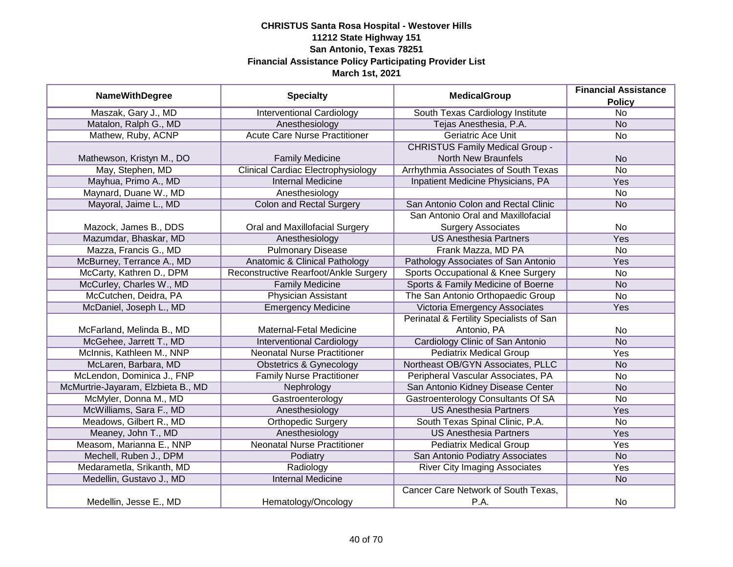|                                    |                                           | <b>MedicalGroup</b>                       | <b>Financial Assistance</b> |
|------------------------------------|-------------------------------------------|-------------------------------------------|-----------------------------|
| <b>NameWithDegree</b>              | <b>Specialty</b>                          |                                           | <b>Policy</b>               |
| Maszak, Gary J., MD                | <b>Interventional Cardiology</b>          | South Texas Cardiology Institute          | $\overline{No}$             |
| Matalon, Ralph G., MD              | Anesthesiology                            | Tejas Anesthesia, P.A.                    | <b>No</b>                   |
| Mathew, Ruby, ACNP                 | <b>Acute Care Nurse Practitioner</b>      | <b>Geriatric Ace Unit</b>                 | $\overline{No}$             |
|                                    |                                           | <b>CHRISTUS Family Medical Group -</b>    |                             |
| Mathewson, Kristyn M., DO          | <b>Family Medicine</b>                    | <b>North New Braunfels</b>                | <b>No</b>                   |
| May, Stephen, MD                   | <b>Clinical Cardiac Electrophysiology</b> | Arrhythmia Associates of South Texas      | <b>No</b>                   |
| Mayhua, Primo A., MD               | <b>Internal Medicine</b>                  | Inpatient Medicine Physicians, PA         | Yes                         |
| Maynard, Duane W., MD              | Anesthesiology                            |                                           | No                          |
| Mayoral, Jaime L., MD              | <b>Colon and Rectal Surgery</b>           | San Antonio Colon and Rectal Clinic       | <b>No</b>                   |
|                                    |                                           | San Antonio Oral and Maxillofacial        |                             |
| Mazock, James B., DDS              | Oral and Maxillofacial Surgery            | <b>Surgery Associates</b>                 | No                          |
| Mazumdar, Bhaskar, MD              | Anesthesiology                            | <b>US Anesthesia Partners</b>             | Yes                         |
| Mazza, Francis G., MD              | <b>Pulmonary Disease</b>                  | Frank Mazza, MD PA                        | No                          |
| McBurney, Terrance A., MD          | Anatomic & Clinical Pathology             | Pathology Associates of San Antonio       | Yes                         |
| McCarty, Kathren D., DPM           | Reconstructive Rearfoot/Ankle Surgery     | Sports Occupational & Knee Surgery        | No                          |
| McCurley, Charles W., MD           | <b>Family Medicine</b>                    | Sports & Family Medicine of Boerne        | <b>No</b>                   |
| McCutchen, Deidra, PA              | <b>Physician Assistant</b>                | The San Antonio Orthopaedic Group         | No                          |
| McDaniel, Joseph L., MD            | <b>Emergency Medicine</b>                 | <b>Victoria Emergency Associates</b>      | Yes                         |
|                                    |                                           | Perinatal & Fertility Specialists of San  |                             |
| McFarland, Melinda B., MD          | Maternal-Fetal Medicine                   | Antonio, PA                               | No                          |
| McGehee, Jarrett T., MD            | <b>Interventional Cardiology</b>          | Cardiology Clinic of San Antonio          | N <sub>O</sub>              |
| McInnis, Kathleen M., NNP          | <b>Neonatal Nurse Practitioner</b>        | <b>Pediatrix Medical Group</b>            | Yes                         |
| McLaren, Barbara, MD               | <b>Obstetrics &amp; Gynecology</b>        | Northeast OB/GYN Associates, PLLC         | <b>No</b>                   |
| McLendon, Dominica J., FNP         | <b>Family Nurse Practitioner</b>          | Peripheral Vascular Associates, PA        | <b>No</b>                   |
| McMurtrie-Jayaram, Elzbieta B., MD | Nephrology                                | San Antonio Kidney Disease Center         | <b>No</b>                   |
| McMyler, Donna M., MD              | Gastroenterology                          | <b>Gastroenterology Consultants Of SA</b> | No                          |
| McWilliams, Sara F., MD            | Anesthesiology                            | <b>US Anesthesia Partners</b>             | Yes                         |
| Meadows, Gilbert R., MD            | <b>Orthopedic Surgery</b>                 | South Texas Spinal Clinic, P.A.           | No                          |
| Meaney, John T., MD                | Anesthesiology                            | <b>US Anesthesia Partners</b>             | Yes                         |
| Measom, Marianna E., NNP           | <b>Neonatal Nurse Practitioner</b>        | <b>Pediatrix Medical Group</b>            | Yes                         |
| Mechell, Ruben J., DPM             | Podiatry                                  | San Antonio Podiatry Associates           | <b>No</b>                   |
| Medarametla, Srikanth, MD          | Radiology                                 | <b>River City Imaging Associates</b>      | Yes                         |
| Medellin, Gustavo J., MD           | <b>Internal Medicine</b>                  |                                           | <b>No</b>                   |
|                                    |                                           | Cancer Care Network of South Texas,       |                             |
| Medellin, Jesse E., MD             | Hematology/Oncology                       | P.A.                                      | No                          |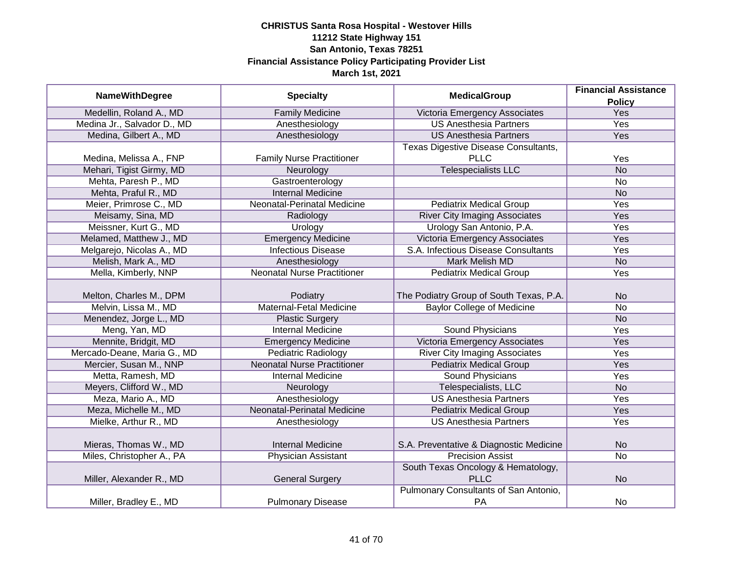|                             |                                    | <b>MedicalGroup</b>                     | <b>Financial Assistance</b> |
|-----------------------------|------------------------------------|-----------------------------------------|-----------------------------|
| <b>NameWithDegree</b>       | <b>Specialty</b>                   |                                         | <b>Policy</b>               |
| Medellin, Roland A., MD     | <b>Family Medicine</b>             | Victoria Emergency Associates           | <b>Yes</b>                  |
| Medina Jr., Salvador D., MD | Anesthesiology                     | <b>US Anesthesia Partners</b>           | Yes                         |
| Medina, Gilbert A., MD      | Anesthesiology                     | <b>US Anesthesia Partners</b>           | Yes                         |
|                             |                                    | Texas Digestive Disease Consultants,    |                             |
| Medina, Melissa A., FNP     | <b>Family Nurse Practitioner</b>   | <b>PLLC</b>                             | Yes                         |
| Mehari, Tigist Girmy, MD    | Neurology                          | <b>Telespecialists LLC</b>              | <b>No</b>                   |
| Mehta, Paresh P., MD        | Gastroenterology                   |                                         | No                          |
| Mehta, Praful R., MD        | <b>Internal Medicine</b>           |                                         | <b>No</b>                   |
| Meier, Primrose C., MD      | Neonatal-Perinatal Medicine        | <b>Pediatrix Medical Group</b>          | Yes                         |
| Meisamy, Sina, MD           | Radiology                          | <b>River City Imaging Associates</b>    | Yes                         |
| Meissner, Kurt G., MD       | Urology                            | Urology San Antonio, P.A.               | Yes                         |
| Melamed, Matthew J., MD     | <b>Emergency Medicine</b>          | Victoria Emergency Associates           | Yes                         |
| Melgarejo, Nicolas A., MD   | <b>Infectious Disease</b>          | S.A. Infectious Disease Consultants     | Yes                         |
| Melish, Mark A., MD         | Anesthesiology                     | <b>Mark Melish MD</b>                   | <b>No</b>                   |
| Mella, Kimberly, NNP        | <b>Neonatal Nurse Practitioner</b> | <b>Pediatrix Medical Group</b>          | Yes                         |
|                             |                                    |                                         |                             |
| Melton, Charles M., DPM     | Podiatry                           | The Podiatry Group of South Texas, P.A. | <b>No</b>                   |
| Melvin, Lissa M., MD        | Maternal-Fetal Medicine            | <b>Baylor College of Medicine</b>       | <b>No</b>                   |
| Menendez, Jorge L., MD      | <b>Plastic Surgery</b>             |                                         | <b>No</b>                   |
| Meng, Yan, MD               | <b>Internal Medicine</b>           | <b>Sound Physicians</b>                 | Yes                         |
| Mennite, Bridgit, MD        | <b>Emergency Medicine</b>          | Victoria Emergency Associates           | Yes                         |
| Mercado-Deane, Maria G., MD | <b>Pediatric Radiology</b>         | <b>River City Imaging Associates</b>    | Yes                         |
| Mercier, Susan M., NNP      | <b>Neonatal Nurse Practitioner</b> | <b>Pediatrix Medical Group</b>          | Yes                         |
| Metta, Ramesh, MD           | <b>Internal Medicine</b>           | <b>Sound Physicians</b>                 | Yes                         |
| Meyers, Clifford W., MD     | Neurology                          | Telespecialists, LLC                    | <b>No</b>                   |
| Meza, Mario A., MD          | Anesthesiology                     | <b>US Anesthesia Partners</b>           | Yes                         |
| Meza, Michelle M., MD       | <b>Neonatal-Perinatal Medicine</b> | <b>Pediatrix Medical Group</b>          | Yes                         |
| Mielke, Arthur R., MD       | Anesthesiology                     | <b>US Anesthesia Partners</b>           | Yes                         |
|                             |                                    |                                         |                             |
| Mieras, Thomas W., MD       | <b>Internal Medicine</b>           | S.A. Preventative & Diagnostic Medicine | <b>No</b>                   |
| Miles, Christopher A., PA   | <b>Physician Assistant</b>         | <b>Precision Assist</b>                 | $\overline{No}$             |
|                             |                                    | South Texas Oncology & Hematology,      |                             |
| Miller, Alexander R., MD    | <b>General Surgery</b>             | <b>PLLC</b>                             | <b>No</b>                   |
|                             |                                    | Pulmonary Consultants of San Antonio,   |                             |
| Miller, Bradley E., MD      | <b>Pulmonary Disease</b>           | PA                                      | No                          |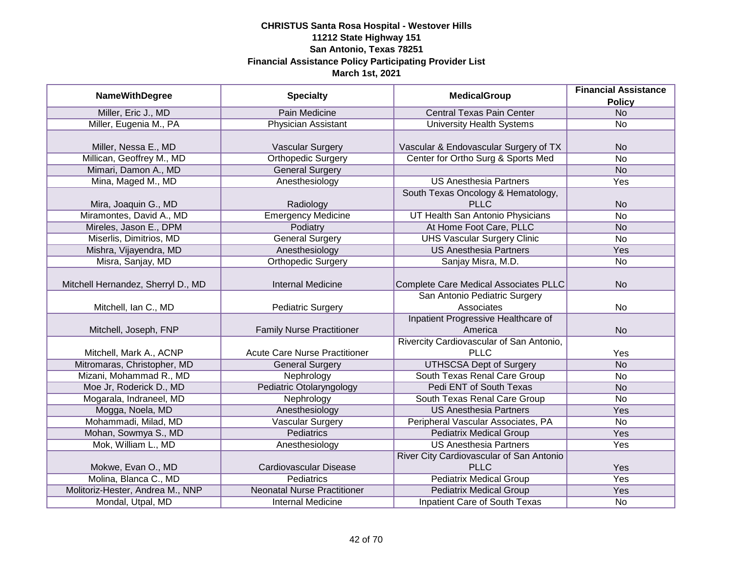|                                    |                                      |                                              | <b>Financial Assistance</b> |
|------------------------------------|--------------------------------------|----------------------------------------------|-----------------------------|
| <b>NameWithDegree</b>              | <b>Specialty</b>                     | <b>MedicalGroup</b>                          | <b>Policy</b>               |
| Miller, Eric J., MD                | <b>Pain Medicine</b>                 | <b>Central Texas Pain Center</b>             | N <sub>o</sub>              |
| Miller, Eugenia M., PA             | <b>Physician Assistant</b>           | <b>University Health Systems</b>             | No                          |
|                                    |                                      |                                              |                             |
| Miller, Nessa E., MD               | <b>Vascular Surgery</b>              | Vascular & Endovascular Surgery of TX        | <b>No</b>                   |
| Millican, Geoffrey M., MD          | <b>Orthopedic Surgery</b>            | Center for Ortho Surg & Sports Med           | No                          |
| Mimari, Damon A., MD               | <b>General Surgery</b>               |                                              | <b>No</b>                   |
| Mina, Maged M., MD                 | Anesthesiology                       | <b>US Anesthesia Partners</b>                | Yes                         |
|                                    |                                      | South Texas Oncology & Hematology,           |                             |
| Mira, Joaquin G., MD               | Radiology                            | <b>PLLC</b>                                  | <b>No</b>                   |
| Miramontes, David A., MD           | <b>Emergency Medicine</b>            | UT Health San Antonio Physicians             | <b>No</b>                   |
| Mireles, Jason E., DPM             | Podiatry                             | At Home Foot Care, PLLC                      | <b>No</b>                   |
| Miserlis, Dimitrios, MD            | <b>General Surgery</b>               | <b>UHS Vascular Surgery Clinic</b>           | <b>No</b>                   |
| Mishra, Vijayendra, MD             | Anesthesiology                       | <b>US Anesthesia Partners</b>                | Yes                         |
| Misra, Sanjay, MD                  | <b>Orthopedic Surgery</b>            | Sanjay Misra, M.D.                           | No                          |
|                                    |                                      |                                              |                             |
| Mitchell Hernandez, Sherryl D., MD | <b>Internal Medicine</b>             | <b>Complete Care Medical Associates PLLC</b> | <b>No</b>                   |
|                                    |                                      | San Antonio Pediatric Surgery                |                             |
| Mitchell, Ian C., MD               | <b>Pediatric Surgery</b>             | Associates                                   | No                          |
|                                    |                                      | Inpatient Progressive Healthcare of          |                             |
| Mitchell, Joseph, FNP              | <b>Family Nurse Practitioner</b>     | America                                      | <b>No</b>                   |
|                                    |                                      | Rivercity Cardiovascular of San Antonio,     |                             |
| Mitchell, Mark A., ACNP            | <b>Acute Care Nurse Practitioner</b> | <b>PLLC</b>                                  | Yes                         |
| Mitromaras, Christopher, MD        | <b>General Surgery</b>               | <b>UTHSCSA Dept of Surgery</b>               | <b>No</b>                   |
| Mizani, Mohammad R., MD            | Nephrology                           | South Texas Renal Care Group                 | No                          |
| Moe Jr, Roderick D., MD            | Pediatric Otolaryngology             | <b>Pedi ENT of South Texas</b>               | <b>No</b>                   |
| Mogarala, Indraneel, MD            | Nephrology                           | South Texas Renal Care Group                 | No                          |
| Mogga, Noela, MD                   | Anesthesiology                       | <b>US Anesthesia Partners</b>                | Yes                         |
| Mohammadi, Milad, MD               | <b>Vascular Surgery</b>              | Peripheral Vascular Associates, PA           | No                          |
| Mohan, Sowmya S., MD               | <b>Pediatrics</b>                    | <b>Pediatrix Medical Group</b>               | Yes                         |
| Mok, William L., MD                | Anesthesiology                       | <b>US Anesthesia Partners</b>                | Yes                         |
|                                    |                                      | River City Cardiovascular of San Antonio     |                             |
| Mokwe, Evan O., MD                 | Cardiovascular Disease               | <b>PLLC</b>                                  | Yes                         |
| Molina, Blanca C., MD              | <b>Pediatrics</b>                    | <b>Pediatrix Medical Group</b>               | <b>Yes</b>                  |
| Molitoriz-Hester, Andrea M., NNP   | <b>Neonatal Nurse Practitioner</b>   | <b>Pediatrix Medical Group</b>               | <b>Yes</b>                  |
| Mondal, Utpal, MD                  | <b>Internal Medicine</b>             | <b>Inpatient Care of South Texas</b>         | No                          |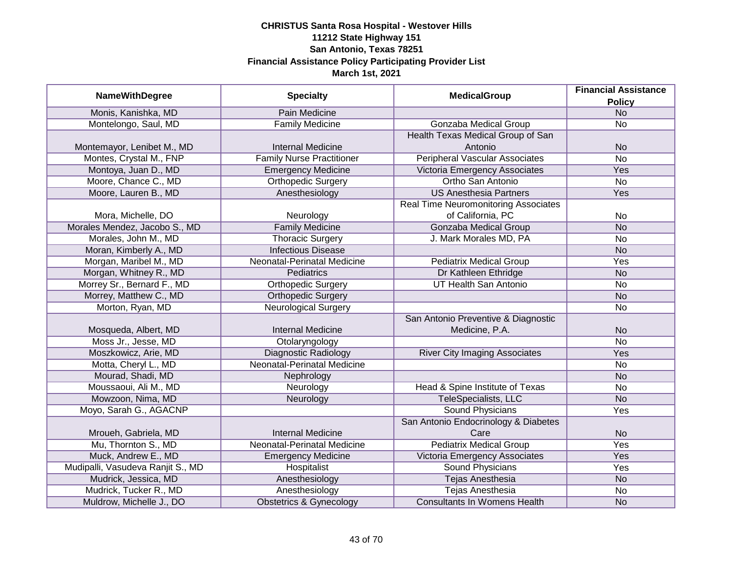| <b>NameWithDegree</b>             | <b>Specialty</b>                   | <b>MedicalGroup</b>                         | <b>Financial Assistance</b> |
|-----------------------------------|------------------------------------|---------------------------------------------|-----------------------------|
|                                   |                                    |                                             | <b>Policy</b>               |
| Monis, Kanishka, MD               | Pain Medicine                      |                                             | <b>No</b>                   |
| Montelongo, Saul, MD              | <b>Family Medicine</b>             | <b>Gonzaba Medical Group</b>                | $\overline{No}$             |
|                                   |                                    | Health Texas Medical Group of San           |                             |
| Montemayor, Lenibet M., MD        | <b>Internal Medicine</b>           | Antonio                                     | <b>No</b>                   |
| Montes, Crystal M., FNP           | <b>Family Nurse Practitioner</b>   | <b>Peripheral Vascular Associates</b>       | $\overline{No}$             |
| Montoya, Juan D., MD              | <b>Emergency Medicine</b>          | Victoria Emergency Associates               | Yes                         |
| Moore, Chance C., MD              | <b>Orthopedic Surgery</b>          | Ortho San Antonio                           | No                          |
| Moore, Lauren B., MD              | Anesthesiology                     | <b>US Anesthesia Partners</b>               | Yes                         |
|                                   |                                    | <b>Real Time Neuromonitoring Associates</b> |                             |
| Mora, Michelle, DO                | Neurology                          | of California, PC                           | No                          |
| Morales Mendez, Jacobo S., MD     | <b>Family Medicine</b>             | Gonzaba Medical Group                       | <b>No</b>                   |
| Morales, John M., MD              | <b>Thoracic Surgery</b>            | J. Mark Morales MD, PA                      | No                          |
| Moran, Kimberly A., MD            | <b>Infectious Disease</b>          |                                             | <b>No</b>                   |
| Morgan, Maribel M., MD            | Neonatal-Perinatal Medicine        | <b>Pediatrix Medical Group</b>              | Yes                         |
| Morgan, Whitney R., MD            | Pediatrics                         | Dr Kathleen Ethridge                        | <b>No</b>                   |
| Morrey Sr., Bernard F., MD        | <b>Orthopedic Surgery</b>          | <b>UT Health San Antonio</b>                | No                          |
| Morrey, Matthew C., MD            | <b>Orthopedic Surgery</b>          |                                             | <b>No</b>                   |
| Morton, Ryan, MD                  | <b>Neurological Surgery</b>        |                                             | No                          |
|                                   |                                    | San Antonio Preventive & Diagnostic         |                             |
| Mosqueda, Albert, MD              | <b>Internal Medicine</b>           | Medicine, P.A.                              | <b>No</b>                   |
| Moss Jr., Jesse, MD               | Otolaryngology                     |                                             | <b>No</b>                   |
| Moszkowicz, Arie, MD              | <b>Diagnostic Radiology</b>        | <b>River City Imaging Associates</b>        | Yes                         |
| Motta, Cheryl L., MD              | <b>Neonatal-Perinatal Medicine</b> |                                             | <b>No</b>                   |
| Mourad, Shadi, MD                 | Nephrology                         |                                             | <b>No</b>                   |
| Moussaoui, Ali M., MD             | Neurology                          | Head & Spine Institute of Texas             | No                          |
| Mowzoon, Nima, MD                 | Neurology                          | <b>TeleSpecialists, LLC</b>                 | <b>No</b>                   |
| Moyo, Sarah G., AGACNP            |                                    | <b>Sound Physicians</b>                     | Yes                         |
|                                   |                                    | San Antonio Endocrinology & Diabetes        |                             |
| Mroueh, Gabriela, MD              | <b>Internal Medicine</b>           | Care                                        | <b>No</b>                   |
| Mu, Thornton S., MD               | Neonatal-Perinatal Medicine        | <b>Pediatrix Medical Group</b>              | Yes                         |
| Muck, Andrew E., MD               | <b>Emergency Medicine</b>          | Victoria Emergency Associates               | Yes                         |
| Mudipalli, Vasudeva Ranjit S., MD | Hospitalist                        | <b>Sound Physicians</b>                     | Yes                         |
| Mudrick, Jessica, MD              | Anesthesiology                     | <b>Tejas Anesthesia</b>                     | <b>No</b>                   |
| Mudrick, Tucker R., MD            | Anesthesiology                     | <b>Tejas Anesthesia</b>                     | No                          |
| Muldrow, Michelle J., DO          | <b>Obstetrics &amp; Gynecology</b> | <b>Consultants In Womens Health</b>         | <b>No</b>                   |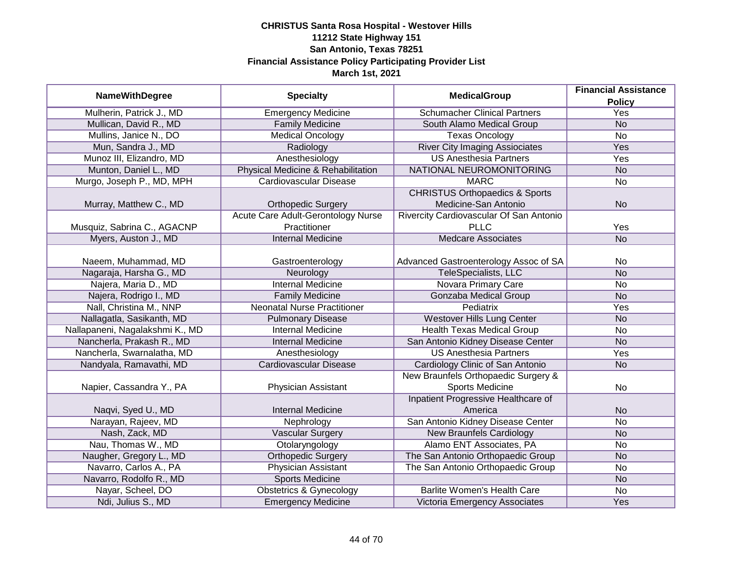|                                 |                                    |                                           | <b>Financial Assistance</b> |
|---------------------------------|------------------------------------|-------------------------------------------|-----------------------------|
| <b>NameWithDegree</b>           | <b>Specialty</b>                   | <b>MedicalGroup</b>                       | <b>Policy</b>               |
| Mulherin, Patrick J., MD        | <b>Emergency Medicine</b>          | <b>Schumacher Clinical Partners</b>       | <b>Yes</b>                  |
| Mullican, David R., MD          | <b>Family Medicine</b>             | South Alamo Medical Group                 | <b>No</b>                   |
| Mullins, Janice N., DO          | <b>Medical Oncology</b>            | <b>Texas Oncology</b>                     | $\overline{No}$             |
| Mun, Sandra J., MD              | Radiology                          | <b>River City Imaging Assiociates</b>     | Yes                         |
| Munoz III, Elizandro, MD        | Anesthesiology                     | <b>US Anesthesia Partners</b>             | <b>Yes</b>                  |
| Munton, Daniel L., MD           | Physical Medicine & Rehabilitation | NATIONAL NEUROMONITORING                  | <b>No</b>                   |
| Murgo, Joseph P., MD, MPH       | Cardiovascular Disease             | <b>MARC</b>                               | No                          |
|                                 |                                    | <b>CHRISTUS Orthopaedics &amp; Sports</b> |                             |
| Murray, Matthew C., MD          | <b>Orthopedic Surgery</b>          | Medicine-San Antonio                      | <b>No</b>                   |
|                                 | Acute Care Adult-Gerontology Nurse | Rivercity Cardiovascular Of San Antonio   |                             |
| Musquiz, Sabrina C., AGACNP     | Practitioner                       | <b>PLLC</b>                               | Yes                         |
| Myers, Auston J., MD            | <b>Internal Medicine</b>           | <b>Medcare Associates</b>                 | <b>No</b>                   |
|                                 |                                    |                                           |                             |
| Naeem, Muhammad, MD             | Gastroenterology                   | Advanced Gastroenterology Assoc of SA     | No                          |
| Nagaraja, Harsha G., MD         | Neurology                          | TeleSpecialists, LLC                      | <b>No</b>                   |
| Najera, Maria D., MD            | <b>Internal Medicine</b>           | Novara Primary Care                       | No                          |
| Najera, Rodrigo I., MD          | <b>Family Medicine</b>             | <b>Gonzaba Medical Group</b>              | <b>No</b>                   |
| Nall, Christina M., NNP         | <b>Neonatal Nurse Practitioner</b> | Pediatrix                                 | Yes                         |
| Nallagatla, Sasikanth, MD       | <b>Pulmonary Disease</b>           | <b>Westover Hills Lung Center</b>         | <b>No</b>                   |
| Nallapaneni, Nagalakshmi K., MD | <b>Internal Medicine</b>           | <b>Health Texas Medical Group</b>         | <b>No</b>                   |
| Nancherla, Prakash R., MD       | <b>Internal Medicine</b>           | San Antonio Kidney Disease Center         | <b>No</b>                   |
| Nancherla, Swarnalatha, MD      | Anesthesiology                     | <b>US Anesthesia Partners</b>             | Yes                         |
| Nandyala, Ramavathi, MD         | <b>Cardiovascular Disease</b>      | Cardiology Clinic of San Antonio          | <b>No</b>                   |
|                                 |                                    | New Braunfels Orthopaedic Surgery &       |                             |
| Napier, Cassandra Y., PA        | Physician Assistant                | <b>Sports Medicine</b>                    | <b>No</b>                   |
|                                 |                                    | Inpatient Progressive Healthcare of       |                             |
| Naqvi, Syed U., MD              | <b>Internal Medicine</b>           | America                                   | <b>No</b>                   |
| Narayan, Rajeev, MD             | Nephrology                         | San Antonio Kidney Disease Center         | <b>No</b>                   |
| Nash, Zack, MD                  | Vascular Surgery                   | <b>New Braunfels Cardiology</b>           | <b>No</b>                   |
| Nau, Thomas W., MD              | Otolaryngology                     | Alamo ENT Associates, PA                  | No                          |
| Naugher, Gregory L., MD         | <b>Orthopedic Surgery</b>          | The San Antonio Orthopaedic Group         | <b>No</b>                   |
| Navarro, Carlos A., PA          | <b>Physician Assistant</b>         | The San Antonio Orthopaedic Group         | No                          |
| Navarro, Rodolfo R., MD         | <b>Sports Medicine</b>             |                                           | N <sub>o</sub>              |
| Nayar, Scheel, DO               | <b>Obstetrics &amp; Gynecology</b> | <b>Barlite Women's Health Care</b>        | $\overline{No}$             |
| Ndi, Julius S., MD              | <b>Emergency Medicine</b>          | Victoria Emergency Associates             | Yes                         |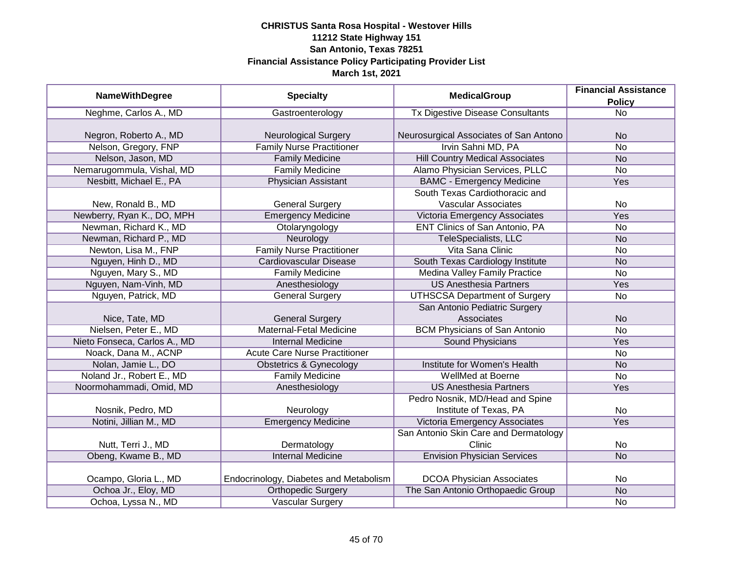| <b>NameWithDegree</b>        | <b>Specialty</b>                       | <b>MedicalGroup</b>                     | <b>Financial Assistance</b> |
|------------------------------|----------------------------------------|-----------------------------------------|-----------------------------|
|                              |                                        |                                         | <b>Policy</b>               |
| Neghme, Carlos A., MD        | Gastroenterology                       | <b>Tx Digestive Disease Consultants</b> | $\overline{No}$             |
|                              |                                        |                                         |                             |
| Negron, Roberto A., MD       | <b>Neurological Surgery</b>            | Neurosurgical Associates of San Antono  | <b>No</b>                   |
| Nelson, Gregory, FNP         | <b>Family Nurse Practitioner</b>       | Irvin Sahni MD, PA                      | $\overline{No}$             |
| Nelson, Jason, MD            | <b>Family Medicine</b>                 | <b>Hill Country Medical Associates</b>  | N <sub>o</sub>              |
| Nemarugommula, Vishal, MD    | <b>Family Medicine</b>                 | Alamo Physician Services, PLLC          | No                          |
| Nesbitt, Michael E., PA      | <b>Physician Assistant</b>             | <b>BAMC - Emergency Medicine</b>        | Yes                         |
|                              |                                        | South Texas Cardiothoracic and          |                             |
| New, Ronald B., MD           | <b>General Surgery</b>                 | <b>Vascular Associates</b>              | No                          |
| Newberry, Ryan K., DO, MPH   | <b>Emergency Medicine</b>              | Victoria Emergency Associates           | Yes                         |
| Newman, Richard K., MD       | Otolaryngology                         | <b>ENT Clinics of San Antonio, PA</b>   | <b>No</b>                   |
| Newman, Richard P., MD       | Neurology                              | <b>TeleSpecialists, LLC</b>             | <b>No</b>                   |
| Newton, Lisa M., FNP         | <b>Family Nurse Practitioner</b>       | Vita Sana Clinic                        | No                          |
| Nguyen, Hinh D., MD          | <b>Cardiovascular Disease</b>          | South Texas Cardiology Institute        | <b>No</b>                   |
| Nguyen, Mary S., MD          | <b>Family Medicine</b>                 | Medina Valley Family Practice           | <b>No</b>                   |
| Nguyen, Nam-Vinh, MD         | Anesthesiology                         | <b>US Anesthesia Partners</b>           | Yes                         |
| Nguyen, Patrick, MD          | <b>General Surgery</b>                 | <b>UTHSCSA Department of Surgery</b>    | No                          |
|                              |                                        | San Antonio Pediatric Surgery           |                             |
| Nice, Tate, MD               | <b>General Surgery</b>                 | Associates                              | <b>No</b>                   |
| Nielsen, Peter E., MD        | <b>Maternal-Fetal Medicine</b>         | <b>BCM Physicians of San Antonio</b>    | <b>No</b>                   |
| Nieto Fonseca, Carlos A., MD | <b>Internal Medicine</b>               | Sound Physicians                        | Yes                         |
| Noack, Dana M., ACNP         | <b>Acute Care Nurse Practitioner</b>   |                                         | <b>No</b>                   |
| Nolan, Jamie L., DO          | <b>Obstetrics &amp; Gynecology</b>     | Institute for Women's Health            | <b>No</b>                   |
| Noland Jr., Robert E., MD    | <b>Family Medicine</b>                 | WellMed at Boerne                       | No                          |
| Noormohammadi, Omid, MD      | Anesthesiology                         | <b>US Anesthesia Partners</b>           | Yes                         |
|                              |                                        | Pedro Nosnik, MD/Head and Spine         |                             |
| Nosnik, Pedro, MD            | Neurology                              | Institute of Texas, PA                  | No                          |
| Notini, Jillian M., MD       | <b>Emergency Medicine</b>              | Victoria Emergency Associates           | Yes                         |
|                              |                                        | San Antonio Skin Care and Dermatology   |                             |
| Nutt, Terri J., MD           | Dermatology                            | Clinic                                  | No                          |
| Obeng, Kwame B., MD          | <b>Internal Medicine</b>               | <b>Envision Physician Services</b>      | N <sub>o</sub>              |
|                              |                                        |                                         |                             |
| Ocampo, Gloria L., MD        | Endocrinology, Diabetes and Metabolism | <b>DCOA Physician Associates</b>        | No                          |
| Ochoa Jr., Eloy, MD          | <b>Orthopedic Surgery</b>              | The San Antonio Orthopaedic Group       | N <sub>O</sub>              |
| Ochoa, Lyssa N., MD          | <b>Vascular Surgery</b>                |                                         | No                          |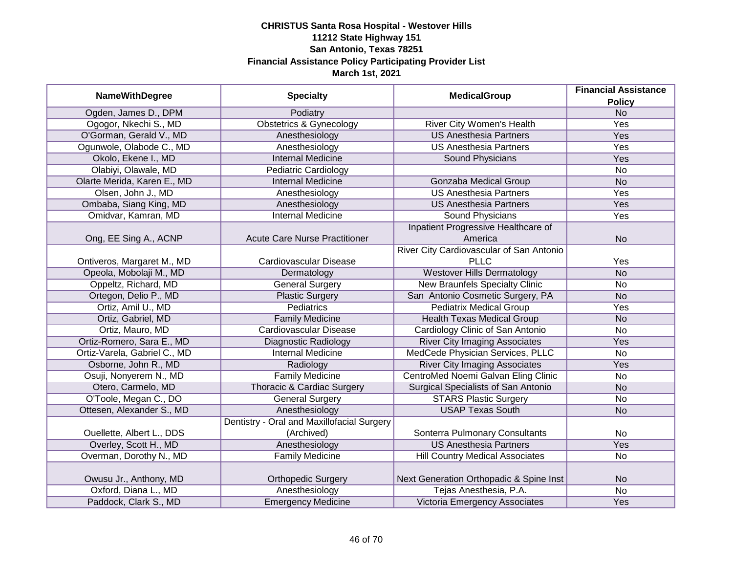| <b>NameWithDegree</b>        | <b>Specialty</b>                           | <b>MedicalGroup</b>                      | <b>Financial Assistance</b> |
|------------------------------|--------------------------------------------|------------------------------------------|-----------------------------|
|                              |                                            |                                          | <b>Policy</b>               |
| Ogden, James D., DPM         | Podiatry                                   |                                          | N <sub>o</sub>              |
| Ogogor, Nkechi S., MD        | <b>Obstetrics &amp; Gynecology</b>         | River City Women's Health                | <b>Yes</b>                  |
| O'Gorman, Gerald V., MD      | Anesthesiology                             | <b>US Anesthesia Partners</b>            | Yes                         |
| Ogunwole, Olabode C., MD     | Anesthesiology                             | <b>US Anesthesia Partners</b>            | Yes                         |
| Okolo, Ekene I., MD          | <b>Internal Medicine</b>                   | <b>Sound Physicians</b>                  | Yes                         |
| Olabiyi, Olawale, MD         | <b>Pediatric Cardiology</b>                |                                          | No                          |
| Olarte Merida, Karen E., MD  | <b>Internal Medicine</b>                   | <b>Gonzaba Medical Group</b>             | <b>No</b>                   |
| Olsen, John J., MD           | Anesthesiology                             | <b>US Anesthesia Partners</b>            | Yes                         |
| Ombaba, Siang King, MD       | Anesthesiology                             | <b>US Anesthesia Partners</b>            | Yes                         |
| Omidvar, Kamran, MD          | <b>Internal Medicine</b>                   | Sound Physicians                         | Yes                         |
|                              |                                            | Inpatient Progressive Healthcare of      |                             |
| Ong, EE Sing A., ACNP        | <b>Acute Care Nurse Practitioner</b>       | America                                  | <b>No</b>                   |
|                              |                                            | River City Cardiovascular of San Antonio |                             |
| Ontiveros, Margaret M., MD   | Cardiovascular Disease                     | <b>PLLC</b>                              | Yes                         |
| Opeola, Mobolaji M., MD      | Dermatology                                | <b>Westover Hills Dermatology</b>        | <b>No</b>                   |
| Oppeltz, Richard, MD         | <b>General Surgery</b>                     | <b>New Braunfels Specialty Clinic</b>    | <b>No</b>                   |
| Ortegon, Delio P., MD        | <b>Plastic Surgery</b>                     | San Antonio Cosmetic Surgery, PA         | <b>No</b>                   |
| Ortiz, Amil U., MD           | <b>Pediatrics</b>                          | <b>Pediatrix Medical Group</b>           | Yes                         |
| Ortiz, Gabriel, MD           | <b>Family Medicine</b>                     | <b>Health Texas Medical Group</b>        | <b>No</b>                   |
| Ortiz, Mauro, MD             | <b>Cardiovascular Disease</b>              | Cardiology Clinic of San Antonio         | <b>No</b>                   |
| Ortiz-Romero, Sara E., MD    | <b>Diagnostic Radiology</b>                | <b>River City Imaging Associates</b>     | Yes                         |
| Ortiz-Varela, Gabriel C., MD | <b>Internal Medicine</b>                   | MedCede Physician Services, PLLC         | <b>No</b>                   |
| Osborne, John R., MD         | Radiology                                  | <b>River City Imaging Associates</b>     | Yes                         |
| Osuji, Nonyerem N., MD       | <b>Family Medicine</b>                     | CentroMed Noemi Galvan Eling Clinic      | <b>No</b>                   |
| Otero, Carmelo, MD           | <b>Thoracic &amp; Cardiac Surgery</b>      | Surgical Specialists of San Antonio      | <b>No</b>                   |
| O'Toole, Megan C., DO        | <b>General Surgery</b>                     | <b>STARS Plastic Surgery</b>             | No                          |
| Ottesen, Alexander S., MD    | Anesthesiology                             | <b>USAP Texas South</b>                  | <b>No</b>                   |
|                              | Dentistry - Oral and Maxillofacial Surgery |                                          |                             |
| Ouellette, Albert L., DDS    | (Archived)                                 | Sonterra Pulmonary Consultants           | <b>No</b>                   |
| Overley, Scott H., MD        | Anesthesiology                             | <b>US Anesthesia Partners</b>            | Yes                         |
| Overman, Dorothy N., MD      | <b>Family Medicine</b>                     | <b>Hill Country Medical Associates</b>   | No                          |
|                              |                                            |                                          |                             |
| Owusu Jr., Anthony, MD       | <b>Orthopedic Surgery</b>                  | Next Generation Orthopadic & Spine Inst  | <b>No</b>                   |
| Oxford, Diana L., MD         | Anesthesiology                             | Tejas Anesthesia, P.A.                   | <b>No</b>                   |
| Paddock, Clark S., MD        | <b>Emergency Medicine</b>                  | Victoria Emergency Associates            | Yes                         |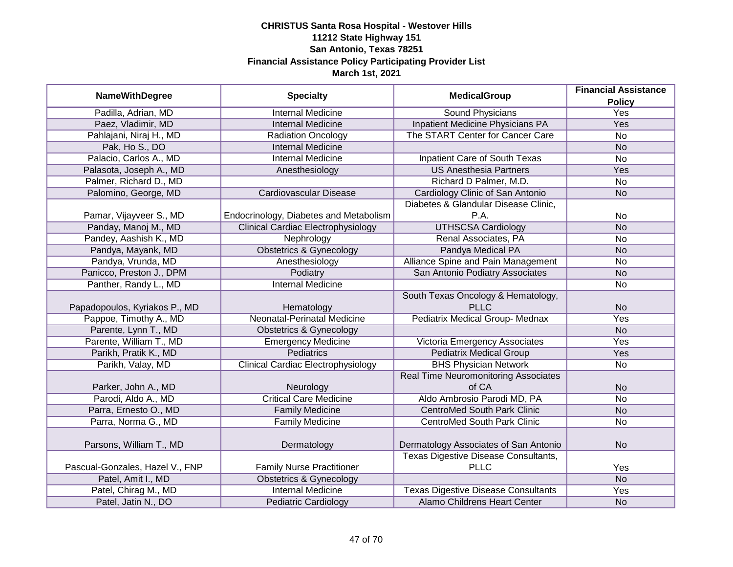| <b>NameWithDegree</b>           | <b>Specialty</b>                          | <b>MedicalGroup</b>                        | <b>Financial Assistance</b> |
|---------------------------------|-------------------------------------------|--------------------------------------------|-----------------------------|
|                                 |                                           |                                            | <b>Policy</b>               |
| Padilla, Adrian, MD             | <b>Internal Medicine</b>                  | <b>Sound Physicians</b>                    | Yes                         |
| Paez, Vladimir, MD              | <b>Internal Medicine</b>                  | <b>Inpatient Medicine Physicians PA</b>    | Yes                         |
| Pahlajani, Niraj H., MD         | <b>Radiation Oncology</b>                 | The START Center for Cancer Care           | $\overline{No}$             |
| Pak, Ho S., DO                  | <b>Internal Medicine</b>                  |                                            | <b>No</b>                   |
| Palacio, Carlos A., MD          | <b>Internal Medicine</b>                  | <b>Inpatient Care of South Texas</b>       | No                          |
| Palasota, Joseph A., MD         | Anesthesiology                            | <b>US Anesthesia Partners</b>              | Yes                         |
| Palmer, Richard D., MD          |                                           | Richard D Palmer, M.D.                     | <b>No</b>                   |
| Palomino, George, MD            | Cardiovascular Disease                    | Cardiology Clinic of San Antonio           | <b>No</b>                   |
|                                 |                                           | Diabetes & Glandular Disease Clinic,       |                             |
| Pamar, Vijayveer S., MD         | Endocrinology, Diabetes and Metabolism    | P.A.                                       | <b>No</b>                   |
| Panday, Manoj M., MD            | <b>Clinical Cardiac Electrophysiology</b> | <b>UTHSCSA Cardiology</b>                  | <b>No</b>                   |
| Pandey, Aashish K., MD          | Nephrology                                | Renal Associates, PA                       | No                          |
| Pandya, Mayank, MD              | <b>Obstetrics &amp; Gynecology</b>        | Pandya Medical PA                          | <b>No</b>                   |
| Pandya, Vrunda, MD              | Anesthesiology                            | Alliance Spine and Pain Management         | <b>No</b>                   |
| Panicco, Preston J., DPM        | Podiatry                                  | San Antonio Podiatry Associates            | <b>No</b>                   |
| Panther, Randy L., MD           | <b>Internal Medicine</b>                  |                                            | <b>No</b>                   |
|                                 |                                           | South Texas Oncology & Hematology,         |                             |
| Papadopoulos, Kyriakos P., MD   | Hematology                                | <b>PLLC</b>                                | <b>No</b>                   |
| Pappoe, Timothy A., MD          | Neonatal-Perinatal Medicine               | Pediatrix Medical Group- Mednax            | Yes                         |
| Parente, Lynn T., MD            | <b>Obstetrics &amp; Gynecology</b>        |                                            | <b>No</b>                   |
| Parente, William T., MD         | <b>Emergency Medicine</b>                 | Victoria Emergency Associates              | Yes                         |
| Parikh, Pratik K., MD           | <b>Pediatrics</b>                         | <b>Pediatrix Medical Group</b>             | Yes                         |
| Parikh, Valay, MD               | <b>Clinical Cardiac Electrophysiology</b> | <b>BHS Physician Network</b>               | <b>No</b>                   |
|                                 |                                           | Real Time Neuromonitoring Associates       |                             |
| Parker, John A., MD             | Neurology                                 | of CA                                      | <b>No</b>                   |
| Parodi, Aldo A., MD             | <b>Critical Care Medicine</b>             | Aldo Ambrosio Parodi MD, PA                | <b>No</b>                   |
| Parra, Ernesto O., MD           | <b>Family Medicine</b>                    | <b>CentroMed South Park Clinic</b>         | <b>No</b>                   |
| Parra, Norma G., MD             | <b>Family Medicine</b>                    | <b>CentroMed South Park Clinic</b>         | <b>No</b>                   |
|                                 |                                           |                                            |                             |
| Parsons, William T., MD         | Dermatology                               | Dermatology Associates of San Antonio      | <b>No</b>                   |
|                                 |                                           | Texas Digestive Disease Consultants,       |                             |
| Pascual-Gonzales, Hazel V., FNP | <b>Family Nurse Practitioner</b>          | <b>PLLC</b>                                | Yes                         |
| Patel, Amit I., MD              | <b>Obstetrics &amp; Gynecology</b>        |                                            | <b>No</b>                   |
| Patel, Chirag M., MD            | <b>Internal Medicine</b>                  | <b>Texas Digestive Disease Consultants</b> | Yes                         |
| Patel, Jatin N., DO             | <b>Pediatric Cardiology</b>               | Alamo Childrens Heart Center               | <b>No</b>                   |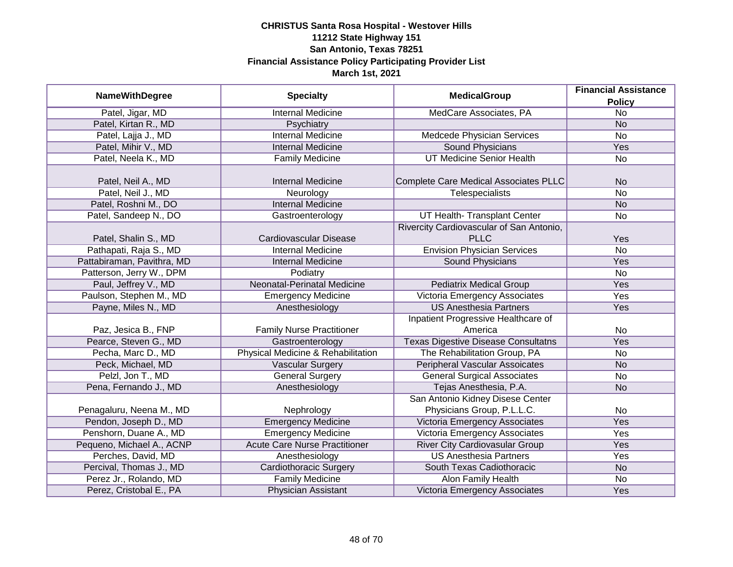| <b>NameWithDegree</b>      | <b>Specialty</b>                     | <b>MedicalGroup</b>                        | <b>Financial Assistance</b> |
|----------------------------|--------------------------------------|--------------------------------------------|-----------------------------|
|                            |                                      |                                            | <b>Policy</b>               |
| Patel, Jigar, MD           | <b>Internal Medicine</b>             | MedCare Associates, PA                     | $\overline{No}$             |
| Patel, Kirtan R., MD       | Psychiatry                           |                                            | <b>No</b>                   |
| Patel, Lajja J., MD        | <b>Internal Medicine</b>             | Medcede Physician Services                 | <b>No</b>                   |
| Patel, Mihir V., MD        | <b>Internal Medicine</b>             | <b>Sound Physicians</b>                    | Yes                         |
| Patel, Neela K., MD        | <b>Family Medicine</b>               | <b>UT Medicine Senior Health</b>           | No                          |
|                            |                                      |                                            |                             |
| Patel, Neil A., MD         | <b>Internal Medicine</b>             | Complete Care Medical Associates PLLC      | <b>No</b>                   |
| Patel, Neil J., MD         | Neurology                            | Telespecialists                            | <b>No</b>                   |
| Patel, Roshni M., DO       | <b>Internal Medicine</b>             |                                            | <b>No</b>                   |
| Patel, Sandeep N., DO      | Gastroenterology                     | UT Health- Transplant Center               | No                          |
|                            |                                      | Rivercity Cardiovascular of San Antonio,   |                             |
| Patel, Shalin S., MD       | Cardiovascular Disease               | <b>PLLC</b>                                | Yes                         |
| Pathapati, Raja S., MD     | <b>Internal Medicine</b>             | <b>Envision Physician Services</b>         | <b>No</b>                   |
| Pattabiraman, Pavithra, MD | <b>Internal Medicine</b>             | <b>Sound Physicians</b>                    | Yes                         |
| Patterson, Jerry W., DPM   | Podiatry                             |                                            | <b>No</b>                   |
| Paul, Jeffrey V., MD       | Neonatal-Perinatal Medicine          | <b>Pediatrix Medical Group</b>             | Yes                         |
| Paulson, Stephen M., MD    | <b>Emergency Medicine</b>            | <b>Victoria Emergency Associates</b>       | Yes                         |
| Payne, Miles N., MD        | Anesthesiology                       | <b>US Anesthesia Partners</b>              | Yes                         |
|                            |                                      | Inpatient Progressive Healthcare of        |                             |
| Paz, Jesica B., FNP        | <b>Family Nurse Practitioner</b>     | America                                    | No                          |
| Pearce, Steven G., MD      | Gastroenterology                     | <b>Texas Digestive Disease Consultatns</b> | Yes                         |
| Pecha, Marc D., MD         | Physical Medicine & Rehabilitation   | The Rehabilitation Group, PA               | No                          |
| Peck, Michael, MD          | <b>Vascular Surgery</b>              | <b>Peripheral Vascular Assoicates</b>      | <b>No</b>                   |
| Pelzl, Jon T., MD          | <b>General Surgery</b>               | <b>General Surgical Associates</b>         | No                          |
| Pena, Fernando J., MD      | Anesthesiology                       | Tejas Anesthesia, P.A.                     | <b>No</b>                   |
|                            |                                      | San Antonio Kidney Disese Center           |                             |
| Penagaluru, Neena M., MD   | Nephrology                           | Physicians Group, P.L.L.C.                 | No                          |
| Pendon, Joseph D., MD      | <b>Emergency Medicine</b>            | Victoria Emergency Associates              | Yes                         |
| Penshorn, Duane A., MD     | <b>Emergency Medicine</b>            | Victoria Emergency Associates              | Yes                         |
| Pequeno, Michael A., ACNP  | <b>Acute Care Nurse Practitioner</b> | <b>River City Cardiovasular Group</b>      | Yes                         |
| Perches, David, MD         | Anesthesiology                       | <b>US Anesthesia Partners</b>              | Yes                         |
| Percival, Thomas J., MD    | <b>Cardiothoracic Surgery</b>        | South Texas Cadiothoracic                  | <b>No</b>                   |
| Perez Jr., Rolando, MD     | <b>Family Medicine</b>               | <b>Alon Family Health</b>                  | No                          |
| Perez, Cristobal E., PA    | Physician Assistant                  | Victoria Emergency Associates              | Yes                         |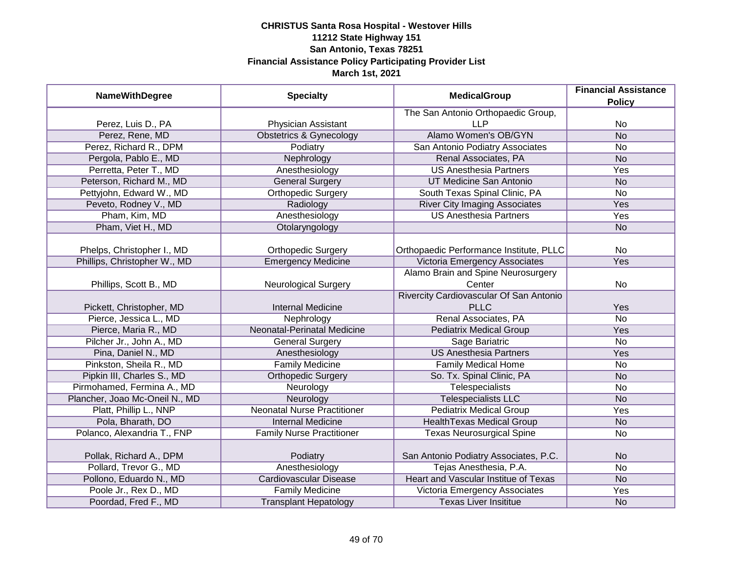| <b>NameWithDegree</b>          | <b>Specialty</b>                   | <b>MedicalGroup</b>                         | <b>Financial Assistance</b><br><b>Policy</b> |
|--------------------------------|------------------------------------|---------------------------------------------|----------------------------------------------|
|                                |                                    | The San Antonio Orthopaedic Group,          |                                              |
| Perez, Luis D., PA             | Physician Assistant                | <b>LLP</b>                                  | No                                           |
| Perez, Rene, MD                | <b>Obstetrics &amp; Gynecology</b> | Alamo Women's OB/GYN                        | N <sub>o</sub>                               |
| Perez, Richard R., DPM         | Podiatry                           | San Antonio Podiatry Associates             | <b>No</b>                                    |
| Pergola, Pablo E., MD          | Nephrology                         | Renal Associates, PA                        | <b>No</b>                                    |
| Perretta, Peter T., MD         | Anesthesiology                     | <b>US Anesthesia Partners</b>               | Yes                                          |
| Peterson, Richard M., MD       | <b>General Surgery</b>             | UT Medicine San Antonio                     | <b>No</b>                                    |
| Pettyjohn, Edward W., MD       | <b>Orthopedic Surgery</b>          | South Texas Spinal Clinic, PA               | <b>No</b>                                    |
| Peveto, Rodney V., MD          | Radiology                          | <b>River City Imaging Associates</b>        | Yes                                          |
| Pham, Kim, MD                  | Anesthesiology                     | <b>US Anesthesia Partners</b>               | Yes                                          |
| Pham, Viet H., MD              | Otolaryngology                     |                                             | <b>No</b>                                    |
| Phelps, Christopher I., MD     | <b>Orthopedic Surgery</b>          | Orthopaedic Performance Institute, PLLC     | <b>No</b>                                    |
| Phillips, Christopher W., MD   | <b>Emergency Medicine</b>          | Victoria Emergency Associates               | Yes                                          |
|                                |                                    | Alamo Brain and Spine Neurosurgery          |                                              |
| Phillips, Scott B., MD         | <b>Neurological Surgery</b>        | Center                                      | No                                           |
|                                |                                    | Rivercity Cardiovascular Of San Antonio     |                                              |
| Pickett, Christopher, MD       | <b>Internal Medicine</b>           | <b>PLLC</b>                                 | Yes                                          |
| Pierce, Jessica L., MD         | Nephrology                         | Renal Associates, PA                        | <b>No</b>                                    |
| Pierce, Maria R., MD           | <b>Neonatal-Perinatal Medicine</b> | <b>Pediatrix Medical Group</b>              | Yes                                          |
| Pilcher Jr., John A., MD       | <b>General Surgery</b>             | Sage Bariatric                              | <b>No</b>                                    |
| Pina, Daniel N., MD            | Anesthesiology                     | <b>US Anesthesia Partners</b>               | Yes                                          |
| Pinkston, Sheila R., MD        | <b>Family Medicine</b>             | <b>Family Medical Home</b>                  | <b>No</b>                                    |
| Pipkin III, Charles S., MD     | <b>Orthopedic Surgery</b>          | So. Tx. Spinal Clinic, PA                   | <b>No</b>                                    |
| Pirmohamed, Fermina A., MD     | Neurology                          | Telespecialists                             | <b>No</b>                                    |
| Plancher, Joao Mc-Oneil N., MD | Neurology                          | <b>Telespecialists LLC</b>                  | <b>No</b>                                    |
| Platt, Phillip L., NNP         | <b>Neonatal Nurse Practitioner</b> | <b>Pediatrix Medical Group</b>              | Yes                                          |
| Pola, Bharath, DO              | <b>Internal Medicine</b>           | <b>HealthTexas Medical Group</b>            | <b>No</b>                                    |
| Polanco, Alexandria T., FNP    | <b>Family Nurse Practitioner</b>   | <b>Texas Neurosurgical Spine</b>            | <b>No</b>                                    |
| Pollak, Richard A., DPM        | Podiatry                           | San Antonio Podiatry Associates, P.C.       | <b>No</b>                                    |
| Pollard, Trevor G., MD         | Anesthesiology                     | Tejas Anesthesia, P.A.                      | <b>No</b>                                    |
| Pollono, Eduardo N., MD        | Cardiovascular Disease             | <b>Heart and Vascular Institue of Texas</b> | <b>No</b>                                    |
| Poole Jr., Rex D., MD          | <b>Family Medicine</b>             | Victoria Emergency Associates               | Yes                                          |
| Poordad, Fred F., MD           | <b>Transplant Hepatology</b>       | <b>Texas Liver Insititue</b>                | <b>No</b>                                    |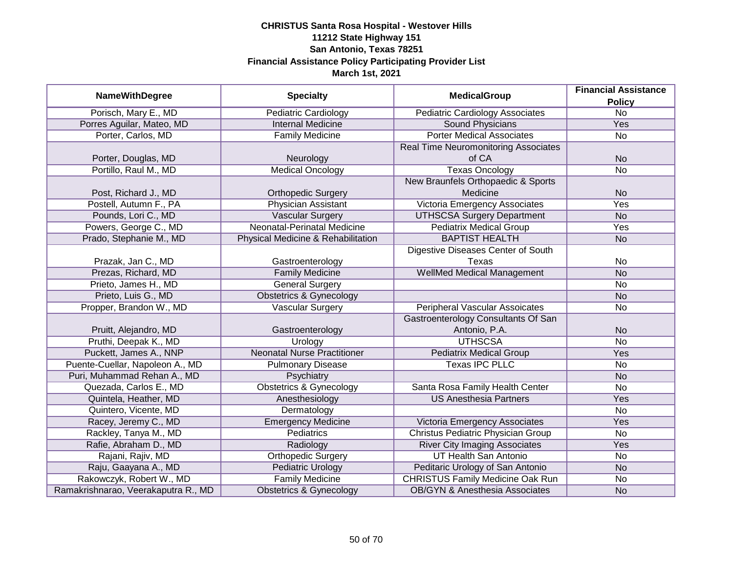| <b>NameWithDegree</b>               | <b>Specialty</b>                   | <b>MedicalGroup</b>                         | <b>Financial Assistance</b> |
|-------------------------------------|------------------------------------|---------------------------------------------|-----------------------------|
|                                     |                                    |                                             | <b>Policy</b>               |
| Porisch, Mary E., MD                | <b>Pediatric Cardiology</b>        | <b>Pediatric Cardiology Associates</b>      | $\overline{No}$             |
| Porres Aguilar, Mateo, MD           | <b>Internal Medicine</b>           | <b>Sound Physicians</b>                     | Yes                         |
| Porter, Carlos, MD                  | <b>Family Medicine</b>             | <b>Porter Medical Associates</b>            | <b>No</b>                   |
|                                     |                                    | <b>Real Time Neuromonitoring Associates</b> |                             |
| Porter, Douglas, MD                 | Neurology                          | of CA                                       | <b>No</b>                   |
| Portillo, Raul M., MD               | <b>Medical Oncology</b>            | <b>Texas Oncology</b>                       | <b>No</b>                   |
|                                     |                                    | New Braunfels Orthopaedic & Sports          |                             |
| Post, Richard J., MD                | <b>Orthopedic Surgery</b>          | Medicine                                    | <b>No</b>                   |
| Postell, Autumn F., PA              | <b>Physician Assistant</b>         | Victoria Emergency Associates               | Yes                         |
| Pounds, Lori C., MD                 | <b>Vascular Surgery</b>            | <b>UTHSCSA Surgery Department</b>           | <b>No</b>                   |
| Powers, George C., MD               | Neonatal-Perinatal Medicine        | <b>Pediatrix Medical Group</b>              | Yes                         |
| Prado, Stephanie M., MD             | Physical Medicine & Rehabilitation | <b>BAPTIST HEALTH</b>                       | <b>No</b>                   |
|                                     |                                    | Digestive Diseases Center of South          |                             |
| Prazak, Jan C., MD                  | Gastroenterology                   | Texas                                       | No                          |
| Prezas, Richard, MD                 | <b>Family Medicine</b>             | <b>WellMed Medical Management</b>           | <b>No</b>                   |
| Prieto, James H., MD                | <b>General Surgery</b>             |                                             | No                          |
| Prieto, Luis G., MD                 | <b>Obstetrics &amp; Gynecology</b> |                                             | <b>No</b>                   |
| Propper, Brandon W., MD             | <b>Vascular Surgery</b>            | <b>Peripheral Vascular Assoicates</b>       | No                          |
|                                     |                                    | Gastroenterology Consultants Of San         |                             |
| Pruitt, Alejandro, MD               | Gastroenterology                   | Antonio, P.A.                               | <b>No</b>                   |
| Pruthi, Deepak K., MD               | Urology                            | <b>UTHSCSA</b>                              | No                          |
| Puckett, James A., NNP              | <b>Neonatal Nurse Practitioner</b> | <b>Pediatrix Medical Group</b>              | Yes                         |
| Puente-Cuellar, Napoleon A., MD     | <b>Pulmonary Disease</b>           | <b>Texas IPC PLLC</b>                       | No                          |
| Puri, Muhammad Rehan A., MD         | Psychiatry                         |                                             | <b>No</b>                   |
| Quezada, Carlos E., MD              | <b>Obstetrics &amp; Gynecology</b> | Santa Rosa Family Health Center             | No                          |
| Quintela, Heather, MD               | Anesthesiology                     | <b>US Anesthesia Partners</b>               | Yes                         |
| Quintero, Vicente, MD               | Dermatology                        |                                             | <b>No</b>                   |
| Racey, Jeremy C., MD                | <b>Emergency Medicine</b>          | Victoria Emergency Associates               | Yes                         |
| Rackley, Tanya M., MD               | <b>Pediatrics</b>                  | <b>Christus Pediatric Physician Group</b>   | No                          |
| Rafie, Abraham D., MD               | Radiology                          | <b>River City Imaging Associates</b>        | Yes                         |
| Rajani, Rajiv, MD                   | <b>Orthopedic Surgery</b>          | UT Health San Antonio                       | No                          |
| Raju, Gaayana A., MD                | <b>Pediatric Urology</b>           | Peditaric Urology of San Antonio            | <b>No</b>                   |
| Rakowczyk, Robert W., MD            | <b>Family Medicine</b>             | <b>CHRISTUS Family Medicine Oak Run</b>     | No                          |
| Ramakrishnarao, Veerakaputra R., MD | <b>Obstetrics &amp; Gynecology</b> | <b>OB/GYN &amp; Anesthesia Associates</b>   | <b>No</b>                   |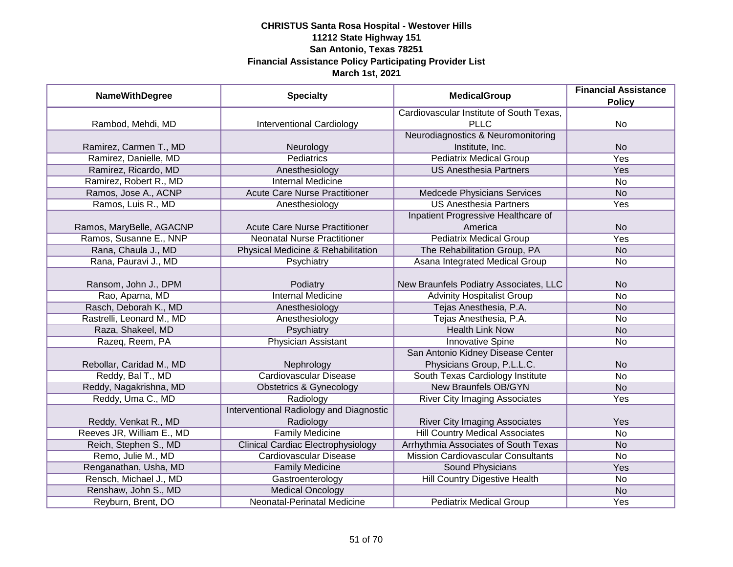| <b>NameWithDegree</b>     | <b>Specialty</b>                          | <b>MedicalGroup</b>                       | <b>Financial Assistance</b> |
|---------------------------|-------------------------------------------|-------------------------------------------|-----------------------------|
|                           |                                           |                                           | <b>Policy</b>               |
|                           |                                           | Cardiovascular Institute of South Texas,  |                             |
| Rambod, Mehdi, MD         | <b>Interventional Cardiology</b>          | <b>PLLC</b>                               | No                          |
|                           |                                           | Neurodiagnostics & Neuromonitoring        |                             |
| Ramirez, Carmen T., MD    | Neurology                                 | Institute, Inc.                           | <b>No</b>                   |
| Ramirez, Danielle, MD     | Pediatrics                                | <b>Pediatrix Medical Group</b>            | <b>Yes</b>                  |
| Ramirez, Ricardo, MD      | Anesthesiology                            | <b>US Anesthesia Partners</b>             | Yes                         |
| Ramirez, Robert R., MD    | <b>Internal Medicine</b>                  |                                           | No                          |
| Ramos, Jose A., ACNP      | <b>Acute Care Nurse Practitioner</b>      | Medcede Physicians Services               | <b>No</b>                   |
| Ramos, Luis R., MD        | Anesthesiology                            | <b>US Anesthesia Partners</b>             | Yes                         |
|                           |                                           | Inpatient Progressive Healthcare of       |                             |
| Ramos, MaryBelle, AGACNP  | <b>Acute Care Nurse Practitioner</b>      | America                                   | <b>No</b>                   |
| Ramos, Susanne E., NNP    | <b>Neonatal Nurse Practitioner</b>        | <b>Pediatrix Medical Group</b>            | Yes                         |
| Rana, Chaula J., MD       | Physical Medicine & Rehabilitation        | The Rehabilitation Group, PA              | <b>No</b>                   |
| Rana, Pauravi J., MD      | Psychiatry                                | Asana Integrated Medical Group            | No                          |
|                           |                                           |                                           |                             |
| Ransom, John J., DPM      | Podiatry                                  | New Braunfels Podiatry Associates, LLC    | <b>No</b>                   |
| Rao, Aparna, MD           | <b>Internal Medicine</b>                  | <b>Advinity Hospitalist Group</b>         | <b>No</b>                   |
| Rasch, Deborah K., MD     | Anesthesiology                            | Tejas Anesthesia, P.A.                    | <b>No</b>                   |
| Rastrelli, Leonard M., MD | Anesthesiology                            | Tejas Anesthesia, P.A.                    | No                          |
| Raza, Shakeel, MD         | Psychiatry                                | <b>Health Link Now</b>                    | <b>No</b>                   |
| Razeq, Reem, PA           | <b>Physician Assistant</b>                | <b>Innovative Spine</b>                   | <b>No</b>                   |
|                           |                                           | San Antonio Kidney Disease Center         |                             |
| Rebollar, Caridad M., MD  | Nephrology                                | Physicians Group, P.L.L.C.                | <b>No</b>                   |
| Reddy, Bal T., MD         | Cardiovascular Disease                    | South Texas Cardiology Institute          | <b>No</b>                   |
| Reddy, Nagakrishna, MD    | <b>Obstetrics &amp; Gynecology</b>        | <b>New Braunfels OB/GYN</b>               | <b>No</b>                   |
| Reddy, Uma C., MD         | Radiology                                 | <b>River City Imaging Associates</b>      | Yes                         |
|                           | Interventional Radiology and Diagnostic   |                                           |                             |
| Reddy, Venkat R., MD      | Radiology                                 | <b>River City Imaging Associates</b>      | Yes                         |
| Reeves JR, William E., MD | <b>Family Medicine</b>                    | <b>Hill Country Medical Associates</b>    | <b>No</b>                   |
| Reich, Stephen S., MD     | <b>Clinical Cardiac Electrophysiology</b> | Arrhythmia Associates of South Texas      | <b>No</b>                   |
| Remo, Julie M., MD        | <b>Cardiovascular Disease</b>             | <b>Mission Cardiovascular Consultants</b> | No                          |
| Renganathan, Usha, MD     | <b>Family Medicine</b>                    | <b>Sound Physicians</b>                   | Yes                         |
| Rensch, Michael J., MD    | Gastroenterology                          | Hill Country Digestive Health             | No                          |
| Renshaw, John S., MD      | <b>Medical Oncology</b>                   |                                           | <b>No</b>                   |
| Reyburn, Brent, DO        | Neonatal-Perinatal Medicine               | <b>Pediatrix Medical Group</b>            | <b>Yes</b>                  |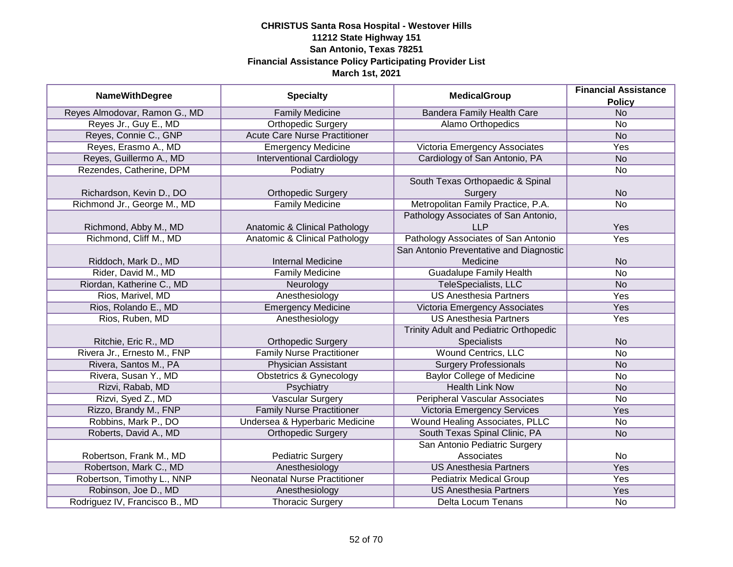| <b>NameWithDegree</b>          | <b>Specialty</b>                     | <b>MedicalGroup</b>                     | <b>Financial Assistance</b><br><b>Policy</b> |
|--------------------------------|--------------------------------------|-----------------------------------------|----------------------------------------------|
| Reyes Almodovar, Ramon G., MD  | <b>Family Medicine</b>               | <b>Bandera Family Health Care</b>       | <b>No</b>                                    |
| Reyes Jr., Guy E., MD          | <b>Orthopedic Surgery</b>            | Alamo Orthopedics                       | <b>No</b>                                    |
| Reyes, Connie C., GNP          | <b>Acute Care Nurse Practitioner</b> |                                         | N <sub>o</sub>                               |
| Reyes, Erasmo A., MD           | <b>Emergency Medicine</b>            | Victoria Emergency Associates           | <b>Yes</b>                                   |
| Reyes, Guillermo A., MD        | <b>Interventional Cardiology</b>     | Cardiology of San Antonio, PA           | <b>No</b>                                    |
| Rezendes, Catherine, DPM       | Podiatry                             |                                         | No                                           |
|                                |                                      | South Texas Orthopaedic & Spinal        |                                              |
| Richardson, Kevin D., DO       | <b>Orthopedic Surgery</b>            | Surgery                                 | <b>No</b>                                    |
| Richmond Jr., George M., MD    | <b>Family Medicine</b>               | Metropolitan Family Practice, P.A.      | No                                           |
|                                |                                      | Pathology Associates of San Antonio,    |                                              |
| Richmond, Abby M., MD          | Anatomic & Clinical Pathology        | <b>LLP</b>                              | Yes                                          |
| Richmond, Cliff M., MD         | Anatomic & Clinical Pathology        | Pathology Associates of San Antonio     | Yes                                          |
|                                |                                      | San Antonio Preventative and Diagnostic |                                              |
| Riddoch, Mark D., MD           | <b>Internal Medicine</b>             | Medicine                                | <b>No</b>                                    |
| Rider, David M., MD            | <b>Family Medicine</b>               | <b>Guadalupe Family Health</b>          | <b>No</b>                                    |
| Riordan, Katherine C., MD      | Neurology                            | <b>TeleSpecialists, LLC</b>             | <b>No</b>                                    |
| Rios, Marivel, MD              | Anesthesiology                       | <b>US Anesthesia Partners</b>           | Yes                                          |
| Rios, Rolando E., MD           | <b>Emergency Medicine</b>            | Victoria Emergency Associates           | Yes                                          |
| Rios, Ruben, MD                | Anesthesiology                       | <b>US Anesthesia Partners</b>           | Yes                                          |
|                                |                                      | Trinity Adult and Pediatric Orthopedic  |                                              |
| Ritchie, Eric R., MD           | <b>Orthopedic Surgery</b>            | <b>Specialists</b>                      | <b>No</b>                                    |
| Rivera Jr., Ernesto M., FNP    | <b>Family Nurse Practitioner</b>     | <b>Wound Centrics, LLC</b>              | No                                           |
| Rivera, Santos M., PA          | <b>Physician Assistant</b>           | <b>Surgery Professionals</b>            | <b>No</b>                                    |
| Rivera, Susan Y., MD           | <b>Obstetrics &amp; Gynecology</b>   | <b>Baylor College of Medicine</b>       | No                                           |
| Rizvi, Rabab, MD               | Psychiatry                           | <b>Health Link Now</b>                  | <b>No</b>                                    |
| Rizvi, Syed Z., MD             | Vascular Surgery                     | <b>Peripheral Vascular Associates</b>   | No                                           |
| Rizzo, Brandy M., FNP          | <b>Family Nurse Practitioner</b>     | <b>Victoria Emergency Services</b>      | Yes                                          |
| Robbins, Mark P., DO           | Undersea & Hyperbaric Medicine       | Wound Healing Associates, PLLC          | <b>No</b>                                    |
| Roberts, David A., MD          | <b>Orthopedic Surgery</b>            | South Texas Spinal Clinic, PA           | <b>No</b>                                    |
|                                |                                      | San Antonio Pediatric Surgery           |                                              |
| Robertson, Frank M., MD        | <b>Pediatric Surgery</b>             | Associates                              | <b>No</b>                                    |
| Robertson, Mark C., MD         | Anesthesiology                       | <b>US Anesthesia Partners</b>           | Yes                                          |
| Robertson, Timothy L., NNP     | <b>Neonatal Nurse Practitioner</b>   | <b>Pediatrix Medical Group</b>          | <b>Yes</b>                                   |
| Robinson, Joe D., MD           | Anesthesiology                       | <b>US Anesthesia Partners</b>           | Yes                                          |
| Rodriguez IV, Francisco B., MD | <b>Thoracic Surgery</b>              | Delta Locum Tenans                      | No                                           |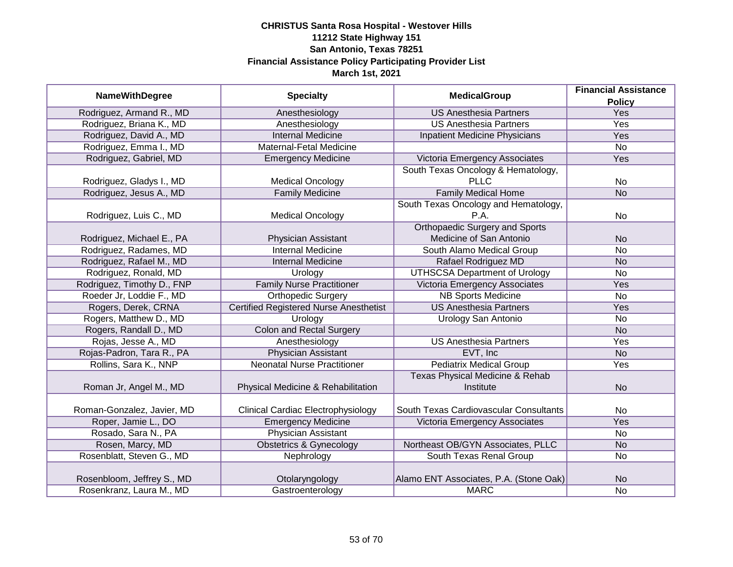|                            |                                               |                                            | <b>Financial Assistance</b> |
|----------------------------|-----------------------------------------------|--------------------------------------------|-----------------------------|
| <b>NameWithDegree</b>      | <b>Specialty</b>                              | <b>MedicalGroup</b>                        | <b>Policy</b>               |
| Rodriguez, Armand R., MD   | Anesthesiology                                | <b>US Anesthesia Partners</b>              | <b>Yes</b>                  |
| Rodriguez, Briana K., MD   | Anesthesiology                                | <b>US Anesthesia Partners</b>              | <b>Yes</b>                  |
| Rodriguez, David A., MD    | <b>Internal Medicine</b>                      | Inpatient Medicine Physicians              | Yes                         |
| Rodriguez, Emma I., MD     | Maternal-Fetal Medicine                       |                                            | $\overline{No}$             |
| Rodriguez, Gabriel, MD     | <b>Emergency Medicine</b>                     | Victoria Emergency Associates              | Yes                         |
|                            |                                               | South Texas Oncology & Hematology,         |                             |
| Rodriguez, Gladys I., MD   | <b>Medical Oncology</b>                       | <b>PLLC</b>                                | No                          |
| Rodriguez, Jesus A., MD    | <b>Family Medicine</b>                        | <b>Family Medical Home</b>                 | <b>No</b>                   |
|                            |                                               | South Texas Oncology and Hematology,       |                             |
| Rodriguez, Luis C., MD     | <b>Medical Oncology</b>                       | P.A.                                       | No                          |
|                            |                                               | <b>Orthopaedic Surgery and Sports</b>      |                             |
| Rodriguez, Michael E., PA  | Physician Assistant                           | Medicine of San Antonio                    | <b>No</b>                   |
| Rodriguez, Radames, MD     | <b>Internal Medicine</b>                      | South Alamo Medical Group                  | <b>No</b>                   |
| Rodriguez, Rafael M., MD   | <b>Internal Medicine</b>                      | Rafael Rodriguez MD                        | <b>No</b>                   |
| Rodriguez, Ronald, MD      | Urology                                       | <b>UTHSCSA Department of Urology</b>       | <b>No</b>                   |
| Rodriguez, Timothy D., FNP | <b>Family Nurse Practitioner</b>              | Victoria Emergency Associates              | Yes                         |
| Roeder Jr, Loddie F., MD   | <b>Orthopedic Surgery</b>                     | <b>NB Sports Medicine</b>                  | No                          |
| Rogers, Derek, CRNA        | <b>Certified Registered Nurse Anesthetist</b> | <b>US Anesthesia Partners</b>              | Yes                         |
| Rogers, Matthew D., MD     | Urology                                       | <b>Urology San Antonio</b>                 | <b>No</b>                   |
| Rogers, Randall D., MD     | <b>Colon and Rectal Surgery</b>               |                                            | <b>No</b>                   |
| Rojas, Jesse A., MD        | Anesthesiology                                | <b>US Anesthesia Partners</b>              | Yes                         |
| Rojas-Padron, Tara R., PA  | <b>Physician Assistant</b>                    | EVT, Inc.                                  | <b>No</b>                   |
| Rollins, Sara K., NNP      | <b>Neonatal Nurse Practitioner</b>            | <b>Pediatrix Medical Group</b>             | Yes                         |
|                            |                                               | <b>Texas Physical Medicine &amp; Rehab</b> |                             |
| Roman Jr, Angel M., MD     | Physical Medicine & Rehabilitation            | Institute                                  | <b>No</b>                   |
|                            |                                               |                                            |                             |
| Roman-Gonzalez, Javier, MD | <b>Clinical Cardiac Electrophysiology</b>     | South Texas Cardiovascular Consultants     | No                          |
| Roper, Jamie L., DO        | <b>Emergency Medicine</b>                     | Victoria Emergency Associates              | Yes                         |
| Rosado, Sara N., PA        | <b>Physician Assistant</b>                    |                                            | No                          |
| Rosen, Marcy, MD           | <b>Obstetrics &amp; Gynecology</b>            | Northeast OB/GYN Associates, PLLC          | <b>No</b>                   |
| Rosenblatt, Steven G., MD  | Nephrology                                    | South Texas Renal Group                    | No                          |
|                            |                                               |                                            |                             |
| Rosenbloom, Jeffrey S., MD | Otolaryngology                                | Alamo ENT Associates, P.A. (Stone Oak)     | <b>No</b>                   |
| Rosenkranz, Laura M., MD   | Gastroenterology                              | <b>MARC</b>                                | No                          |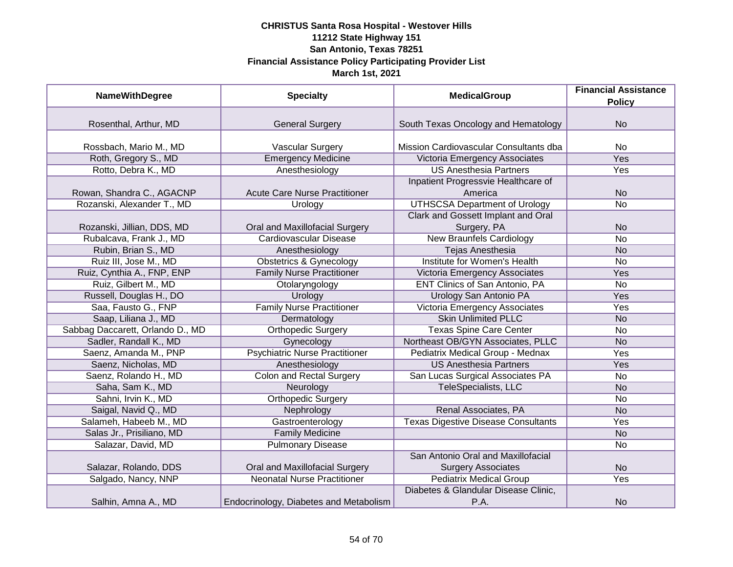| <b>NameWithDegree</b>            | <b>Specialty</b>                       | <b>MedicalGroup</b>                                             | <b>Financial Assistance</b><br><b>Policy</b> |
|----------------------------------|----------------------------------------|-----------------------------------------------------------------|----------------------------------------------|
|                                  |                                        |                                                                 |                                              |
| Rosenthal, Arthur, MD            | <b>General Surgery</b>                 | South Texas Oncology and Hematology                             | <b>No</b>                                    |
| Rossbach, Mario M., MD           | Vascular Surgery                       | Mission Cardiovascular Consultants dba                          | <b>No</b>                                    |
| Roth, Gregory S., MD             | <b>Emergency Medicine</b>              | Victoria Emergency Associates                                   | <b>Yes</b>                                   |
| Rotto, Debra K., MD              | Anesthesiology                         | <b>US Anesthesia Partners</b>                                   | Yes                                          |
|                                  |                                        | Inpatient Progressvie Healthcare of                             |                                              |
| Rowan, Shandra C., AGACNP        | <b>Acute Care Nurse Practitioner</b>   | America                                                         | <b>No</b>                                    |
| Rozanski, Alexander T., MD       | Urology                                | <b>UTHSCSA Department of Urology</b>                            | <b>No</b>                                    |
|                                  |                                        | Clark and Gossett Implant and Oral                              |                                              |
| Rozanski, Jillian, DDS, MD       | Oral and Maxillofacial Surgery         | Surgery, PA                                                     | <b>No</b>                                    |
| Rubalcava, Frank J., MD          | <b>Cardiovascular Disease</b>          | <b>New Braunfels Cardiology</b>                                 | <b>No</b>                                    |
| Rubin, Brian S., MD              | Anesthesiology                         | <b>Tejas Anesthesia</b>                                         | <b>No</b>                                    |
| Ruiz III, Jose M., MD            | <b>Obstetrics &amp; Gynecology</b>     | Institute for Women's Health                                    | <b>No</b>                                    |
| Ruiz, Cynthia A., FNP, ENP       | <b>Family Nurse Practitioner</b>       | Victoria Emergency Associates                                   | Yes                                          |
| Ruiz, Gilbert M., MD             | Otolaryngology                         | <b>ENT Clinics of San Antonio, PA</b>                           | <b>No</b>                                    |
| Russell, Douglas H., DO          | Urology                                | Urology San Antonio PA                                          | Yes                                          |
| Saa, Fausto G., FNP              | <b>Family Nurse Practitioner</b>       | Victoria Emergency Associates                                   | Yes                                          |
| Saap, Liliana J., MD             | Dermatology                            | <b>Skin Unlimited PLLC</b>                                      | <b>No</b>                                    |
| Sabbag Daccarett, Orlando D., MD | <b>Orthopedic Surgery</b>              | <b>Texas Spine Care Center</b>                                  | <b>No</b>                                    |
| Sadler, Randall K., MD           | Gynecology                             | Northeast OB/GYN Associates, PLLC                               | <b>No</b>                                    |
| Saenz, Amanda M., PNP            | <b>Psychiatric Nurse Practitioner</b>  | Pediatrix Medical Group - Mednax                                | Yes                                          |
| Saenz, Nicholas, MD              | Anesthesiology                         | <b>US Anesthesia Partners</b>                                   | Yes                                          |
| Saenz, Rolando H., MD            | <b>Colon and Rectal Surgery</b>        | San Lucas Surgical Associates PA                                | <b>No</b>                                    |
| Saha, Sam K., MD                 | Neurology                              | TeleSpecialists, LLC                                            | <b>No</b>                                    |
| Sahni, Irvin K., MD              | <b>Orthopedic Surgery</b>              |                                                                 | <b>No</b>                                    |
| Saigal, Navid Q., MD             | Nephrology                             | Renal Associates, PA                                            | <b>No</b>                                    |
| Salameh, Habeeb M., MD           | Gastroenterology                       | <b>Texas Digestive Disease Consultants</b>                      | Yes                                          |
| Salas Jr., Prisiliano, MD        | <b>Family Medicine</b>                 |                                                                 | <b>No</b>                                    |
| Salazar, David, MD               | <b>Pulmonary Disease</b>               |                                                                 | No                                           |
| Salazar, Rolando, DDS            | Oral and Maxillofacial Surgery         | San Antonio Oral and Maxillofacial<br><b>Surgery Associates</b> | <b>No</b>                                    |
| Salgado, Nancy, NNP              | <b>Neonatal Nurse Practitioner</b>     | <b>Pediatrix Medical Group</b>                                  | Yes                                          |
|                                  |                                        | Diabetes & Glandular Disease Clinic,                            |                                              |
| Salhin, Amna A., MD              | Endocrinology, Diabetes and Metabolism | P.A.                                                            | <b>No</b>                                    |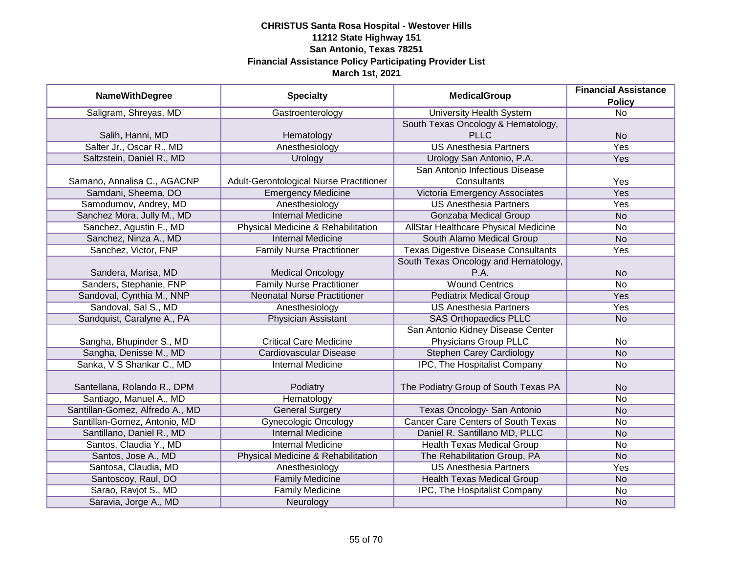| <b>NameWithDegree</b>           | <b>Specialty</b>                        | <b>MedicalGroup</b>                        | <b>Financial Assistance</b> |
|---------------------------------|-----------------------------------------|--------------------------------------------|-----------------------------|
|                                 |                                         |                                            | <b>Policy</b>               |
| Saligram, Shreyas, MD           | Gastroenterology                        | <b>University Health System</b>            | <b>No</b>                   |
|                                 |                                         | South Texas Oncology & Hematology,         |                             |
| Salih, Hanni, MD                | Hematology                              | <b>PLLC</b>                                | <b>No</b>                   |
| Salter Jr., Oscar R., MD        | Anesthesiology                          | <b>US Anesthesia Partners</b>              | <b>Yes</b>                  |
| Saltzstein, Daniel R., MD       | Urology                                 | Urology San Antonio, P.A.                  | Yes                         |
|                                 |                                         | San Antonio Infectious Disease             |                             |
| Samano, Annalisa C., AGACNP     | Adult-Gerontological Nurse Practitioner | Consultants                                | Yes                         |
| Samdani, Sheema, DO             | <b>Emergency Medicine</b>               | Victoria Emergency Associates              | Yes                         |
| Samodumov, Andrey, MD           | Anesthesiology                          | <b>US Anesthesia Partners</b>              | Yes                         |
| Sanchez Mora, Jully M., MD      | <b>Internal Medicine</b>                | Gonzaba Medical Group                      | <b>No</b>                   |
| Sanchez, Agustin F., MD         | Physical Medicine & Rehabilitation      | AllStar Healthcare Physical Medicine       | No                          |
| Sanchez, Ninza A., MD           | <b>Internal Medicine</b>                | South Alamo Medical Group                  | <b>No</b>                   |
| Sanchez, Victor, FNP            | <b>Family Nurse Practitioner</b>        | <b>Texas Digestive Disease Consultants</b> | Yes                         |
|                                 |                                         | South Texas Oncology and Hematology,       |                             |
| Sandera, Marisa, MD             | <b>Medical Oncology</b>                 | P.A.                                       | <b>No</b>                   |
| Sanders, Stephanie, FNP         | <b>Family Nurse Practitioner</b>        | <b>Wound Centrics</b>                      | No                          |
| Sandoval, Cynthia M., NNP       | <b>Neonatal Nurse Practitioner</b>      | <b>Pediatrix Medical Group</b>             | Yes                         |
| Sandoval, Sal S., MD            | Anesthesiology                          | <b>US Anesthesia Partners</b>              | Yes                         |
| Sandquist, Caralyne A., PA      | Physician Assistant                     | <b>SAS Orthopaedics PLLC</b>               | <b>No</b>                   |
|                                 |                                         | San Antonio Kidney Disease Center          |                             |
| Sangha, Bhupinder S., MD        | <b>Critical Care Medicine</b>           | Physicians Group PLLC                      | No                          |
| Sangha, Denisse M., MD          | Cardiovascular Disease                  | <b>Stephen Carey Cardiology</b>            | <b>No</b>                   |
| Sanka, V S Shankar C., MD       | <b>Internal Medicine</b>                | IPC, The Hospitalist Company               | No                          |
|                                 |                                         |                                            |                             |
| Santellana, Rolando R., DPM     | Podiatry                                | The Podiatry Group of South Texas PA       | <b>No</b>                   |
| Santiago, Manuel A., MD         | Hematology                              |                                            | No                          |
| Santillan-Gomez, Alfredo A., MD | <b>General Surgery</b>                  | Texas Oncology- San Antonio                | <b>No</b>                   |
| Santillan-Gomez, Antonio, MD    | <b>Gynecologic Oncology</b>             | <b>Cancer Care Centers of South Texas</b>  | <b>No</b>                   |
| Santillano, Daniel R., MD       | <b>Internal Medicine</b>                | Daniel R. Santillano MD, PLLC              | <b>No</b>                   |
| Santos, Claudia Y., MD          | <b>Internal Medicine</b>                | <b>Health Texas Medical Group</b>          | <b>No</b>                   |
| Santos, Jose A., MD             | Physical Medicine & Rehabilitation      | The Rehabilitation Group, PA               | <b>No</b>                   |
| Santosa, Claudia, MD            | Anesthesiology                          | <b>US Anesthesia Partners</b>              | Yes                         |
| Santoscoy, Raul, DO             | <b>Family Medicine</b>                  | <b>Health Texas Medical Group</b>          | N <sub>o</sub>              |
| Sarao, Ravjot S., MD            | <b>Family Medicine</b>                  | IPC, The Hospitalist Company               | No                          |
| Saravia, Jorge A., MD           | Neurology                               |                                            | <b>No</b>                   |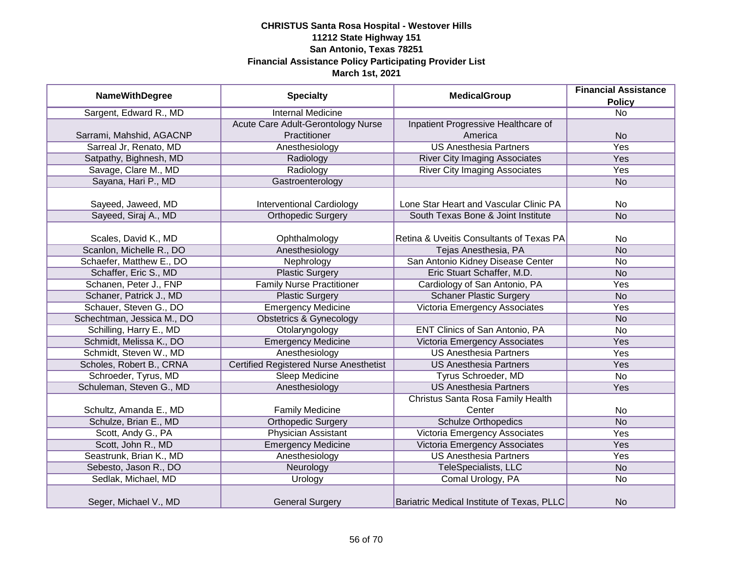| <b>NameWithDegree</b>      | <b>Specialty</b>                              | <b>MedicalGroup</b>                        | <b>Financial Assistance</b> |
|----------------------------|-----------------------------------------------|--------------------------------------------|-----------------------------|
|                            |                                               |                                            | <b>Policy</b>               |
| Sargent, Edward R., MD     | <b>Internal Medicine</b>                      |                                            | $\overline{N}$              |
|                            | Acute Care Adult-Gerontology Nurse            | Inpatient Progressive Healthcare of        |                             |
| Sarrami, Mahshid, AGACNP   | Practitioner                                  | America                                    | <b>No</b>                   |
| Sarreal Jr, Renato, MD     | Anesthesiology                                | <b>US Anesthesia Partners</b>              | <b>Yes</b>                  |
| Satpathy, Bighnesh, MD     | Radiology                                     | <b>River City Imaging Associates</b>       | <b>Yes</b>                  |
| Savage, Clare M., MD       | Radiology                                     | <b>River City Imaging Associates</b>       | Yes                         |
| Sayana, Hari P., MD        | Gastroenterology                              |                                            | <b>No</b>                   |
|                            |                                               |                                            |                             |
| Sayeed, Jaweed, MD         | <b>Interventional Cardiology</b>              | Lone Star Heart and Vascular Clinic PA     | <b>No</b>                   |
| Sayeed, Siraj A., MD       | <b>Orthopedic Surgery</b>                     | South Texas Bone & Joint Institute         | <b>No</b>                   |
|                            |                                               |                                            |                             |
| Scales, David K., MD       | Ophthalmology                                 | Retina & Uveitis Consultants of Texas PA   | <b>No</b>                   |
| Scanlon, Michelle R., DO   | Anesthesiology                                | Tejas Anesthesia, PA                       | <b>No</b>                   |
| Schaefer, Matthew E., DO   | Nephrology                                    | San Antonio Kidney Disease Center          | <b>No</b>                   |
| Schaffer, Eric S., MD      | <b>Plastic Surgery</b>                        | Eric Stuart Schaffer, M.D.                 | <b>No</b>                   |
| Schanen, Peter J., FNP     | <b>Family Nurse Practitioner</b>              | Cardiology of San Antonio, PA              | Yes                         |
| Schaner, Patrick J., MD    | <b>Plastic Surgery</b>                        | <b>Schaner Plastic Surgery</b>             | <b>No</b>                   |
| Schauer, Steven G., DO     | <b>Emergency Medicine</b>                     | Victoria Emergency Associates              | Yes                         |
| Schechtman, Jessica M., DO | <b>Obstetrics &amp; Gynecology</b>            |                                            | <b>No</b>                   |
| Schilling, Harry E., MD    | Otolaryngology                                | <b>ENT Clinics of San Antonio, PA</b>      | <b>No</b>                   |
| Schmidt, Melissa K., DO    | <b>Emergency Medicine</b>                     | Victoria Emergency Associates              | Yes                         |
| Schmidt, Steven W., MD     | Anesthesiology                                | <b>US Anesthesia Partners</b>              | Yes                         |
| Scholes, Robert B., CRNA   | <b>Certified Registered Nurse Anesthetist</b> | <b>US Anesthesia Partners</b>              | Yes                         |
| Schroeder, Tyrus, MD       | Sleep Medicine                                | Tyrus Schroeder, MD                        | <b>No</b>                   |
| Schuleman, Steven G., MD   | Anesthesiology                                | <b>US Anesthesia Partners</b>              | Yes                         |
|                            |                                               | Christus Santa Rosa Family Health          |                             |
| Schultz, Amanda E., MD     | <b>Family Medicine</b>                        | Center                                     | No                          |
| Schulze, Brian E., MD      | <b>Orthopedic Surgery</b>                     | <b>Schulze Orthopedics</b>                 | <b>No</b>                   |
| Scott, Andy G., PA         | <b>Physician Assistant</b>                    | Victoria Emergency Associates              | Yes                         |
| Scott, John R., MD         | <b>Emergency Medicine</b>                     | Victoria Emergency Associates              | Yes                         |
| Seastrunk, Brian K., MD    | Anesthesiology                                | <b>US Anesthesia Partners</b>              | Yes                         |
| Sebesto, Jason R., DO      | Neurology                                     | TeleSpecialists, LLC                       | <b>No</b>                   |
| Sedlak, Michael, MD        | Urology                                       | Comal Urology, PA                          | No                          |
| Seger, Michael V., MD      | <b>General Surgery</b>                        | Bariatric Medical Institute of Texas, PLLC | <b>No</b>                   |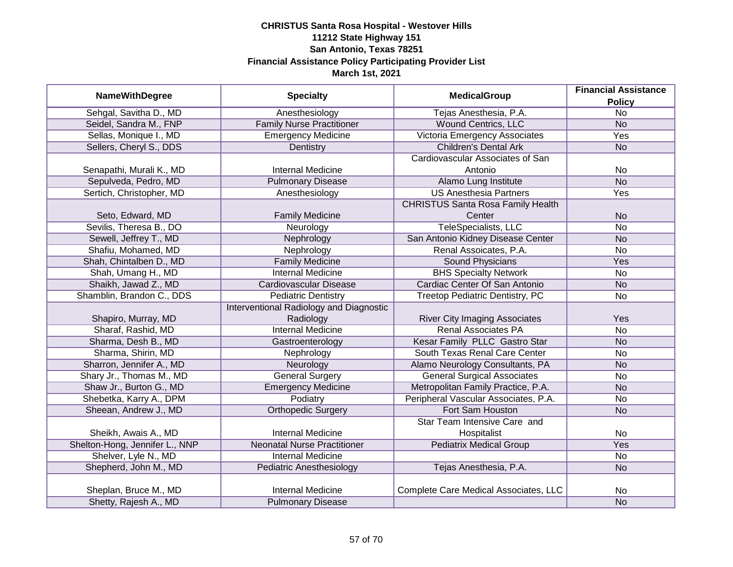|                                | <b>Specialty</b>                        | <b>MedicalGroup</b>                      | <b>Financial Assistance</b> |
|--------------------------------|-----------------------------------------|------------------------------------------|-----------------------------|
| <b>NameWithDegree</b>          |                                         |                                          | <b>Policy</b>               |
| Sehgal, Savitha D., MD         | Anesthesiology                          | Tejas Anesthesia, P.A.                   | $\overline{No}$             |
| Seidel, Sandra M., FNP         | <b>Family Nurse Practitioner</b>        | <b>Wound Centrics, LLC</b>               | <b>No</b>                   |
| Sellas, Monique I., MD         | <b>Emergency Medicine</b>               | Victoria Emergency Associates            | <b>Yes</b>                  |
| Sellers, Cheryl S., DDS        | Dentistry                               | <b>Children's Dental Ark</b>             | <b>No</b>                   |
|                                |                                         | Cardiovascular Associates of San         |                             |
| Senapathi, Murali K., MD       | <b>Internal Medicine</b>                | Antonio                                  | No                          |
| Sepulveda, Pedro, MD           | <b>Pulmonary Disease</b>                | Alamo Lung Institute                     | <b>No</b>                   |
| Sertich, Christopher, MD       | Anesthesiology                          | <b>US Anesthesia Partners</b>            | Yes                         |
|                                |                                         | <b>CHRISTUS Santa Rosa Family Health</b> |                             |
| Seto, Edward, MD               | <b>Family Medicine</b>                  | Center                                   | <b>No</b>                   |
| Sevilis, Theresa B., DO        | Neurology                               | <b>TeleSpecialists, LLC</b>              | <b>No</b>                   |
| Sewell, Jeffrey T., MD         | Nephrology                              | San Antonio Kidney Disease Center        | <b>No</b>                   |
| Shafiu, Mohamed, MD            | Nephrology                              | Renal Assoicates, P.A.                   | <b>No</b>                   |
| Shah, Chintalben D., MD        | <b>Family Medicine</b>                  | <b>Sound Physicians</b>                  | Yes                         |
| Shah, Umang H., MD             | <b>Internal Medicine</b>                | <b>BHS Specialty Network</b>             | <b>No</b>                   |
| Shaikh, Jawad Z., MD           | Cardiovascular Disease                  | Cardiac Center Of San Antonio            | <b>No</b>                   |
| Shamblin, Brandon C., DDS      | <b>Pediatric Dentistry</b>              | <b>Treetop Pediatric Dentistry, PC</b>   | No                          |
|                                | Interventional Radiology and Diagnostic |                                          |                             |
| Shapiro, Murray, MD            | Radiology                               | <b>River City Imaging Associates</b>     | Yes                         |
| Sharaf, Rashid, MD             | <b>Internal Medicine</b>                | <b>Renal Associates PA</b>               | <b>No</b>                   |
| Sharma, Desh B., MD            | Gastroenterology                        | Kesar Family PLLC Gastro Star            | <b>No</b>                   |
| Sharma, Shirin, MD             | Nephrology                              | South Texas Renal Care Center            | <b>No</b>                   |
| Sharron, Jennifer A., MD       | Neurology                               | Alamo Neurology Consultants, PA          | <b>No</b>                   |
| Shary Jr., Thomas M., MD       | <b>General Surgery</b>                  | <b>General Surgical Associates</b>       | <b>No</b>                   |
| Shaw Jr., Burton G., MD        | <b>Emergency Medicine</b>               | Metropolitan Family Practice, P.A.       | <b>No</b>                   |
| Shebetka, Karry A., DPM        | Podiatry                                | Peripheral Vascular Associates, P.A.     | No                          |
| Sheean, Andrew J., MD          | <b>Orthopedic Surgery</b>               | Fort Sam Houston                         | <b>No</b>                   |
|                                |                                         | Star Team Intensive Care and             |                             |
| Sheikh, Awais A., MD           | <b>Internal Medicine</b>                | Hospitalist                              | <b>No</b>                   |
| Shelton-Hong, Jennifer L., NNP | <b>Neonatal Nurse Practitioner</b>      | <b>Pediatrix Medical Group</b>           | Yes                         |
| Shelver, Lyle N., MD           | <b>Internal Medicine</b>                |                                          | <b>No</b>                   |
| Shepherd, John M., MD          | Pediatric Anesthesiology                | Tejas Anesthesia, P.A.                   | <b>No</b>                   |
|                                |                                         |                                          |                             |
| Sheplan, Bruce M., MD          | <b>Internal Medicine</b>                | Complete Care Medical Associates, LLC    | No                          |
| Shetty, Rajesh A., MD          | <b>Pulmonary Disease</b>                |                                          | <b>No</b>                   |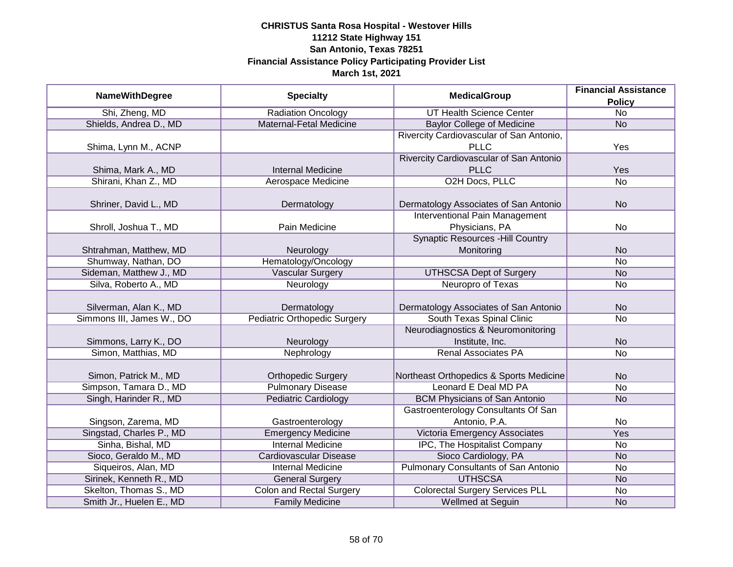|                           |                                     |                                             | <b>Financial Assistance</b> |
|---------------------------|-------------------------------------|---------------------------------------------|-----------------------------|
| <b>NameWithDegree</b>     | <b>Specialty</b>                    | <b>MedicalGroup</b>                         | <b>Policy</b>               |
| Shi, Zheng, MD            | <b>Radiation Oncology</b>           | <b>UT Health Science Center</b>             | $\overline{No}$             |
| Shields, Andrea D., MD    | <b>Maternal-Fetal Medicine</b>      | <b>Baylor College of Medicine</b>           | <b>No</b>                   |
|                           |                                     | Rivercity Cardiovascular of San Antonio,    |                             |
| Shima, Lynn M., ACNP      |                                     | <b>PLLC</b>                                 | Yes                         |
|                           |                                     | Rivercity Cardiovascular of San Antonio     |                             |
| Shima, Mark A., MD        | <b>Internal Medicine</b>            | <b>PLLC</b>                                 | Yes                         |
| Shirani, Khan Z., MD      | Aerospace Medicine                  | <b>O2H Docs, PLLC</b>                       | $\overline{No}$             |
|                           |                                     |                                             |                             |
| Shriner, David L., MD     | Dermatology                         | Dermatology Associates of San Antonio       | <b>No</b>                   |
|                           |                                     | <b>Interventional Pain Management</b>       |                             |
| Shroll, Joshua T., MD     | Pain Medicine                       | Physicians, PA                              | No                          |
|                           |                                     | <b>Synaptic Resources -Hill Country</b>     |                             |
| Shtrahman, Matthew, MD    | Neurology                           | Monitoring                                  | <b>No</b>                   |
| Shumway, Nathan, DO       | Hematology/Oncology                 |                                             | <b>No</b>                   |
| Sideman, Matthew J., MD   | <b>Vascular Surgery</b>             | <b>UTHSCSA Dept of Surgery</b>              | <b>No</b>                   |
| Silva, Roberto A., MD     | Neurology                           | Neuropro of Texas                           | No                          |
|                           |                                     |                                             |                             |
| Silverman, Alan K., MD    | Dermatology                         | Dermatology Associates of San Antonio       | <b>No</b>                   |
| Simmons III, James W., DO | <b>Pediatric Orthopedic Surgery</b> | South Texas Spinal Clinic                   | <b>No</b>                   |
|                           |                                     | Neurodiagnostics & Neuromonitoring          |                             |
| Simmons, Larry K., DO     | Neurology                           | Institute, Inc.                             | <b>No</b>                   |
| Simon, Matthias, MD       | Nephrology                          | <b>Renal Associates PA</b>                  | <b>No</b>                   |
|                           |                                     |                                             |                             |
| Simon, Patrick M., MD     | <b>Orthopedic Surgery</b>           | Northeast Orthopedics & Sports Medicine     | <b>No</b>                   |
| Simpson, Tamara D., MD    | <b>Pulmonary Disease</b>            | Leonard E Deal MD PA                        | <b>No</b>                   |
| Singh, Harinder R., MD    | <b>Pediatric Cardiology</b>         | <b>BCM Physicians of San Antonio</b>        | <b>No</b>                   |
|                           |                                     | <b>Gastroenterology Consultants Of San</b>  |                             |
| Singson, Zarema, MD       | Gastroenterology                    | Antonio, P.A.                               | No                          |
| Singstad, Charles P., MD  | <b>Emergency Medicine</b>           | Victoria Emergency Associates               | Yes                         |
| Sinha, Bishal, MD         | <b>Internal Medicine</b>            | IPC, The Hospitalist Company                | No                          |
| Sioco, Geraldo M., MD     | <b>Cardiovascular Disease</b>       | Sioco Cardiology, PA                        | <b>No</b>                   |
| Siqueiros, Alan, MD       | <b>Internal Medicine</b>            | <b>Pulmonary Consultants of San Antonio</b> | No                          |
| Sirinek, Kenneth R., MD   | <b>General Surgery</b>              | <b>UTHSCSA</b>                              | <b>No</b>                   |
| Skelton, Thomas S., MD    | <b>Colon and Rectal Surgery</b>     | <b>Colorectal Surgery Services PLL</b>      | No                          |
| Smith Jr., Huelen E., MD  | <b>Family Medicine</b>              | Wellmed at Seguin                           | <b>No</b>                   |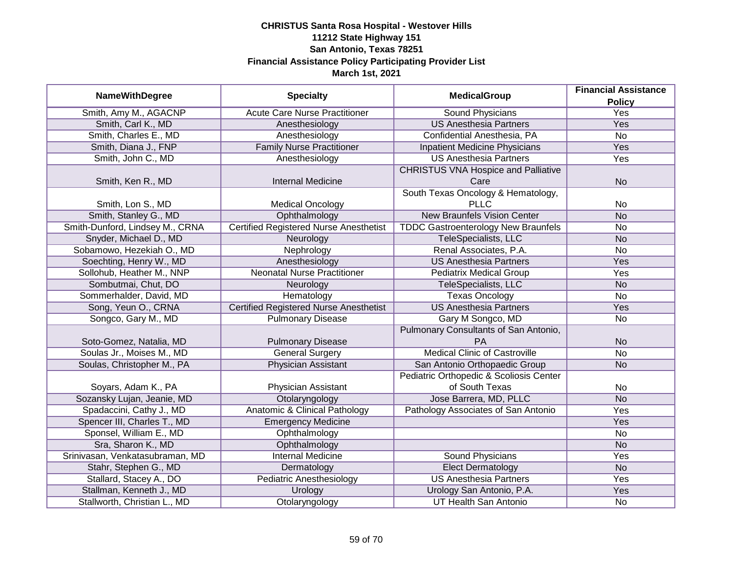|                                 |                                               | <b>MedicalGroup</b>                        | <b>Financial Assistance</b> |
|---------------------------------|-----------------------------------------------|--------------------------------------------|-----------------------------|
| <b>NameWithDegree</b>           | <b>Specialty</b>                              |                                            | <b>Policy</b>               |
| Smith, Amy M., AGACNP           | <b>Acute Care Nurse Practitioner</b>          | <b>Sound Physicians</b>                    | <b>Yes</b>                  |
| Smith, Carl K., MD              | Anesthesiology                                | <b>US Anesthesia Partners</b>              | <b>Yes</b>                  |
| Smith, Charles E., MD           | Anesthesiology                                | Confidential Anesthesia, PA                | $\overline{No}$             |
| Smith, Diana J., FNP            | <b>Family Nurse Practitioner</b>              | <b>Inpatient Medicine Physicians</b>       | <b>Yes</b>                  |
| Smith, John C., MD              | Anesthesiology                                | <b>US Anesthesia Partners</b>              | Yes                         |
|                                 |                                               | <b>CHRISTUS VNA Hospice and Palliative</b> |                             |
| Smith, Ken R., MD               | <b>Internal Medicine</b>                      | Care                                       | <b>No</b>                   |
|                                 |                                               | South Texas Oncology & Hematology,         |                             |
| Smith, Lon S., MD               | <b>Medical Oncology</b>                       | <b>PLLC</b>                                | No                          |
| Smith, Stanley G., MD           | Ophthalmology                                 | <b>New Braunfels Vision Center</b>         | <b>No</b>                   |
| Smith-Dunford, Lindsey M., CRNA | <b>Certified Registered Nurse Anesthetist</b> | <b>TDDC Gastroenterology New Braunfels</b> | <b>No</b>                   |
| Snyder, Michael D., MD          | Neurology                                     | TeleSpecialists, LLC                       | <b>No</b>                   |
| Sobamowo, Hezekiah O., MD       | Nephrology                                    | Renal Associates, P.A.                     | <b>No</b>                   |
| Soechting, Henry W., MD         | Anesthesiology                                | <b>US Anesthesia Partners</b>              | Yes                         |
| Sollohub, Heather M., NNP       | <b>Neonatal Nurse Practitioner</b>            | <b>Pediatrix Medical Group</b>             | Yes                         |
| Sombutmai, Chut, DO             | Neurology                                     | TeleSpecialists, LLC                       | <b>No</b>                   |
| Sommerhalder, David, MD         | Hematology                                    | <b>Texas Oncology</b>                      | No                          |
| Song, Yeun O., CRNA             | <b>Certified Registered Nurse Anesthetist</b> | <b>US Anesthesia Partners</b>              | Yes                         |
| Songco, Gary M., MD             | <b>Pulmonary Disease</b>                      | Gary M Songco, MD                          | No                          |
|                                 |                                               | Pulmonary Consultants of San Antonio,      |                             |
| Soto-Gomez, Natalia, MD         | <b>Pulmonary Disease</b>                      | <b>PA</b>                                  | <b>No</b>                   |
| Soulas Jr., Moises M., MD       | <b>General Surgery</b>                        | <b>Medical Clinic of Castroville</b>       | No                          |
| Soulas, Christopher M., PA      | <b>Physician Assistant</b>                    | San Antonio Orthopaedic Group              | <b>No</b>                   |
|                                 |                                               | Pediatric Orthopedic & Scoliosis Center    |                             |
| Soyars, Adam K., PA             | Physician Assistant                           | of South Texas                             | No                          |
| Sozansky Lujan, Jeanie, MD      | Otolaryngology                                | Jose Barrera, MD, PLLC                     | <b>No</b>                   |
| Spadaccini, Cathy J., MD        | <b>Anatomic &amp; Clinical Pathology</b>      | Pathology Associates of San Antonio        | Yes                         |
| Spencer III, Charles T., MD     | <b>Emergency Medicine</b>                     |                                            | Yes                         |
| Sponsel, William E., MD         | Ophthalmology                                 |                                            | No                          |
| Sra, Sharon K., MD              | Ophthalmology                                 |                                            | <b>No</b>                   |
| Srinivasan, Venkatasubraman, MD | <b>Internal Medicine</b>                      | <b>Sound Physicians</b>                    | Yes                         |
| Stahr, Stephen G., MD           | Dermatology                                   | <b>Elect Dermatology</b>                   | <b>No</b>                   |
| Stallard, Stacey A., DO         | <b>Pediatric Anesthesiology</b>               | <b>US Anesthesia Partners</b>              | Yes                         |
| Stallman, Kenneth J., MD        | Urology                                       | Urology San Antonio, P.A.                  | Yes                         |
| Stallworth, Christian L., MD    | Otolaryngology                                | <b>UT Health San Antonio</b>               | No                          |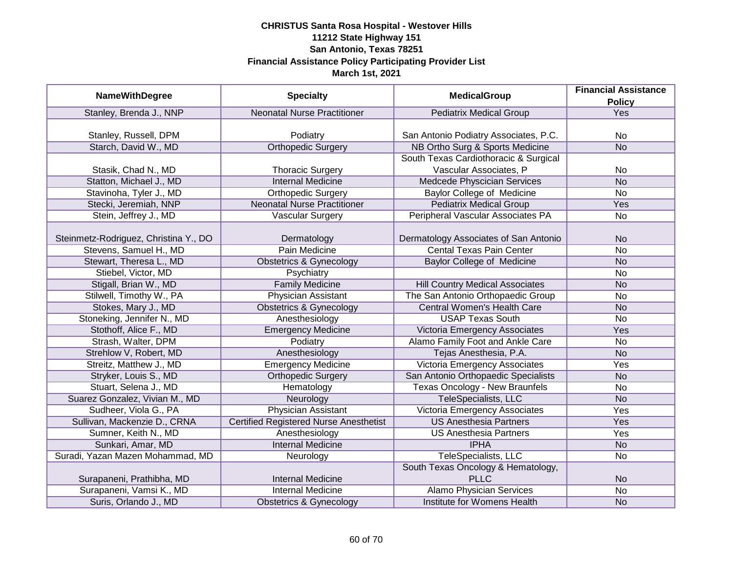|                                       |                                               |                                        | <b>Financial Assistance</b> |
|---------------------------------------|-----------------------------------------------|----------------------------------------|-----------------------------|
| <b>NameWithDegree</b>                 | <b>Specialty</b>                              | <b>MedicalGroup</b>                    | <b>Policy</b>               |
| Stanley, Brenda J., NNP               | <b>Neonatal Nurse Practitioner</b>            | <b>Pediatrix Medical Group</b>         | Yes                         |
|                                       |                                               |                                        |                             |
| Stanley, Russell, DPM                 | Podiatry                                      | San Antonio Podiatry Associates, P.C.  | No                          |
| Starch, David W., MD                  | <b>Orthopedic Surgery</b>                     | NB Ortho Surg & Sports Medicine        | <b>No</b>                   |
|                                       |                                               | South Texas Cardiothoracic & Surgical  |                             |
| Stasik, Chad N., MD                   | <b>Thoracic Surgery</b>                       | Vascular Associates, P                 | No                          |
| Statton, Michael J., MD               | <b>Internal Medicine</b>                      | Medcede Physcician Services            | <b>No</b>                   |
| Stavinoha, Tyler J., MD               | <b>Orthopedic Surgery</b>                     | Baylor College of Medicine             | <b>No</b>                   |
| Stecki, Jeremiah, NNP                 | <b>Neonatal Nurse Practitioner</b>            | <b>Pediatrix Medical Group</b>         | Yes                         |
| Stein, Jeffrey J., MD                 | Vascular Surgery                              | Peripheral Vascular Associates PA      | No                          |
|                                       |                                               |                                        |                             |
| Steinmetz-Rodriguez, Christina Y., DO | Dermatology                                   | Dermatology Associates of San Antonio  | <b>No</b>                   |
| Stevens, Samuel H., MD                | Pain Medicine                                 | <b>Cental Texas Pain Center</b>        | No                          |
| Stewart, Theresa L., MD               | <b>Obstetrics &amp; Gynecology</b>            | <b>Baylor College of Medicine</b>      | <b>No</b>                   |
| Stiebel, Victor, MD                   | Psychiatry                                    |                                        | No                          |
| Stigall, Brian W., MD                 | <b>Family Medicine</b>                        | <b>Hill Country Medical Associates</b> | <b>No</b>                   |
| Stilwell, Timothy W., PA              | <b>Physician Assistant</b>                    | The San Antonio Orthopaedic Group      | No                          |
| Stokes, Mary J., MD                   | <b>Obstetrics &amp; Gynecology</b>            | <b>Central Women's Health Care</b>     | <b>No</b>                   |
| Stoneking, Jennifer N., MD            | Anesthesiology                                | <b>USAP Texas South</b>                | No                          |
| Stothoff, Alice F., MD                | <b>Emergency Medicine</b>                     | Victoria Emergency Associates          | Yes                         |
| Strash, Walter, DPM                   | Podiatry                                      | Alamo Family Foot and Ankle Care       | <b>No</b>                   |
| Strehlow V, Robert, MD                | Anesthesiology                                | Tejas Anesthesia, P.A.                 | <b>No</b>                   |
| Streitz, Matthew J., MD               | <b>Emergency Medicine</b>                     | Victoria Emergency Associates          | Yes                         |
| Stryker, Louis S., MD                 | <b>Orthopedic Surgery</b>                     | San Antonio Orthopaedic Specialists    | <b>No</b>                   |
| Stuart, Selena J., MD                 | Hematology                                    | Texas Oncology - New Braunfels         | <b>No</b>                   |
| Suarez Gonzalez, Vivian M., MD        | Neurology                                     | <b>TeleSpecialists, LLC</b>            | <b>No</b>                   |
| Sudheer, Viola G., PA                 | <b>Physician Assistant</b>                    | Victoria Emergency Associates          | Yes                         |
| Sullivan, Mackenzie D., CRNA          | <b>Certified Registered Nurse Anesthetist</b> | <b>US Anesthesia Partners</b>          | Yes                         |
| Sumner, Keith N., MD                  | Anesthesiology                                | <b>US Anesthesia Partners</b>          | Yes                         |
| Sunkari, Amar, MD                     | <b>Internal Medicine</b>                      | <b>IPHA</b>                            | <b>No</b>                   |
| Suradi, Yazan Mazen Mohammad, MD      | Neurology                                     | TeleSpecialists, LLC                   | No                          |
|                                       |                                               | South Texas Oncology & Hematology,     |                             |
| Surapaneni, Prathibha, MD             | <b>Internal Medicine</b>                      | <b>PLLC</b>                            | <b>No</b>                   |
| Surapaneni, Vamsi K., MD              | <b>Internal Medicine</b>                      | <b>Alamo Physician Services</b>        | $\overline{No}$             |
| Suris, Orlando J., MD                 | <b>Obstetrics &amp; Gynecology</b>            | Institute for Womens Health            | <b>No</b>                   |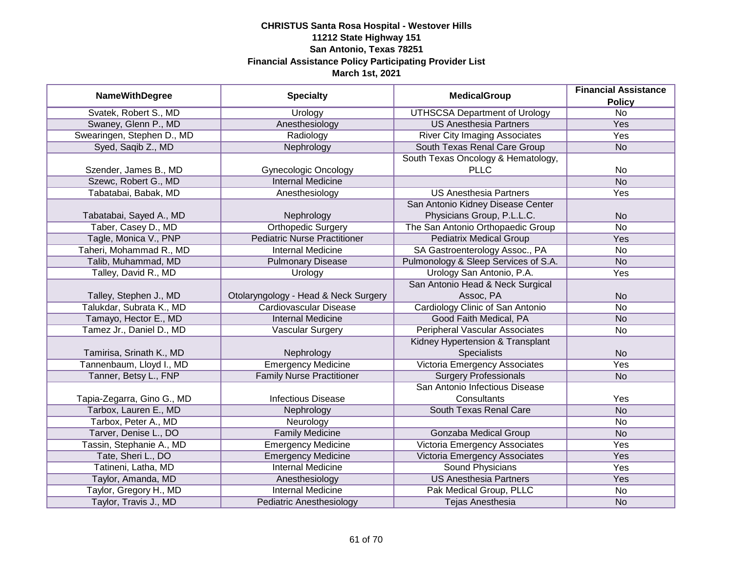| <b>NameWithDegree</b>      | <b>Specialty</b>                     | <b>MedicalGroup</b>                     | <b>Financial Assistance</b>      |
|----------------------------|--------------------------------------|-----------------------------------------|----------------------------------|
| Svatek, Robert S., MD      | Urology                              | <b>UTHSCSA Department of Urology</b>    | <b>Policy</b><br>$\overline{No}$ |
| Swaney, Glenn P., MD       | Anesthesiology                       | <b>US Anesthesia Partners</b>           | <b>Yes</b>                       |
| Swearingen, Stephen D., MD | Radiology                            | <b>River City Imaging Associates</b>    | <b>Yes</b>                       |
| Syed, Saqib Z., MD         | Nephrology                           | South Texas Renal Care Group            | <b>No</b>                        |
|                            |                                      | South Texas Oncology & Hematology,      |                                  |
| Szender, James B., MD      | <b>Gynecologic Oncology</b>          | <b>PLLC</b>                             | No                               |
| Szewc, Robert G., MD       | <b>Internal Medicine</b>             |                                         | <b>No</b>                        |
| Tabatabai, Babak, MD       | Anesthesiology                       | <b>US Anesthesia Partners</b>           | Yes                              |
|                            |                                      | San Antonio Kidney Disease Center       |                                  |
| Tabatabai, Sayed A., MD    | Nephrology                           | Physicians Group, P.L.L.C.              | <b>No</b>                        |
| Taber, Casey D., MD        | <b>Orthopedic Surgery</b>            | The San Antonio Orthopaedic Group       | <b>No</b>                        |
| Tagle, Monica V., PNP      | <b>Pediatric Nurse Practitioner</b>  | <b>Pediatrix Medical Group</b>          | Yes                              |
| Taheri, Mohammad R., MD    | <b>Internal Medicine</b>             | SA Gastroenterology Assoc., PA          | No                               |
| Talib, Muhammad, MD        | <b>Pulmonary Disease</b>             | Pulmonology & Sleep Services of S.A.    | <b>No</b>                        |
| Talley, David R., MD       | Urology                              | Urology San Antonio, P.A.               | Yes                              |
|                            |                                      | San Antonio Head & Neck Surgical        |                                  |
| Talley, Stephen J., MD     | Otolaryngology - Head & Neck Surgery | Assoc, PA                               | <b>No</b>                        |
| Talukdar, Subrata K., MD   | <b>Cardiovascular Disease</b>        | <b>Cardiology Clinic of San Antonio</b> | No                               |
| Tamayo, Hector E., MD      | <b>Internal Medicine</b>             | Good Faith Medical, PA                  | <b>No</b>                        |
| Tamez Jr., Daniel D., MD   | <b>Vascular Surgery</b>              | <b>Peripheral Vascular Associates</b>   | No                               |
|                            |                                      | Kidney Hypertension & Transplant        |                                  |
| Tamirisa, Srinath K., MD   | Nephrology                           | <b>Specialists</b>                      | <b>No</b>                        |
| Tannenbaum, Lloyd I., MD   | <b>Emergency Medicine</b>            | Victoria Emergency Associates           | Yes                              |
| Tanner, Betsy L., FNP      | <b>Family Nurse Practitioner</b>     | <b>Surgery Professionals</b>            | <b>No</b>                        |
|                            |                                      | San Antonio Infectious Disease          |                                  |
| Tapia-Zegarra, Gino G., MD | <b>Infectious Disease</b>            | Consultants                             | Yes                              |
| Tarbox, Lauren E., MD      | Nephrology                           | South Texas Renal Care                  | <b>No</b>                        |
| Tarbox, Peter A., MD       | Neurology                            |                                         | No                               |
| Tarver, Denise L., DO      | <b>Family Medicine</b>               | <b>Gonzaba Medical Group</b>            | <b>No</b>                        |
| Tassin, Stephanie A., MD   | <b>Emergency Medicine</b>            | Victoria Emergency Associates           | Yes                              |
| Tate, Sheri L., DO         | <b>Emergency Medicine</b>            | Victoria Emergency Associates           | Yes                              |
| Tatineni, Latha, MD        | <b>Internal Medicine</b>             | <b>Sound Physicians</b>                 | Yes                              |
| Taylor, Amanda, MD         | Anesthesiology                       | <b>US Anesthesia Partners</b>           | Yes                              |
| Taylor, Gregory H., MD     | <b>Internal Medicine</b>             | Pak Medical Group, PLLC                 | No                               |
| Taylor, Travis J., MD      | <b>Pediatric Anesthesiology</b>      | Tejas Anesthesia                        | <b>No</b>                        |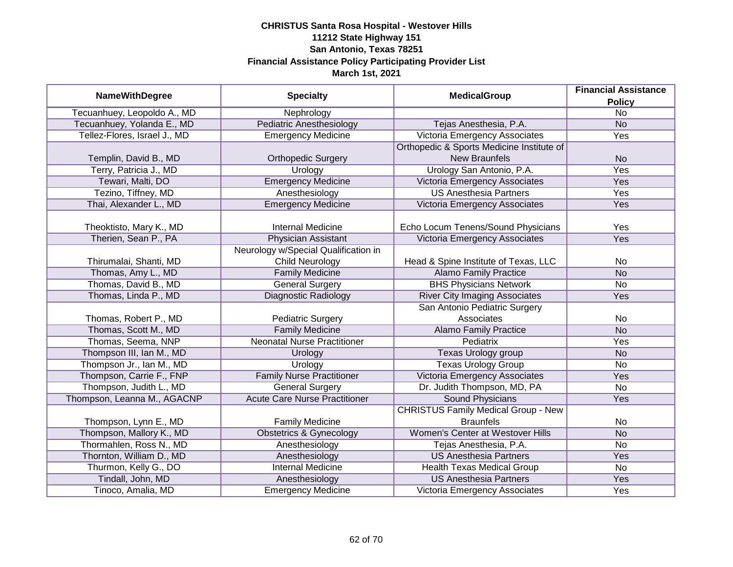| <b>MedicalGroup</b><br><b>NameWithDegree</b><br><b>Specialty</b> | <b>Financial Assistance</b>          |                                            |                 |
|------------------------------------------------------------------|--------------------------------------|--------------------------------------------|-----------------|
|                                                                  |                                      |                                            | <b>Policy</b>   |
| Tecuanhuey, Leopoldo A., MD                                      | Nephrology                           |                                            | $\overline{No}$ |
| Tecuanhuey, Yolanda E., MD                                       | <b>Pediatric Anesthesiology</b>      | Tejas Anesthesia, P.A.                     | <b>No</b>       |
| Tellez-Flores, Israel J., MD                                     | <b>Emergency Medicine</b>            | Victoria Emergency Associates              | <b>Yes</b>      |
|                                                                  |                                      | Orthopedic & Sports Medicine Institute of  |                 |
| Templin, David B., MD                                            | <b>Orthopedic Surgery</b>            | <b>New Braunfels</b>                       | <b>No</b>       |
| Terry, Patricia J., MD                                           | Urology                              | Urology San Antonio, P.A.                  | Yes             |
| Tewari, Malti, DO                                                | <b>Emergency Medicine</b>            | <b>Victoria Emergency Associates</b>       | <b>Yes</b>      |
| Tezino, Tiffney, MD                                              | Anesthesiology                       | <b>US Anesthesia Partners</b>              | Yes             |
| Thai, Alexander L., MD                                           | <b>Emergency Medicine</b>            | Victoria Emergency Associates              | Yes             |
|                                                                  |                                      |                                            |                 |
| Theoktisto, Mary K., MD                                          | <b>Internal Medicine</b>             | Echo Locum Tenens/Sound Physicians         | Yes             |
| Therien, Sean P., PA                                             | <b>Physician Assistant</b>           | Victoria Emergency Associates              | Yes             |
|                                                                  | Neurology w/Special Qualification in |                                            |                 |
| Thirumalai, Shanti, MD                                           | <b>Child Neurology</b>               | Head & Spine Institute of Texas, LLC       | No              |
| Thomas, Amy L., MD                                               | <b>Family Medicine</b>               | <b>Alamo Family Practice</b>               | <b>No</b>       |
| Thomas, David B., MD                                             | <b>General Surgery</b>               | <b>BHS Physicians Network</b>              | <b>No</b>       |
| Thomas, Linda P., MD                                             | <b>Diagnostic Radiology</b>          | <b>River City Imaging Associates</b>       | Yes             |
|                                                                  |                                      | San Antonio Pediatric Surgery              |                 |
| Thomas, Robert P., MD                                            | <b>Pediatric Surgery</b>             | Associates                                 | No              |
| Thomas, Scott M., MD                                             | <b>Family Medicine</b>               | <b>Alamo Family Practice</b>               | <b>No</b>       |
| Thomas, Seema, NNP                                               | <b>Neonatal Nurse Practitioner</b>   | <b>Pediatrix</b>                           | Yes             |
| Thompson III, Ian M., MD                                         | Urology                              | <b>Texas Urology group</b>                 | <b>No</b>       |
| Thompson Jr., Ian M., MD                                         | Urology                              | <b>Texas Urology Group</b>                 | <b>No</b>       |
| Thompson, Carrie F., FNP                                         | <b>Family Nurse Practitioner</b>     | Victoria Emergency Associates              | Yes             |
| Thompson, Judith L., MD                                          | <b>General Surgery</b>               | Dr. Judith Thompson, MD, PA                | <b>No</b>       |
| Thompson, Leanna M., AGACNP                                      | <b>Acute Care Nurse Practitioner</b> | <b>Sound Physicians</b>                    | Yes             |
|                                                                  |                                      | <b>CHRISTUS Family Medical Group - New</b> |                 |
| Thompson, Lynn E., MD                                            | <b>Family Medicine</b>               | <b>Braunfels</b>                           | No              |
| Thompson, Mallory K., MD                                         | <b>Obstetrics &amp; Gynecology</b>   | Women's Center at Westover Hills           | <b>No</b>       |
| Thormahlen, Ross N., MD                                          | Anesthesiology                       | Tejas Anesthesia, P.A.                     | No              |
| Thornton, William D., MD                                         | Anesthesiology                       | <b>US Anesthesia Partners</b>              | Yes             |
| Thurmon, Kelly G., DO                                            | <b>Internal Medicine</b>             | <b>Health Texas Medical Group</b>          | $\overline{No}$ |
| Tindall, John, MD                                                | Anesthesiology                       | <b>US Anesthesia Partners</b>              | Yes             |
| Tinoco, Amalia, MD                                               | <b>Emergency Medicine</b>            | Victoria Emergency Associates              | Yes             |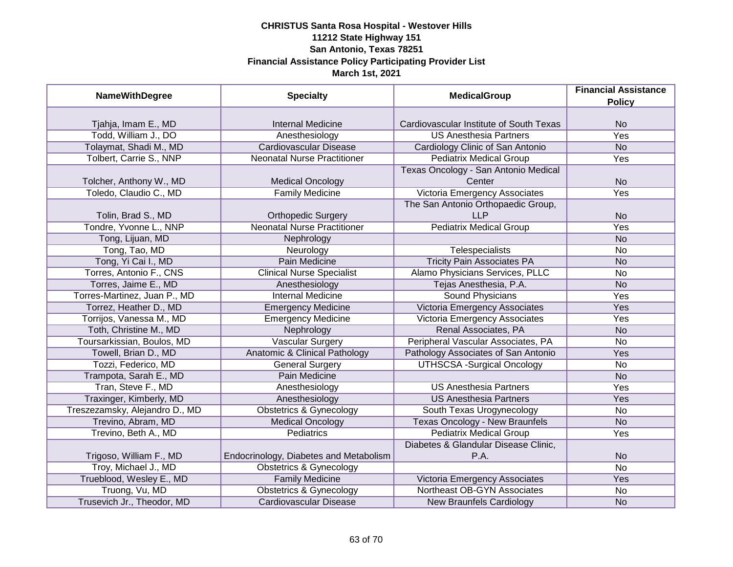| <b>NameWithDegree</b>          | <b>Specialty</b>                         | <b>MedicalGroup</b>                     | <b>Financial Assistance</b> |
|--------------------------------|------------------------------------------|-----------------------------------------|-----------------------------|
|                                |                                          |                                         | <b>Policy</b>               |
| Tjahja, Imam E., MD            | <b>Internal Medicine</b>                 | Cardiovascular Institute of South Texas | <b>No</b>                   |
| Todd, William J., DO           | Anesthesiology                           | <b>US Anesthesia Partners</b>           | <b>Yes</b>                  |
| Tolaymat, Shadi M., MD         | <b>Cardiovascular Disease</b>            | Cardiology Clinic of San Antonio        | <b>No</b>                   |
| Tolbert, Carrie S., NNP        | <b>Neonatal Nurse Practitioner</b>       | <b>Pediatrix Medical Group</b>          | Yes                         |
|                                |                                          | Texas Oncology - San Antonio Medical    |                             |
| Tolcher, Anthony W., MD        | <b>Medical Oncology</b>                  | Center                                  | <b>No</b>                   |
| Toledo, Claudio C., MD         | <b>Family Medicine</b>                   | Victoria Emergency Associates           | Yes                         |
|                                |                                          | The San Antonio Orthopaedic Group,      |                             |
| Tolin, Brad S., MD             | <b>Orthopedic Surgery</b>                | <b>LLP</b>                              | <b>No</b>                   |
| Tondre, Yvonne L., NNP         | <b>Neonatal Nurse Practitioner</b>       | <b>Pediatrix Medical Group</b>          | Yes                         |
| Tong, Lijuan, MD               | Nephrology                               |                                         | <b>No</b>                   |
| Tong, Tao, MD                  | Neurology                                | Telespecialists                         | No                          |
| Tong, Yi Cai I., MD            | Pain Medicine                            | <b>Tricity Pain Associates PA</b>       | <b>No</b>                   |
| Torres, Antonio F., CNS        | <b>Clinical Nurse Specialist</b>         | Alamo Physicians Services, PLLC         | No                          |
| Torres, Jaime E., MD           | Anesthesiology                           | Tejas Anesthesia, P.A.                  | <b>No</b>                   |
| Torres-Martinez, Juan P., MD   | <b>Internal Medicine</b>                 | Sound Physicians                        | Yes                         |
| Torrez, Heather D., MD         | <b>Emergency Medicine</b>                | <b>Victoria Emergency Associates</b>    | Yes                         |
| Torrijos, Vanessa M., MD       | <b>Emergency Medicine</b>                | Victoria Emergency Associates           | Yes                         |
| Toth, Christine M., MD         | Nephrology                               | Renal Associates, PA                    | <b>No</b>                   |
| Toursarkissian, Boulos, MD     | <b>Vascular Surgery</b>                  | Peripheral Vascular Associates, PA      | <b>No</b>                   |
| Towell, Brian D., MD           | <b>Anatomic &amp; Clinical Pathology</b> | Pathology Associates of San Antonio     | Yes                         |
| Tozzi, Federico, MD            | <b>General Surgery</b>                   | <b>UTHSCSA -Surgical Oncology</b>       | <b>No</b>                   |
| Trampota, Sarah E., MD         | Pain Medicine                            |                                         | <b>No</b>                   |
| Tran, Steve F., MD             | Anesthesiology                           | <b>US Anesthesia Partners</b>           | Yes                         |
| Traxinger, Kimberly, MD        | Anesthesiology                           | <b>US Anesthesia Partners</b>           | Yes                         |
| Treszezamsky, Alejandro D., MD | <b>Obstetrics &amp; Gynecology</b>       | South Texas Urogynecology               | No                          |
| Trevino, Abram, MD             | <b>Medical Oncology</b>                  | <b>Texas Oncology - New Braunfels</b>   | <b>No</b>                   |
| Trevino, Beth A., MD           | <b>Pediatrics</b>                        | <b>Pediatrix Medical Group</b>          | Yes                         |
|                                |                                          | Diabetes & Glandular Disease Clinic,    |                             |
| Trigoso, William F., MD        | Endocrinology, Diabetes and Metabolism   | P.A.                                    | <b>No</b>                   |
| Troy, Michael J., MD           | Obstetrics & Gynecology                  |                                         | $\overline{No}$             |
| Trueblood, Wesley E., MD       | <b>Family Medicine</b>                   | Victoria Emergency Associates           | Yes                         |
| Truong, Vu, MD                 | <b>Obstetrics &amp; Gynecology</b>       | Northeast OB-GYN Associates             | No                          |
| Trusevich Jr., Theodor, MD     | <b>Cardiovascular Disease</b>            | <b>New Braunfels Cardiology</b>         | <b>No</b>                   |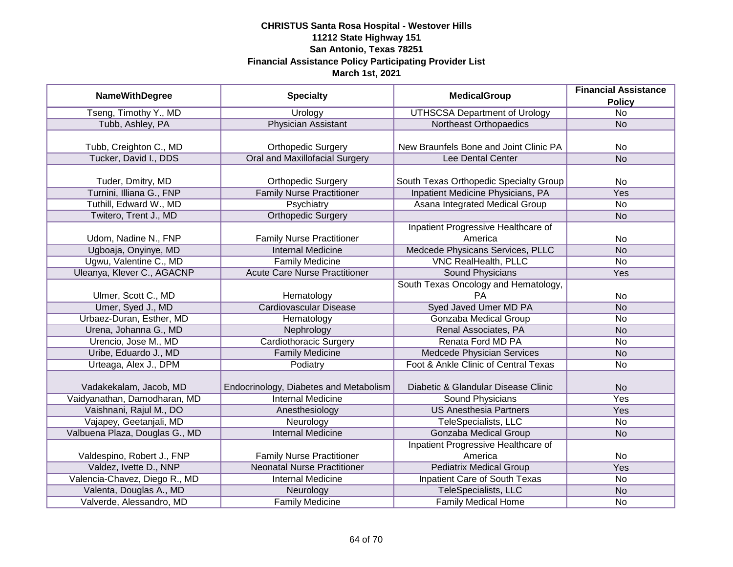| <b>NameWithDegree</b>          | <b>Specialty</b>                       | <b>MedicalGroup</b>                               | <b>Financial Assistance</b>      |
|--------------------------------|----------------------------------------|---------------------------------------------------|----------------------------------|
| Tseng, Timothy Y., MD          | Urology                                | <b>UTHSCSA Department of Urology</b>              | <b>Policy</b><br>$\overline{No}$ |
| Tubb, Ashley, PA               | <b>Physician Assistant</b>             | <b>Northeast Orthopaedics</b>                     | $\overline{No}$                  |
|                                |                                        |                                                   |                                  |
| Tubb, Creighton C., MD         | <b>Orthopedic Surgery</b>              | New Braunfels Bone and Joint Clinic PA            | <b>No</b>                        |
| Tucker, David I., DDS          | <b>Oral and Maxillofacial Surgery</b>  | Lee Dental Center                                 | $\overline{No}$                  |
| Tuder, Dmitry, MD              | <b>Orthopedic Surgery</b>              | South Texas Orthopedic Specialty Group            | No                               |
| Turnini, Illiana G., FNP       | <b>Family Nurse Practitioner</b>       | Inpatient Medicine Physicians, PA                 | Yes                              |
| Tuthill, Edward W., MD         | Psychiatry                             | Asana Integrated Medical Group                    | No                               |
| Twitero, Trent J., MD          | <b>Orthopedic Surgery</b>              |                                                   | <b>No</b>                        |
|                                |                                        | Inpatient Progressive Healthcare of               |                                  |
| Udom, Nadine N., FNP           | <b>Family Nurse Practitioner</b>       | America                                           | No                               |
| Ugboaja, Onyinye, MD           | <b>Internal Medicine</b>               | Medcede Physicans Services, PLLC                  | <b>No</b>                        |
| Ugwu, Valentine C., MD         | <b>Family Medicine</b>                 | <b>VNC RealHealth, PLLC</b>                       | <b>No</b>                        |
| Uleanya, Klever C., AGACNP     | <b>Acute Care Nurse Practitioner</b>   | <b>Sound Physicians</b>                           | <b>Yes</b>                       |
| Ulmer, Scott C., MD            | Hematology                             | South Texas Oncology and Hematology,<br><b>PA</b> | No                               |
| Umer, Syed J., MD              | <b>Cardiovascular Disease</b>          | Syed Javed Umer MD PA                             | <b>No</b>                        |
| Urbaez-Duran, Esther, MD       | Hematology                             | <b>Gonzaba Medical Group</b>                      | No                               |
| Urena, Johanna G., MD          | Nephrology                             | Renal Associates, PA                              | <b>No</b>                        |
| Urencio, Jose M., MD           | Cardiothoracic Surgery                 | Renata Ford MD PA                                 | No                               |
| Uribe, Eduardo J., MD          | <b>Family Medicine</b>                 | Medcede Physician Services                        | <b>No</b>                        |
| Urteaga, Alex J., DPM          | Podiatry                               | Foot & Ankle Clinic of Central Texas              | No                               |
| Vadakekalam, Jacob, MD         | Endocrinology, Diabetes and Metabolism | Diabetic & Glandular Disease Clinic               | <b>No</b>                        |
| Vaidyanathan, Damodharan, MD   | <b>Internal Medicine</b>               | <b>Sound Physicians</b>                           | Yes                              |
| Vaishnani, Rajul M., DO        | Anesthesiology                         | <b>US Anesthesia Partners</b>                     | Yes                              |
| Vajapey, Geetanjali, MD        | Neurology                              | TeleSpecialists, LLC                              | No                               |
| Valbuena Plaza, Douglas G., MD | <b>Internal Medicine</b>               | <b>Gonzaba Medical Group</b>                      | <b>No</b>                        |
| Valdespino, Robert J., FNP     | <b>Family Nurse Practitioner</b>       | Inpatient Progressive Healthcare of<br>America    | No                               |
| Valdez, Ivette D., NNP         | <b>Neonatal Nurse Practitioner</b>     | <b>Pediatrix Medical Group</b>                    | <b>Yes</b>                       |
| Valencia-Chavez, Diego R., MD  | <b>Internal Medicine</b>               | <b>Inpatient Care of South Texas</b>              | No                               |
| Valenta, Douglas A., MD        | Neurology                              | TeleSpecialists, LLC                              | N <sub>o</sub>                   |
| Valverde, Alessandro, MD       | <b>Family Medicine</b>                 | Family Medical Home                               | No                               |
|                                |                                        |                                                   |                                  |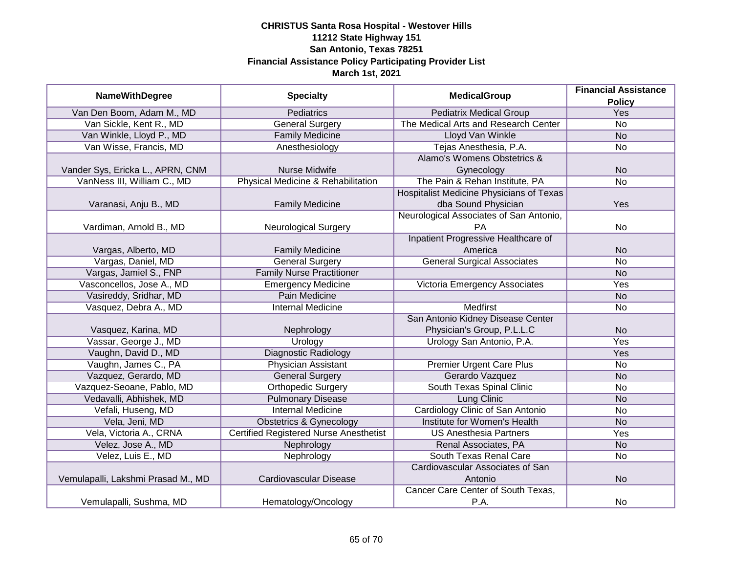| <b>NameWithDegree</b>              | <b>Specialty</b>                              | <b>MedicalGroup</b>                      | <b>Financial Assistance</b> |
|------------------------------------|-----------------------------------------------|------------------------------------------|-----------------------------|
| Van Den Boom, Adam M., MD          | <b>Pediatrics</b>                             | <b>Pediatrix Medical Group</b>           | <b>Policy</b><br><b>Yes</b> |
| Van Sickle, Kent R., MD            | <b>General Surgery</b>                        | The Medical Arts and Research Center     | $\overline{No}$             |
| Van Winkle, Lloyd P., MD           | <b>Family Medicine</b>                        | <b>Lloyd Van Winkle</b>                  | <b>No</b>                   |
| Van Wisse, Francis, MD             | Anesthesiology                                | Tejas Anesthesia, P.A.                   | <b>No</b>                   |
|                                    |                                               | Alamo's Womens Obstetrics &              |                             |
| Vander Sys, Ericka L., APRN, CNM   | Nurse Midwife                                 | Gynecology                               | <b>No</b>                   |
| VanNess III, William C., MD        | Physical Medicine & Rehabilitation            | The Pain & Rehan Institute, PA           | $\overline{No}$             |
|                                    |                                               | Hospitalist Medicine Physicians of Texas |                             |
| Varanasi, Anju B., MD              | <b>Family Medicine</b>                        | dba Sound Physician                      | Yes                         |
|                                    |                                               | Neurological Associates of San Antonio,  |                             |
| Vardiman, Arnold B., MD            | <b>Neurological Surgery</b>                   | <b>PA</b>                                | No                          |
|                                    |                                               | Inpatient Progressive Healthcare of      |                             |
| Vargas, Alberto, MD                | <b>Family Medicine</b>                        | America                                  | <b>No</b>                   |
| Vargas, Daniel, MD                 | <b>General Surgery</b>                        | <b>General Surgical Associates</b>       | <b>No</b>                   |
| Vargas, Jamiel S., FNP             | <b>Family Nurse Practitioner</b>              |                                          | <b>No</b>                   |
| Vasconcellos, Jose A., MD          | Emergency Medicine                            | Victoria Emergency Associates            | Yes                         |
| Vasireddy, Sridhar, MD             | <b>Pain Medicine</b>                          |                                          | <b>No</b>                   |
| Vasquez, Debra A., MD              | <b>Internal Medicine</b>                      | <b>Medfirst</b>                          | <b>No</b>                   |
|                                    |                                               | San Antonio Kidney Disease Center        |                             |
| Vasquez, Karina, MD                | Nephrology                                    | Physician's Group, P.L.L.C               | <b>No</b>                   |
| Vassar, George J., MD              | Urology                                       | Urology San Antonio, P.A.                | Yes                         |
| Vaughn, David D., MD               | <b>Diagnostic Radiology</b>                   |                                          | Yes                         |
| Vaughn, James C., PA               | Physician Assistant                           | <b>Premier Urgent Care Plus</b>          | <b>No</b>                   |
| Vazquez, Gerardo, MD               | <b>General Surgery</b>                        | Gerardo Vazquez                          | <b>No</b>                   |
| Vazquez-Seoane, Pablo, MD          | <b>Orthopedic Surgery</b>                     | South Texas Spinal Clinic                | <b>No</b>                   |
| Vedavalli, Abhishek, MD            | <b>Pulmonary Disease</b>                      | Lung Clinic                              | <b>No</b>                   |
| Vefali, Huseng, MD                 | <b>Internal Medicine</b>                      | Cardiology Clinic of San Antonio         | <b>No</b>                   |
| Vela, Jeni, MD                     | <b>Obstetrics &amp; Gynecology</b>            | Institute for Women's Health             | <b>No</b>                   |
| Vela, Victoria A., CRNA            | <b>Certified Registered Nurse Anesthetist</b> | <b>US Anesthesia Partners</b>            | Yes                         |
| Velez, Jose A., MD                 | Nephrology                                    | Renal Associates, PA                     | <b>No</b>                   |
| Velez, Luis E., MD                 | Nephrology                                    | South Texas Renal Care                   | <b>No</b>                   |
|                                    |                                               | Cardiovascular Associates of San         |                             |
| Vemulapalli, Lakshmi Prasad M., MD | Cardiovascular Disease                        | Antonio                                  | <b>No</b>                   |
|                                    |                                               | Cancer Care Center of South Texas,       |                             |
| Vemulapalli, Sushma, MD            | Hematology/Oncology                           | P.A.                                     | <b>No</b>                   |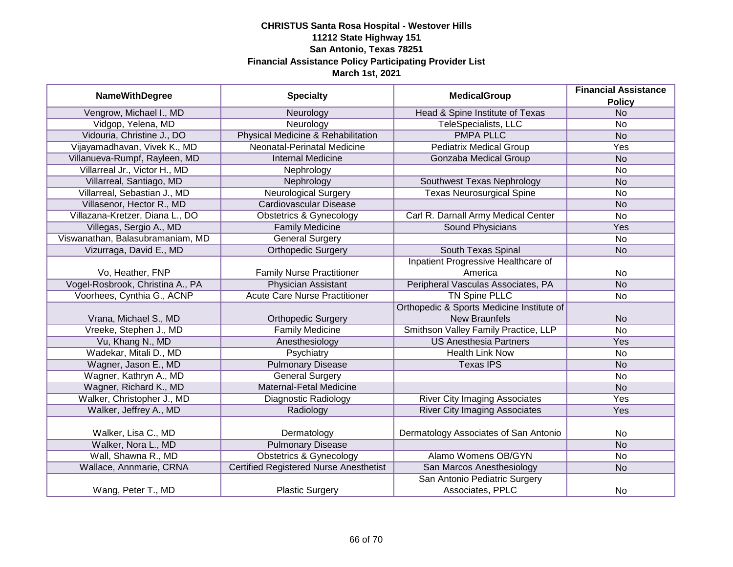| <b>NameWithDegree</b>            | <b>Specialty</b>                              | <b>MedicalGroup</b>                               | <b>Financial Assistance</b><br><b>Policy</b> |
|----------------------------------|-----------------------------------------------|---------------------------------------------------|----------------------------------------------|
| Vengrow, Michael I., MD          | Neurology                                     | Head & Spine Institute of Texas                   | <b>No</b>                                    |
| Vidgop, Yelena, MD               | Neurology                                     | <b>TeleSpecialists, LLC</b>                       | <b>No</b>                                    |
| Vidouria, Christine J., DO       | Physical Medicine & Rehabilitation            | <b>PMPA PLLC</b>                                  | <b>No</b>                                    |
| Vijayamadhavan, Vivek K., MD     | Neonatal-Perinatal Medicine                   | <b>Pediatrix Medical Group</b>                    | <b>Yes</b>                                   |
| Villanueva-Rumpf, Rayleen, MD    | <b>Internal Medicine</b>                      | Gonzaba Medical Group                             | <b>No</b>                                    |
| Villarreal Jr., Victor H., MD    | Nephrology                                    |                                                   | No                                           |
| Villarreal, Santiago, MD         | Nephrology                                    | Southwest Texas Nephrology                        | <b>No</b>                                    |
| Villarreal, Sebastian J., MD     | <b>Neurological Surgery</b>                   | <b>Texas Neurosurgical Spine</b>                  | <b>No</b>                                    |
| Villasenor, Hector R., MD        | Cardiovascular Disease                        |                                                   | <b>No</b>                                    |
| Villazana-Kretzer, Diana L., DO  | <b>Obstetrics &amp; Gynecology</b>            | Carl R. Darnall Army Medical Center               | <b>No</b>                                    |
| Villegas, Sergio A., MD          | <b>Family Medicine</b>                        | <b>Sound Physicians</b>                           | Yes                                          |
| Viswanathan, Balasubramaniam, MD | <b>General Surgery</b>                        |                                                   | <b>No</b>                                    |
| Vizurraga, David E., MD          | <b>Orthopedic Surgery</b>                     | South Texas Spinal                                | <b>No</b>                                    |
|                                  |                                               | Inpatient Progressive Healthcare of               |                                              |
| Vo, Heather, FNP                 | <b>Family Nurse Practitioner</b>              | America                                           | <b>No</b>                                    |
| Vogel-Rosbrook, Christina A., PA | <b>Physician Assistant</b>                    | Peripheral Vasculas Associates, PA                | <b>No</b>                                    |
| Voorhees, Cynthia G., ACNP       | <b>Acute Care Nurse Practitioner</b>          | <b>TN Spine PLLC</b>                              | <b>No</b>                                    |
|                                  |                                               | Orthopedic & Sports Medicine Institute of         |                                              |
| Vrana, Michael S., MD            | <b>Orthopedic Surgery</b>                     | <b>New Braunfels</b>                              | <b>No</b>                                    |
| Vreeke, Stephen J., MD           | <b>Family Medicine</b>                        | Smithson Valley Family Practice, LLP              | <b>No</b>                                    |
| Vu, Khang N., MD                 | Anesthesiology                                | <b>US Anesthesia Partners</b>                     | Yes                                          |
| Wadekar, Mitali D., MD           | Psychiatry                                    | <b>Health Link Now</b>                            | <b>No</b>                                    |
| Wagner, Jason E., MD             | <b>Pulmonary Disease</b>                      | <b>Texas IPS</b>                                  | <b>No</b>                                    |
| Wagner, Kathryn A., MD           | <b>General Surgery</b>                        |                                                   | <b>No</b>                                    |
| Wagner, Richard K., MD           | <b>Maternal-Fetal Medicine</b>                |                                                   | <b>No</b>                                    |
| Walker, Christopher J., MD       | Diagnostic Radiology                          | <b>River City Imaging Associates</b>              | Yes                                          |
| Walker, Jeffrey A., MD           | Radiology                                     | <b>River City Imaging Associates</b>              | Yes                                          |
| Walker, Lisa C., MD              | Dermatology                                   | Dermatology Associates of San Antonio             | <b>No</b>                                    |
| Walker, Nora L., MD              | <b>Pulmonary Disease</b>                      |                                                   | <b>No</b>                                    |
| Wall, Shawna R., MD              | <b>Obstetrics &amp; Gynecology</b>            | Alamo Womens OB/GYN                               | <b>No</b>                                    |
| Wallace, Annmarie, CRNA          | <b>Certified Registered Nurse Anesthetist</b> | San Marcos Anesthesiology                         | <b>No</b>                                    |
| Wang, Peter T., MD               | <b>Plastic Surgery</b>                        | San Antonio Pediatric Surgery<br>Associates, PPLC | No                                           |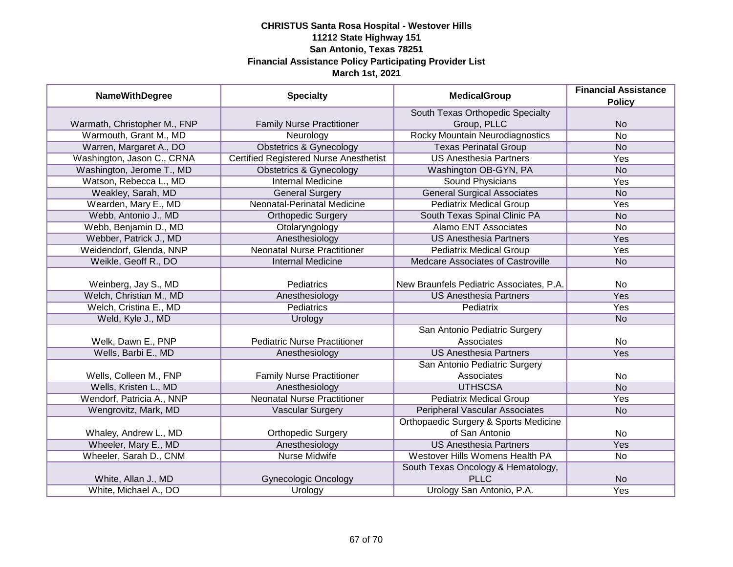|                              |                                               | <b>MedicalGroup</b>                      | <b>Financial Assistance</b> |
|------------------------------|-----------------------------------------------|------------------------------------------|-----------------------------|
| <b>NameWithDegree</b>        | <b>Specialty</b>                              |                                          | <b>Policy</b>               |
|                              |                                               | South Texas Orthopedic Specialty         |                             |
| Warmath, Christopher M., FNP | <b>Family Nurse Practitioner</b>              | Group, PLLC                              | <b>No</b>                   |
| Warmouth, Grant M., MD       | Neurology                                     | <b>Rocky Mountain Neurodiagnostics</b>   | $\overline{No}$             |
| Warren, Margaret A., DO      | <b>Obstetrics &amp; Gynecology</b>            | <b>Texas Perinatal Group</b>             | <b>No</b>                   |
| Washington, Jason C., CRNA   | <b>Certified Registered Nurse Anesthetist</b> | <b>US Anesthesia Partners</b>            | Yes                         |
| Washington, Jerome T., MD    | <b>Obstetrics &amp; Gynecology</b>            | Washington OB-GYN, PA                    | <b>No</b>                   |
| Watson, Rebecca L., MD       | <b>Internal Medicine</b>                      | <b>Sound Physicians</b>                  | Yes                         |
| Weakley, Sarah, MD           | <b>General Surgery</b>                        | <b>General Surgical Associates</b>       | <b>No</b>                   |
| Wearden, Mary E., MD         | Neonatal-Perinatal Medicine                   | <b>Pediatrix Medical Group</b>           | Yes                         |
| Webb, Antonio J., MD         | <b>Orthopedic Surgery</b>                     | South Texas Spinal Clinic PA             | <b>No</b>                   |
| Webb, Benjamin D., MD        | Otolaryngology                                | <b>Alamo ENT Associates</b>              | No                          |
| Webber, Patrick J., MD       | Anesthesiology                                | <b>US Anesthesia Partners</b>            | Yes                         |
| Weidendorf, Glenda, NNP      | <b>Neonatal Nurse Practitioner</b>            | <b>Pediatrix Medical Group</b>           | Yes                         |
| Weikle, Geoff R., DO         | <b>Internal Medicine</b>                      | <b>Medcare Associates of Castroville</b> | <b>No</b>                   |
|                              |                                               |                                          |                             |
| Weinberg, Jay S., MD         | Pediatrics                                    | New Braunfels Pediatric Associates, P.A. | No                          |
| Welch, Christian M., MD      | Anesthesiology                                | <b>US Anesthesia Partners</b>            | Yes                         |
| Welch, Cristina E., MD       | <b>Pediatrics</b>                             | Pediatrix                                | Yes                         |
| Weld, Kyle J., MD            | Urology                                       |                                          | <b>No</b>                   |
|                              |                                               | San Antonio Pediatric Surgery            |                             |
| Welk, Dawn E., PNP           | <b>Pediatric Nurse Practitioner</b>           | Associates                               | No                          |
| Wells, Barbi E., MD          | Anesthesiology                                | <b>US Anesthesia Partners</b>            | Yes                         |
|                              |                                               | San Antonio Pediatric Surgery            |                             |
| Wells, Colleen M., FNP       | <b>Family Nurse Practitioner</b>              | Associates                               | No                          |
| Wells, Kristen L., MD        | Anesthesiology                                | <b>UTHSCSA</b>                           | <b>No</b>                   |
| Wendorf, Patricia A., NNP    | <b>Neonatal Nurse Practitioner</b>            | <b>Pediatrix Medical Group</b>           | Yes                         |
| Wengrovitz, Mark, MD         | <b>Vascular Surgery</b>                       | <b>Peripheral Vascular Associates</b>    | <b>No</b>                   |
|                              |                                               | Orthopaedic Surgery & Sports Medicine    |                             |
| Whaley, Andrew L., MD        | <b>Orthopedic Surgery</b>                     | of San Antonio                           | No                          |
| Wheeler, Mary E., MD         | Anesthesiology                                | <b>US Anesthesia Partners</b>            | Yes                         |
| Wheeler, Sarah D., CNM       | <b>Nurse Midwife</b>                          | Westover Hills Womens Health PA          | <b>No</b>                   |
|                              |                                               | South Texas Oncology & Hematology,       |                             |
| White, Allan J., MD          | <b>Gynecologic Oncology</b>                   | <b>PLLC</b>                              | <b>No</b>                   |
| White, Michael A., DO        | Urology                                       | Urology San Antonio, P.A.                | <b>Yes</b>                  |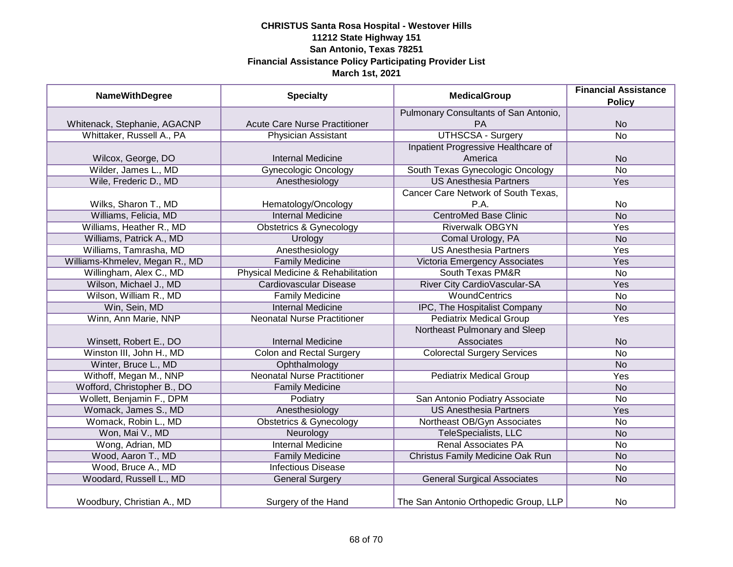| <b>NameWithDegree</b>          | <b>Specialty</b>                     | <b>MedicalGroup</b>                   | <b>Financial Assistance</b> |
|--------------------------------|--------------------------------------|---------------------------------------|-----------------------------|
|                                |                                      |                                       | <b>Policy</b>               |
|                                |                                      | Pulmonary Consultants of San Antonio, |                             |
| Whitenack, Stephanie, AGACNP   | <b>Acute Care Nurse Practitioner</b> | PA                                    | <b>No</b>                   |
| Whittaker, Russell A., PA      | <b>Physician Assistant</b>           | UTHSCSA - Surgery                     | $\overline{No}$             |
|                                |                                      | Inpatient Progressive Healthcare of   |                             |
| Wilcox, George, DO             | <b>Internal Medicine</b>             | America                               | <b>No</b>                   |
| Wilder, James L., MD           | <b>Gynecologic Oncology</b>          | South Texas Gynecologic Oncology      | <b>No</b>                   |
| Wile, Frederic D., MD          | Anesthesiology                       | <b>US Anesthesia Partners</b>         | Yes                         |
|                                |                                      | Cancer Care Network of South Texas,   |                             |
| Wilks, Sharon T., MD           | Hematology/Oncology                  | P.A.                                  | No                          |
| Williams, Felicia, MD          | <b>Internal Medicine</b>             | <b>CentroMed Base Clinic</b>          | <b>No</b>                   |
| Williams, Heather R., MD       | <b>Obstetrics &amp; Gynecology</b>   | <b>Riverwalk OBGYN</b>                | Yes                         |
| Williams, Patrick A., MD       | Urology                              | Comal Urology, PA                     | <b>No</b>                   |
| Williams, Tamrasha, MD         | Anesthesiology                       | <b>US Anesthesia Partners</b>         | Yes                         |
| Williams-Khmelev, Megan R., MD | <b>Family Medicine</b>               | Victoria Emergency Associates         | Yes                         |
| Willingham, Alex C., MD        | Physical Medicine & Rehabilitation   | South Texas PM&R                      | <b>No</b>                   |
| Wilson, Michael J., MD         | <b>Cardiovascular Disease</b>        | River City CardioVascular-SA          | Yes                         |
| Wilson, William R., MD         | <b>Family Medicine</b>               | <b>WoundCentrics</b>                  | No                          |
| Win, Sein, MD                  | <b>Internal Medicine</b>             | IPC, The Hospitalist Company          | <b>No</b>                   |
| Winn, Ann Marie, NNP           | <b>Neonatal Nurse Practitioner</b>   | <b>Pediatrix Medical Group</b>        | Yes                         |
|                                |                                      | Northeast Pulmonary and Sleep         |                             |
| Winsett, Robert E., DO         | <b>Internal Medicine</b>             | Associates                            | <b>No</b>                   |
| Winston III, John H., MD       | <b>Colon and Rectal Surgery</b>      | <b>Colorectal Surgery Services</b>    | No                          |
| Winter, Bruce L., MD           | Ophthalmology                        |                                       | <b>No</b>                   |
| Withoff, Megan M., NNP         | <b>Neonatal Nurse Practitioner</b>   | <b>Pediatrix Medical Group</b>        | Yes                         |
| Wofford, Christopher B., DO    | <b>Family Medicine</b>               |                                       | <b>No</b>                   |
| Wollett, Benjamin F., DPM      | Podiatry                             | San Antonio Podiatry Associate        | No                          |
| Womack, James S., MD           | Anesthesiology                       | <b>US Anesthesia Partners</b>         | Yes                         |
| Womack, Robin L., MD           | <b>Obstetrics &amp; Gynecology</b>   | Northeast OB/Gyn Associates           | No                          |
| Won, Mai V., MD                | Neurology                            | <b>TeleSpecialists, LLC</b>           | <b>No</b>                   |
| Wong, Adrian, MD               | <b>Internal Medicine</b>             | <b>Renal Associates PA</b>            | No                          |
| Wood, Aaron T., MD             | <b>Family Medicine</b>               | Christus Family Medicine Oak Run      | <b>No</b>                   |
| Wood, Bruce A., MD             | <b>Infectious Disease</b>            |                                       | No                          |
| Woodard, Russell L., MD        | <b>General Surgery</b>               | <b>General Surgical Associates</b>    | <b>No</b>                   |
| Woodbury, Christian A., MD     | Surgery of the Hand                  | The San Antonio Orthopedic Group, LLP | No                          |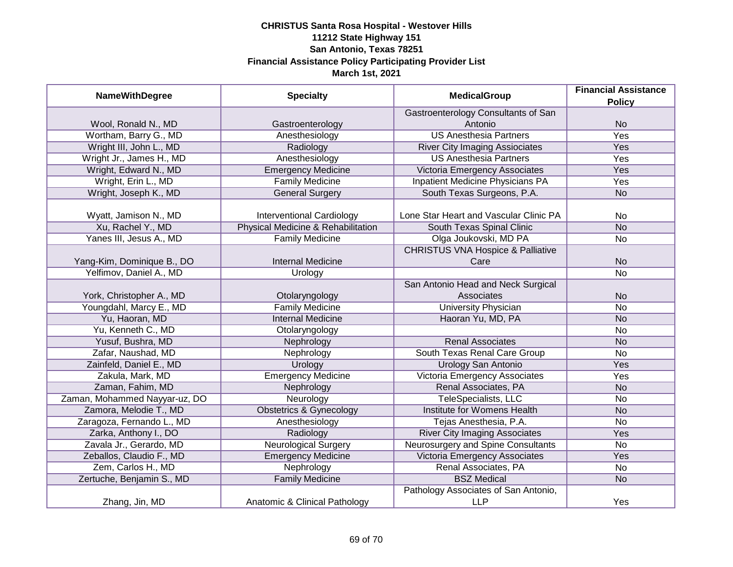| <b>NameWithDegree</b>         | <b>Specialty</b>                   | <b>MedicalGroup</b>                          | <b>Financial Assistance</b> |
|-------------------------------|------------------------------------|----------------------------------------------|-----------------------------|
|                               |                                    |                                              | <b>Policy</b>               |
|                               |                                    | Gastroenterology Consultants of San          |                             |
| Wool, Ronald N., MD           | Gastroenterology                   | Antonio                                      | <b>No</b>                   |
| Wortham, Barry G., MD         | Anesthesiology                     | <b>US Anesthesia Partners</b>                | <b>Yes</b>                  |
| Wright III, John L., MD       | Radiology                          | <b>River City Imaging Assiociates</b>        | Yes                         |
| Wright Jr., James H., MD      | Anesthesiology                     | <b>US Anesthesia Partners</b>                | <b>Yes</b>                  |
| Wright, Edward N., MD         | <b>Emergency Medicine</b>          | Victoria Emergency Associates                | Yes                         |
| Wright, Erin L., MD           | <b>Family Medicine</b>             | <b>Inpatient Medicine Physicians PA</b>      | <b>Yes</b>                  |
| Wright, Joseph K., MD         | <b>General Surgery</b>             | South Texas Surgeons, P.A.                   | <b>No</b>                   |
| Wyatt, Jamison N., MD         | <b>Interventional Cardiology</b>   | Lone Star Heart and Vascular Clinic PA       | <b>No</b>                   |
| Xu, Rachel Y., MD             | Physical Medicine & Rehabilitation | South Texas Spinal Clinic                    | <b>No</b>                   |
| Yanes III, Jesus A., MD       | <b>Family Medicine</b>             | Olga Joukovski, MD PA                        | No                          |
|                               |                                    | <b>CHRISTUS VNA Hospice &amp; Palliative</b> |                             |
| Yang-Kim, Dominique B., DO    | <b>Internal Medicine</b>           | Care                                         | <b>No</b>                   |
| Yelfimov, Daniel A., MD       | Urology                            |                                              | No                          |
|                               |                                    | San Antonio Head and Neck Surgical           |                             |
| York, Christopher A., MD      | Otolaryngology                     | Associates                                   | <b>No</b>                   |
| Youngdahl, Marcy E., MD       | <b>Family Medicine</b>             | <b>University Physician</b>                  | No                          |
| Yu, Haoran, MD                | <b>Internal Medicine</b>           | Haoran Yu, MD, PA                            | <b>No</b>                   |
| Yu, Kenneth C., MD            | Otolaryngology                     |                                              | No                          |
| Yusuf, Bushra, MD             | Nephrology                         | <b>Renal Associates</b>                      | <b>No</b>                   |
| Zafar, Naushad, MD            | Nephrology                         | South Texas Renal Care Group                 | No                          |
| Zainfeld, Daniel E., MD       | Urology                            | <b>Urology San Antonio</b>                   | Yes                         |
| Zakula, Mark, MD              | <b>Emergency Medicine</b>          | Victoria Emergency Associates                | Yes                         |
| Zaman, Fahim, MD              | Nephrology                         | Renal Associates, PA                         | <b>No</b>                   |
| Zaman, Mohammed Nayyar-uz, DO | Neurology                          | TeleSpecialists, LLC                         | No                          |
| Zamora, Melodie T., MD        | <b>Obstetrics &amp; Gynecology</b> | Institute for Womens Health                  | <b>No</b>                   |
| Zaragoza, Fernando L., MD     | Anesthesiology                     | Tejas Anesthesia, P.A.                       | No                          |
| Zarka, Anthony I., DO         | Radiology                          | <b>River City Imaging Associates</b>         | Yes                         |
| Zavala Jr., Gerardo, MD       | <b>Neurological Surgery</b>        | Neurosurgery and Spine Consultants           | No                          |
| Zeballos, Claudio F., MD      | <b>Emergency Medicine</b>          | Victoria Emergency Associates                | Yes                         |
| Zem, Carlos H., MD            | Nephrology                         | Renal Associates, PA                         | No                          |
| Zertuche, Benjamin S., MD     | <b>Family Medicine</b>             | <b>BSZ Medical</b>                           | <b>No</b>                   |
|                               |                                    | Pathology Associates of San Antonio,         |                             |
| Zhang, Jin, MD                | Anatomic & Clinical Pathology      | <b>LLP</b>                                   | Yes                         |